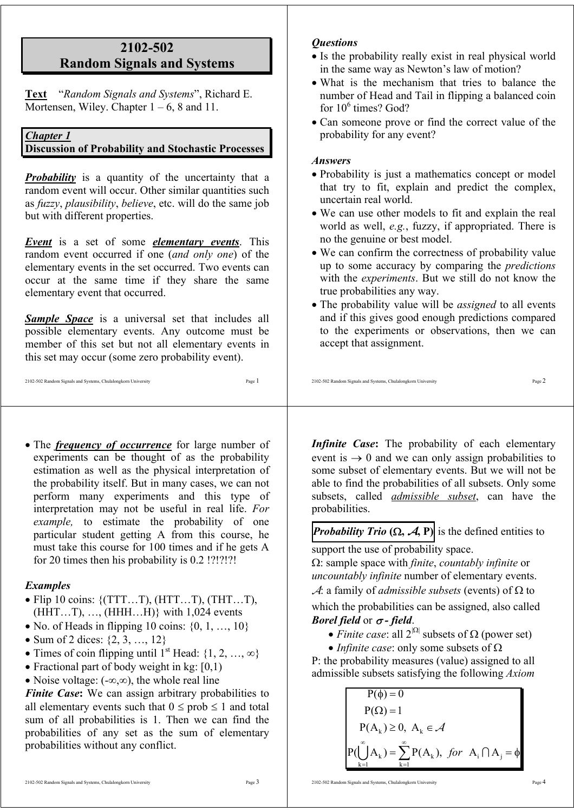## **2102-502 Random Signals and Systems**

**Text** "*Random Signals and Systems*", Richard E. Mortensen, Wiley. Chapter  $1 - 6$ , 8 and 11.

#### *Chapter 1*

#### **Discussion of Probability and Stochastic Processes**

*Probability* is a quantity of the uncertainty that a random event will occur. Other similar quantities such as *fuzzy*, *plausibility*, *believe*, etc. will do the same job but with different properties.

*Event* is a set of some *elementary events*. This random event occurred if one (*and only one*) of the elementary events in the set occurred. Two events can occur at the same time if they share the same elementary event that occurred.

*Sample Space* is a universal set that includes all possible elementary events. Any outcome must be member of this set but not all elementary events in this set may occur (some zero probability event).

#### 2102-502 Random Signals and Systems, Chulalongkorn University Page 1

• The *frequency of occurrence* for large number of experiments can be thought of as the probability estimation as well as the physical interpretation of the probability itself. But in many cases, we can not perform many experiments and this type of interpretation may not be useful in real life. *For example,* to estimate the probability of one particular student getting A from this course, he must take this course for 100 times and if he gets A for 20 times then his probability is 0.2 !?!?!?!

#### *Examples*

- Flip 10 coins:  $\{ (TTT...T), (HTT...T), (THT...T), \}$  $(HHT...T), ..., (HHH...H)$ } with 1,024 events
- No. of Heads in flipping 10 coins:  $\{0, 1, \ldots, 10\}$
- Sum of 2 dices:  $\{2, 3, ..., 12\}$
- Times of coin flipping until 1<sup>st</sup> Head:  $\{1, 2, ..., \infty\}$
- Fractional part of body weight in kg:  $[0,1)$
- Noise voltage: (-∞,∞), the whole real line

*Finite Case*: We can assign arbitrary probabilities to all elementary events such that  $0 \le prob \le 1$  and total sum of all probabilities is 1. Then we can find the probabilities of any set as the sum of elementary probabilities without any conflict.

## *Questions*

- Is the probability really exist in real physical world in the same way as Newton's law of motion?
- What is the mechanism that tries to balance the number of Head and Tail in flipping a balanced coin for 10<sup>6</sup> times? God?
- Can someone prove or find the correct value of the probability for any event?

#### *Answers*

- Probability is just a mathematics concept or model that try to fit, explain and predict the complex, uncertain real world.
- We can use other models to fit and explain the real world as well, *e.g.*, fuzzy, if appropriated. There is no the genuine or best model.
- We can confirm the correctness of probability value up to some accuracy by comparing the *predictions* with the *experiments*. But we still do not know the true probabilities any way.
- The probability value will be *assigned* to all events and if this gives good enough predictions compared to the experiments or observations, then we can accept that assignment.

#### 2102-502 Random Signals and Systems, Chulalongkorn University Page 2

*Infinite Case***:** The probability of each elementary event is  $\rightarrow 0$  and we can only assign probabilities to some subset of elementary events. But we will not be able to find the probabilities of all subsets. Only some subsets, called *admissible subset*, can have the probabilities.

*Probability Trio*  $(\Omega, \mathcal{A}, P)$  is the defined entities to support the use of probability space.

Ω: sample space with *finite*, *countably infinite* or *uncountably infinite* number of elementary events.

A: a family of *admissible subsets* (events) of Ω to

which the probabilities can be assigned, also called *Borel field* or <sup>σ</sup> *- field*.

- *Finite case*: all  $2^{|\Omega|}$  subsets of  $\Omega$  (power set)
- *Infinite case*: only some subsets of Ω

P: the probability measures (value) assigned to all admissible subsets satisfying the following *Axiom* 

$$
P(\phi) = 0
$$
  
\n
$$
P(\Omega) = 1
$$
  
\n
$$
P(A_k) \ge 0, A_k \in \mathcal{A}
$$
  
\n
$$
P(\bigcup_{k=1}^{\infty} A_k) = \sum_{k=1}^{\infty} P(A_k), \text{ for } A_i \cap A_j = \phi
$$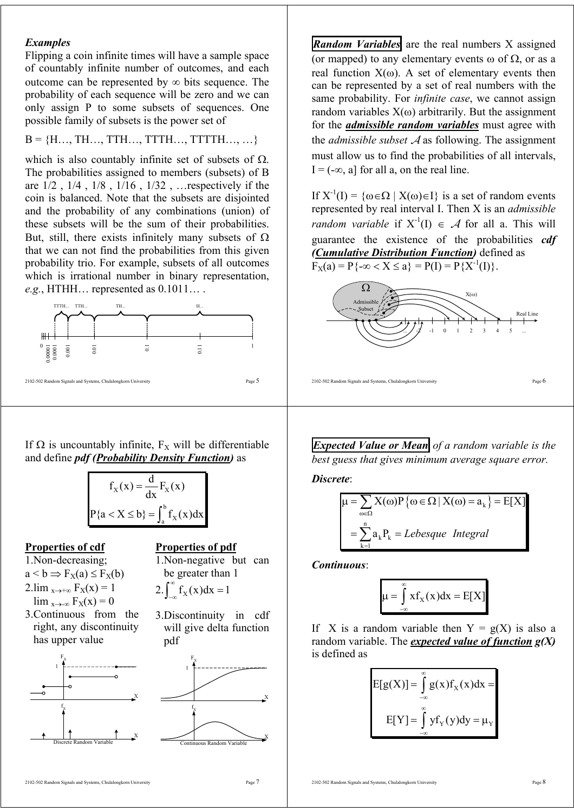#### *Examples*

Flipping a coin infinite times will have a sample space of countably infinite number of outcomes, and each outcome can be represented by  $\infty$  bits sequence. The probability of each sequence will be zero and we can only assign P to some subsets of sequences. One possible family of subsets is the power set of

 $B = \{H, ..., TH, TTH, TTTH, ..., TTTTH, ..., ...\}$ 

which is also countably infinite set of subsets of  $\Omega$ . The probabilities assigned to members (subsets) of B are 1/2 , 1/4 , 1/8 , 1/16 , 1/32 , …respectively if the coin is balanced. Note that the subsets are disjointed and the probability of any combinations (union) of these subsets will be the sum of their probabilities. But, still, there exists infinitely many subsets of  $\Omega$ that we can not find the probabilities from this given probability trio. For example, subsets of all outcomes which is irrational number in binary representation, *e.g.*, HTHH… represented as 0.1011… .



If  $\Omega$  is uncountably infinite,  $F_X$  will be differentiable and define *pdf (Probability Density Function)* as



#### **Properties of cdf**

- 1.Non-decreasing;
- $a < b \Rightarrow F_X(a) \leq F_X(b)$
- $2.\lim_{x\to+\infty} F_X(x) = 1$
- $\lim_{x\to\infty} F_X(x) = 0$
- 3.Continuous from the right, any discontinuity has upper value



**Properties of pdf**

1.Non-negative but can be greater than 1

- 2.  $\int_{-\infty}^{\infty} f_X(x) dx = 1$
- 3.Discontinuity in cdf will give delta function pdf



*Random Variables* are the real numbers X assigned (or mapped) to any elementary events  $\omega$  of  $\Omega$ , or as a real function  $X(\omega)$ . A set of elementary events then can be represented by a set of real numbers with the same probability. For *infinite case*, we cannot assign random variables  $X(\omega)$  arbitrarily. But the assignment for the *admissible random variables* must agree with the *admissible subset* A as following. The assignment must allow us to find the probabilities of all intervals,  $I = (-\infty, a]$  for all a, on the real line.

If  $X^{-1}(I) = \{ \omega \in \Omega \mid X(\omega) \in I \}$  is a set of random events represented by real interval I. Then X is an *admissible random variable* if  $X^{-1}(I) \in \mathcal{A}$  for all a. This will guarantee the existence of the probabilities *cdf (Cumulative Distribution Function)* defined as  $F_X(a) = P\{-\infty < X \le a\} = P(I) = P\{X^{-1}(I)\}.$ 



*Expected Value or Mean of a random variable is the best guess that gives minimum average square error.*

*Discrete*:

$$
\mu = \sum_{\omega \in \Omega} X(\omega) P \{ \omega \in \Omega \mid X(\omega) = a_{k} \} = E[X]
$$

$$
= \sum_{k=1}^{n} a_{k} P_{k} = Lebesgue Integral
$$

*Continuous*:

$$
\mu = \int_{-\infty}^{\infty} x f_X(x) dx = E[X]
$$

If X is a random variable then  $Y = g(X)$  is also a random variable. The *expected value of function g(X)* is defined as

$$
E[g(X)] = \int_{-\infty}^{\infty} g(x)f_X(x)dx =
$$

$$
E[Y] = \int_{-\infty}^{\infty} yf_Y(y)dy = \mu_Y
$$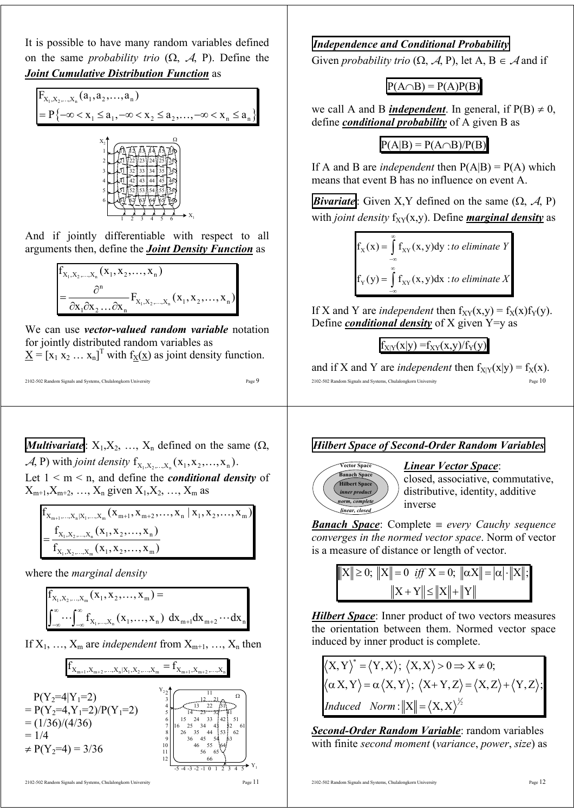It is possible to have many random variables defined on the same *probability trio*  $(\Omega, \mathcal{A}, P)$ . Define the *Joint Cumulative Distribution Function* as





And if jointly differentiable with respect to all arguments then, define the *Joint Density Function* as

$$
f_{X_1, X_2, \dots, X_n}(x_1, x_2, \dots, x_n)
$$
  
=  $\frac{\partial^n}{\partial x_1 \partial x_2 \dots \partial x_n} F_{X_1, X_2, \dots, X_n}(x_1, x_2, \dots, x_n)$ 

We can use *vector-valued random variable* notation for jointly distributed random variables as  $\underline{X} = [x_1 x_2 ... x_n]^T$  with  $f_X(\underline{x})$  as joint density function.

$$
\begin{array}{l} \text{2102-502 Random Signals and Systems, Chulalongkorn University} \end{array} \hspace{0.2in} \begin{array}{ll} \text{Page 9} \end{array}
$$

**Multivariate:** 
$$
X_1, X_2, ..., X_n
$$
 defined on the same  $(\Omega, \mathcal{A}, P)$  with *joint density*  $f_{X_1, X_2, ..., X_n}(x_1, x_2, ..., x_n)$ .  
Let  $1 \le m \le n$ , and define the *conditional density* of

 $X_{m+1}, X_{m+2}, \ldots, X_n$  given  $X_1, X_2, \ldots, X_m$  as

$$
f_{X_{m+1},...,X_n|X_1,...,X_m}(x_{m+1}, x_{m+2},...,x_n | x_1, x_2,...,x_m)
$$
  
= 
$$
\frac{f_{X_1, X_2,...,X_n}(x_1, x_2,...,x_n)}{f_{X_1, X_2,...,X_m}(x_1, x_2,...,x_m)}
$$

where the *marginal density*

$$
f_{X_1, X_2, \dots, X_m}(x_1, x_2, \dots, x_m) =
$$
  

$$
\int_{-\infty}^{\infty} \dots \int_{-\infty}^{\infty} f_{X_1, \dots, X_n}(x_1, \dots, x_n) dx_{m+1} dx_{m+2} \dots dx_n
$$

If  $X_1, \ldots, X_m$  are *independent* from  $X_{m+1}, \ldots, X_n$  then

$$
f_{X_{m+1},X_{m+2},...,X_n|X_1,X_2,...,X_m} = f_{X_{m+1},X_{m+2},...,X_n}
$$



## *Independence and Conditional Probability*

Given *probability trio*  $(\Omega, \mathcal{A}, P)$ , let A, B  $\in \mathcal{A}$  and if

 $P(A \cap B) = P(A)P(B)$ 

we call A and B *independent*. In general, if  $P(B) \neq 0$ , define *conditional probability* of A given B as

# $P(A|B) = P(A \cap B)/P(B)$

If A and B are *independent* then  $P(A|B) = P(A)$  which means that event B has no influence on event A.

*Bivariate*: Given X, *Y* defined on the same  $(\Omega, \mathcal{A}, P)$ with *joint density*  $f_{XY}(x,y)$ . Define *marginal density* as

$$
f_X(x) = \int_{-\infty}^{\infty} f_{XY}(x, y) dy
$$
 to eliminate Y  

$$
f_Y(y) = \int_{-\infty}^{\infty} f_{XY}(x, y) dx
$$
 to eliminate X

If X and Y are *independent* then  $f_{XY}(x,y) = f_X(x) f_Y(y)$ . Define *conditional density* of X given Y=y as

 $f_{X|Y}(x|y) = f_{XY}(x,y)/f_Y(y)$ 

2102-502 Random Signals and Systems, Chulalongkorn University Page 10 and if X and Y are *independent* then  $f_{X|Y}(x|y) = f_X(x)$ .





#### *Linear Vector Space*:

closed, associative, commutative, distributive, identity, additive inverse

*Banach Space*: Complete ≡ *every Cauchy sequence converges in the normed vector space*. Norm of vector is a measure of distance or length of vector.

$$
||X|| \ge 0; ||X|| = 0 \text{ iff } X = 0; ||\alpha X|| = |\alpha| \cdot ||X||;
$$
  

$$
||X + Y|| \le ||X|| + ||Y||
$$

*Hilbert Space*: Inner product of two vectors measures the orientation between them. Normed vector space induced by inner product is complete.

$$
\langle X, Y \rangle^* = \langle Y, X \rangle; \langle X, X \rangle > 0 \Rightarrow X \neq 0; \langle \alpha X, Y \rangle = \alpha \langle X, Y \rangle; \langle X + Y, Z \rangle = \langle X, Z \rangle + \langle Y, Z \rangle; \nInduced \quad Norm : ||X|| = \langle X, X \rangle^{\frac{1}{2}}
$$

*Second-Order Random Variable*: random variables with finite *second moment* (*variance*, *power*, *size*) as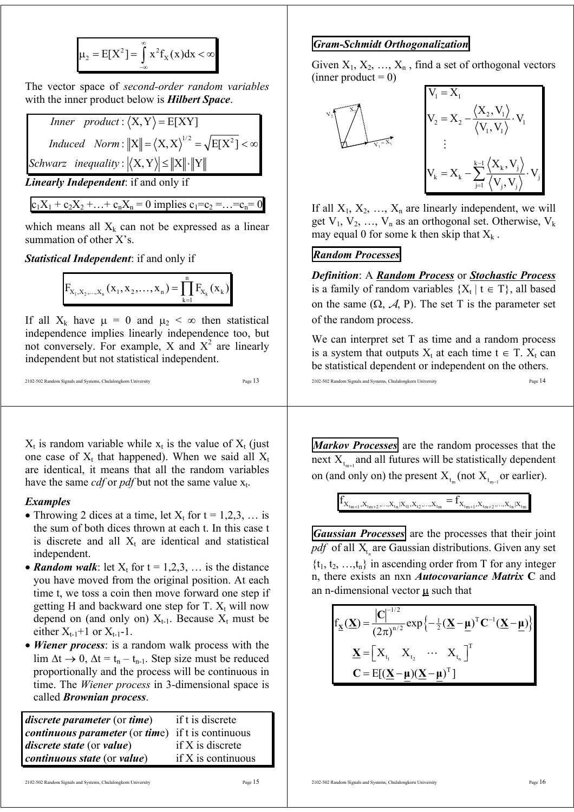$$
\mu_2 = E[X^2] = \int_{-\infty}^{\infty} x^2 f_X(x) dx < \infty
$$

The vector space of *second-order random variables* with the inner product below is *Hilbert Space*.

\n
$$
\text{Inner product:} \langle X, Y \rangle = E[XY]
$$
\n

\n\n $\text{Induced Norm: } \|X\| = \langle X, X \rangle^{1/2} = \sqrt{E[X^2]} < \infty$ \n

\n\n $\text{Schwarz inequality: } \langle X, Y \rangle \leq \|X\| \cdot \|Y\|$ \n

*Linearly Independent*: if and only if

 $c_1X_1 + c_2X_2 + ... + c_nX_n = 0$  implies  $c_1 = c_2 = ...$ 

which means all  $X_k$  can not be expressed as a linear summation of other X's.

*Statistical Independent*: if and only if

$$
F_{X_1, X_2, \dots, X_n}(x_1, x_2, \dots, x_n) = \prod_{k=1}^n F_{X_k}(x_k)
$$

If all  $X_k$  have  $\mu = 0$  and  $\mu_2 < \infty$  then statistical independence implies linearly independence too, but not conversely. For example, X and  $X^2$  are linearly independent but not statistical independent.

```
2102-502 Random Signals and Systems, Chulalongkorn University Page 13
```
 $X_t$  is random variable while  $x_t$  is the value of  $X_t$  (just one case of  $X_t$  that happened). When we said all  $X_t$ are identical, it means that all the random variables have the same *cdf* or *pdf* but not the same value  $x_t$ .

#### *Examples*

- Throwing 2 dices at a time, let  $X_t$  for  $t = 1,2,3,...$  is the sum of both dices thrown at each t. In this case t is discrete and all  $X_t$  are identical and statistical independent.
- *Random walk*: let  $X_t$  for  $t = 1,2,3,...$  is the distance you have moved from the original position. At each time t, we toss a coin then move forward one step if getting H and backward one step for T.  $X_t$  will now depend on (and only on)  $X_{t-1}$ . Because  $X_t$  must be either  $X_{t-1}+1$  or  $X_{t-1}-1$ .
- *Wiener process*: is a random walk process with the lim  $\Delta t \rightarrow 0$ ,  $\Delta t = t_n - t_{n-1}$ . Step size must be reduced proportionally and the process will be continuous in time. The *Wiener process* in 3-dimensional space is called *Brownian process*.

*discrete parameter* (or *time*) if t is discrete *continuous parameter* (or *tim*e) if t is continuous *discrete state* (or *value*) if X is discrete *continuous state* (or *value*) if X is continuous

## *Gram-Schmidt Orthogonalization*

Given  $X_1, X_2, ..., X_n$ , find a set of orthogonal vectors  $(inner product = 0)$ 



If all  $X_1, X_2, \ldots, X_n$  are linearly independent, we will get  $V_1$ ,  $V_2$ , ...,  $V_n$  as an orthogonal set. Otherwise,  $V_k$ may equal 0 for some k then skip that  $X_k$ .

## *Random Processes*

*Definition*: A *Random Process* or *Stochastic Process* is a family of random variables  $\{X_t | t \in T\}$ , all based on the same  $(\Omega, \mathcal{A}, P)$ . The set T is the parameter set of the random process.

We can interpret set T as time and a random process is a system that outputs  $X_t$  at each time  $t \in T$ .  $X_t$  can be statistical dependent or independent on the others.

2102-502 Random Signals and Systems, Chulalongkorn University Page 14

*Markov Processes* are the random processes that the next  $X_{t_{\text{max}}}$  and all futures will be statistically dependent on (and only on) the present  $X_{t_m}$  (not  $X_{t_{m-1}}$  or earlier).

 $f_{X_{t_{m+1}},X_{t_{m+2}},...,X_{t_n}|X_{t_1},X_{t_2},...,X_{t_m}} = f_{X_{t_{m+1}},X_{t_{m+2}},...,X_{t_n}|X_{t_m}}$ 

*Gaussian Processes* are the processes that their joint  $\overline{pdf}$  of all  $X_t$  are Gaussian distributions. Given any set  $\{t_1, t_2, \ldots, t_n\}$  in ascending order from T for any integer n, there exists an nxn *Autocovariance Matrix* **C** and an n-dimensional vector  $\mu$  such that

$$
f_{\mathbf{X}}(\mathbf{X}) = \frac{|\mathbf{C}|^{-1/2}}{(2\pi)^{n/2}} \exp\left\{-\frac{1}{2}(\mathbf{X} - \mathbf{\mu})^{\mathrm{T}} \mathbf{C}^{-1}(\mathbf{X} - \mathbf{\mu})\right\}
$$

$$
\mathbf{X} = \begin{bmatrix} X_{t_1} & X_{t_2} & \cdots & X_{t_n} \end{bmatrix}^{\mathrm{T}}
$$

$$
\mathbf{C} = E[(\mathbf{X} - \mathbf{\mu})(\mathbf{X} - \mathbf{\mu})^{\mathrm{T}}]
$$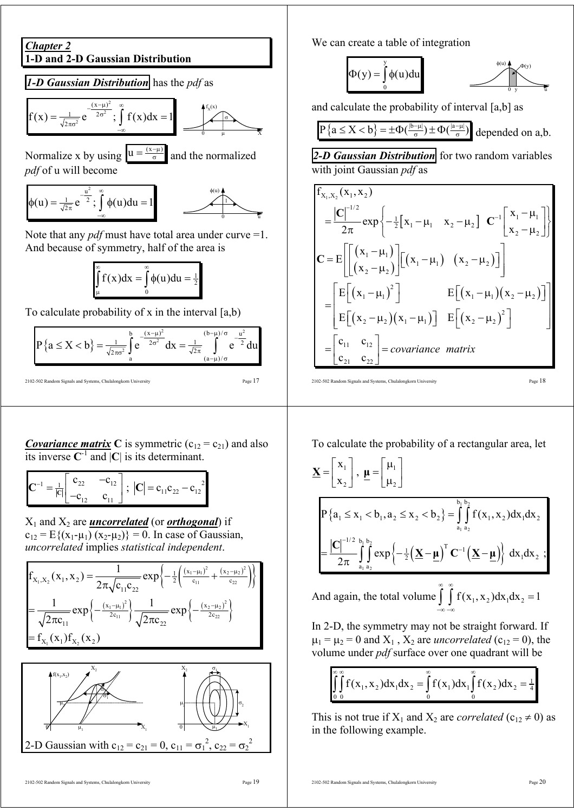

To calculate probability of x in the interval  $[a,b)$ 

$$
P\left\{a\leq X
$$

2102-502 Random Signals and Systems, Chulalongkorn University Page 17

*Covariance matrix* C is symmetric  $(c_{12} = c_{21})$  and also its inverse  $C^{-1}$  and  $|C|$  is its determinant.

$$
\mathbf{C}^{-1} = \frac{1}{|C|} \begin{bmatrix} c_{22} & -c_{12} \ -c_{12} & c_{11} \end{bmatrix}; \ |\mathbf{C}| = c_{11}c_{22} - c_{12}^{2}
$$

 $X_1$  and  $X_2$  are *uncorrelated* (or *orthogonal*) if  $c_{12} = E\{(x_1 - \mu_1)(x_2 - \mu_2)\} = 0$ . In case of Gaussian, *uncorrelated* implies *statistical independent*.

$$
f_{x_1, x_2}(x_1, x_2) = \frac{1}{2\pi\sqrt{c_{11}c_{22}}} exp\left\{-\frac{1}{2}\left(\frac{(x_1 - \mu_1)^2}{c_{11}} + \frac{(x_2 - \mu_2)^2}{c_{22}}\right)\right\}
$$
  
= 
$$
\frac{1}{\sqrt{2\pi c_{11}}} exp\left\{-\frac{(x_1 - \mu_1)^2}{2c_{11}}\right\} \frac{1}{\sqrt{2\pi c_{22}}} exp\left\{-\frac{(x_2 - \mu_2)^2}{2c_{22}}\right\}
$$
  
=  $f_{x_1}(x_1) f_{x_2}(x_2)$ 



We can create a table of integration

$$
\Phi(y) = \int_{0}^{y} \phi(u) du
$$

and calculate the probability of interval [a,b] as

$$
P\left\{a \leq X < b\right\} = \pm \Phi\left(\frac{|b-\mu|}{\sigma}\right) \pm \Phi\left(\frac{|a-\mu|}{\sigma}\right) \text{ depended on } a,b.
$$

*2-D Gaussian Distribution* for two random variables with joint Gaussian *pdf* as

$$
\begin{aligned}\n&\mathbf{f}_{x_1, x_2}(x_1, x_2) \\
&= \frac{|\mathbf{C}|^{-1/2}}{2\pi} \exp\left\{-\frac{1}{2} [x_1 - \mu_1 \quad x_2 - \mu_2] \quad \mathbf{C}^{-1} \begin{bmatrix} x_1 - \mu_1 \\ x_2 - \mu_2 \end{bmatrix} \right\} \\
&\mathbf{C} = \mathbf{E} \left[ \begin{bmatrix} (x_1 - \mu_1) \\ (x_2 - \mu_2) \end{bmatrix} [x_1 - \mu_1) \quad (x_2 - \mu_2) \end{bmatrix} \right] \\
&= \begin{bmatrix} \mathbf{E} [(x_1 - \mu_1)^2] & \mathbf{E} [(x_1 - \mu_1)(x_2 - \mu_2)] \\ \mathbf{E} [(x_2 - \mu_2)(x_1 - \mu_1)] & \mathbf{E} [(x_2 - \mu_2)^2] \\ &= \begin{bmatrix} \mathbf{c}_{11} & \mathbf{c}_{12} \\ \mathbf{c}_{21} & \mathbf{c}_{22} \end{bmatrix} = \text{covariance matrix}\n\end{aligned}
$$

2102-502 Random Signals and Systems, Chulalongkorn University Page 18

To calculate the probability of a rectangular area, let

$$
\underline{\mathbf{X}} = \begin{bmatrix} \mathbf{x}_1 \\ \mathbf{x}_2 \end{bmatrix}, \ \underline{\mathbf{\mu}} = \begin{bmatrix} \mu_1 \\ \mu_2 \end{bmatrix}
$$
\n
$$
P\{a_1 \le x_1 < b_1, a_2 \le x_2 < b_2\} = \int_{a_1}^{b_1} \int_{a_2}^{b_2} f(x_1, x_2) dx_1 dx_2
$$
\n
$$
= \frac{|\mathbf{C}|^{-1/2}}{2\pi} \int_{a_1}^{b_1} \int_{a_2}^{b_2} \exp\left\{-\frac{1}{2} \left(\underline{\mathbf{X}} - \underline{\mathbf{\mu}}\right)^T \mathbf{C}^{-1} \left(\underline{\mathbf{X}} - \underline{\mathbf{\mu}}\right)\right\} dx_1 dx_2 ;
$$

And again, the total volume  $1 \int f(x_1, x_2) dx_1 dx_2 = 1$ ∞ ∞  $\iint_{-\infty}^{\infty} f(x_1, x_2) dx_1 dx_2 =$ 

In 2-D, the symmetry may not be straight forward. If  $\mu_1 = \mu_2 = 0$  and  $X_1$ ,  $X_2$  are *uncorrelated* (c<sub>12</sub> = 0), the volume under *pdf* surface over one quadrant will be

$$
\int_{0}^{\infty} \int_{0}^{\infty} f(x_1, x_2) dx_1 dx_2 = \int_{0}^{\infty} f(x_1) dx_1 \int_{0}^{\infty} f(x_2) dx_2 = \frac{1}{4}
$$

This is not true if  $X_1$  and  $X_2$  are *correlated* ( $c_{12} \neq 0$ ) as in the following example.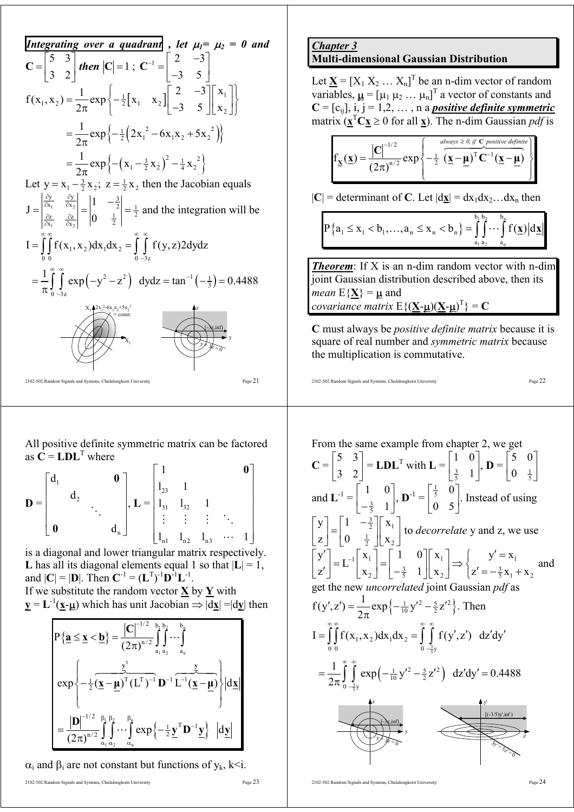**Integrating over a quadrant**, let 
$$
\mu_1 = \mu_2 = 0
$$
 and  
\n
$$
C = \begin{bmatrix} 5 & 3 \\ 3 & 2 \end{bmatrix}
$$
 then  $|C| = 1$ ;  $C^{-1} = \begin{bmatrix} 2 & -3 \\ -3 & 5 \end{bmatrix}$   
\nf(x<sub>1</sub>, x<sub>2</sub>) =  $\frac{1}{2\pi} exp \left\{-\frac{1}{2}[x_1 \ x_2] \begin{bmatrix} 2 & -3 \\ -3 & 5 \end{bmatrix} \begin{bmatrix} x_1 \\ x_2 \end{bmatrix} \right\}$   
\n
$$
= \frac{1}{2\pi} exp \left\{-\frac{1}{2}(2x_1^2 - 6x_1x_2 + 5x_2^2) \right\}
$$
\n
$$
= \frac{1}{2\pi} exp \left\{-\frac{x_1 - 3}{2x_2}; \ z = \frac{1}{2}x_2 \text{ then the Jacobian equals}
$$
\n
$$
J = \begin{vmatrix} \frac{\partial y}{\partial x_1} & \frac{\partial y}{\partial x_2} \\ \frac{\partial z}{\partial x_1} & \frac{\partial z}{\partial x_2} \end{vmatrix} = \begin{vmatrix} 1 & -\frac{3}{2} \\ 0 & \frac{1}{2} \end{vmatrix} = \frac{1}{2} and the integration will be
$$
\n
$$
I = \int_{0}^{\infty} \int_{0}^{\infty} f(x_1, x_2) dx_1 dx_2 = \int_{0}^{\infty} \int_{0}^{\infty} f(y, z) 2 dy dz
$$
\n
$$
= \frac{1}{\pi} \int_{0}^{\infty} \int_{0}^{\infty} exp(-y^2 - z^2) dy dz = tan^{-1}(-\frac{1}{3}) = 0.4488
$$
\n
$$
= \frac{x_1 \lambda x_2 z_6 x_1 x_3 + 5x_3^2}{x_1 \lambda x_2 z_6 x_1 x_3 + 5x_3^2}
$$
\n
$$
= \frac{1}{\pi} \int_{0}^{\infty} exp(-y^2 - z^2) dy dz = tan^{-1}(-\frac{1}{3}) = 0.4488
$$
\n
$$
= \frac{x_1 \lambda z_3 z_6 x_1 x_3 - 5x_3 z_1 z
$$

All positive definite symmetric matrix can be factored as  $\vec{C} = \text{LDL}^T$  where

$$
\mathbf{D} = \begin{bmatrix} d_1 & & & & \mathbf{0} \\ & d_2 & & & \\ & & \ddots & & \\ \mathbf{0} & & & d_n \end{bmatrix}, \mathbf{L} = \begin{bmatrix} 1 & & & & \mathbf{0} \\ 1_{23} & 1 & & & \\ 1_{31} & 1_{32} & 1 & & \\ \vdots & \vdots & \vdots & \ddots & \\ 1_{n1} & 1_{n2} & 1_{n3} & \cdots & 1 \end{bmatrix}
$$

is a diagonal and lower triangular matrix respectively. **L** has all its diagonal elements equal 1 so that  $|L| = 1$ , and  $|C| = |D|$ . Then  $C^{-1} = (L^{T})^{-1}D^{-1}L^{-1}$ .

If we substitute the random vector 
$$
\underline{\mathbf{X}}
$$
 by  $\underline{\mathbf{Y}}$  with  
\n $\underline{\mathbf{y}} = \mathbf{L}^{-1}(\underline{\mathbf{x}} - \underline{\mathbf{\mu}})$  which has unit Jacobian  $\Rightarrow |\mathrm{d}\underline{\mathbf{x}}| = |\mathrm{d}\underline{\mathbf{y}}|$  then

$$
P\left\{\underline{\mathbf{a}} \leq \underline{\mathbf{x}} < \underline{\mathbf{b}}\right\} = \frac{\left|\mathbf{C}\right|^{-1/2}}{(2\pi)^{n/2}} \int_{a_1}^{b_1} \int_{a_2}^{b_2} \cdots \int_{a_n}^{b_n}
$$
\n
$$
\exp\left\{-\frac{1}{2}(\underline{\mathbf{x}} - \underline{\mathbf{\mu}})^T (\mathbf{L}^T)^{-1} \mathbf{D}^{-1} \overbrace{\mathbf{L}^{-1}(\underline{\mathbf{x}} - \underline{\mathbf{\mu}})}^{-1}\right\} \left| d\underline{\mathbf{x}} \right|
$$
\n
$$
= \frac{\left|\mathbf{D}\right|^{-1/2}}{(2\pi)^{n/2}} \int_{a_1}^{\beta_1} \int_{a_2}^{\beta_2} \cdots \int_{a_n}^{\beta_n} \exp\left\{-\frac{1}{2} \underline{\mathbf{y}}^T \mathbf{D}^{-1} \underline{\mathbf{y}}\right\} \left| d\underline{\mathbf{y}} \right|
$$

 $\alpha_i$  and  $\beta_i$  are not constant but functions of  $y_k$ , k<i.

#### *Chapter 3* **Multi-dimensional Gaussian Distribution**

Let  $\underline{\mathbf{X}} = [X_1 \ X_2 \ ... \ X_n]^T$  be an n-dim vector of random variables,  $\underline{\mu} = [\mu_1 \mu_2 \dots \mu_n]^T$  a vector of constants and  $C = [c_{ij}], i, j = 1, 2, \ldots, n$  a *positive definite symmetric* matrix  $(\mathbf{x}^T \mathbf{C} \mathbf{x} \ge 0 \text{ for all } \mathbf{x})$ . The n-dim Gaussian *pdf* is

$$
f_{\underline{\mathbf{x}}}(\underline{\mathbf{x}}) = \frac{|\mathbf{C}|^{-1/2}}{(2\pi)^{n/2}} \exp\left\{-\frac{1}{2} \left(\underline{\mathbf{x}} - \underline{\mathbf{\mu}}\right)^{T} \mathbf{C}^{-1} (\underline{\mathbf{x}} - \underline{\mathbf{\mu}})}{\left(\underline{\mathbf{x}} - \underline{\mathbf{\mu}}\right)^{T} \mathbf{C}^{-1} (\underline{\mathbf{x}} - \underline{\mathbf{\mu}})}\right\}
$$

 $|C|$  = determinant of C. Let  $|dx| = dx_1 dx_2...dx_n$  then

$$
P\left\{a_{1} \leq x_{1} < b_{1}, \ldots, a_{n} \leq x_{n} < b_{n}\right\} = \int_{a_{1}}^{b_{1}} \int_{a_{1}}^{b_{2}} \cdots \int_{a_{n}}^{b_{n}} f(\underline{x}) d\underline{x}
$$

*Theorem*: If X is an n-dim random vector with n-dim joint Gaussian distribution described above, then its *mean*  $E{X} = \mu$  and *covariance matrix*  $E\{(\underline{X} \cdot \underline{\mu})(\underline{X} \cdot \underline{\mu})^T\} = C$ 

**C** must always be *positive definite matrix* because it is square of real number and *symmetric matrix* because the multiplication is commutative.

$$
2102-502\text{ Random Signals and Systems, Chulalongkorn University}\textcolor{red}{\bullet}\textcolor{red}{\bullet}\textcolor{red}{\bullet}\textcolor{red}{\bullet}\textcolor{red}{\bullet}\textcolor{red}{\bullet}\textcolor{red}{\bullet}\textcolor{red}{\bullet}\textcolor{red}{\bullet}\textcolor{red}{\bullet}\textcolor{red}{\bullet}\textcolor{red}{\bullet}\textcolor{red}{\bullet}\textcolor{red}{\bullet}\textcolor{red}{\bullet}\textcolor{red}{\bullet}\textcolor{red}{\bullet}\textcolor{red}{\bullet}\textcolor{red}{\bullet}\textcolor{red}{\bullet}\textcolor{red}{\bullet}\textcolor{red}{\bullet}\textcolor{red}{\bullet}\textcolor{red}{\bullet}\textcolor{red}{\bullet}\textcolor{red}{\bullet}\textcolor{red}{\bullet}\textcolor{red}{\bullet}\textcolor{red}{\bullet}\textcolor{red}{\bullet}\textcolor{red}{\bullet}\textcolor{red}{\bullet}\textcolor{red}{\bullet}\textcolor{red}{\bullet}\textcolor{red}{\bullet}\textcolor{red}{\bullet}\textcolor{red}{\bullet}\textcolor{red}{\bullet}\textcolor{red}{\bullet}\textcolor{red}{\bullet}\textcolor{red}{\bullet}\textcolor{red}{\bullet}\textcolor{red}{\bullet}\textcolor{red}{\bullet}\textcolor{red}{\bullet}\textcolor{red}{\bullet}\textcolor{red}{\bullet}\textcolor{red}{\bullet}\textcolor{red}{\bullet}\textcolor{red}{\bullet}\textcolor{red}{\bullet}\textcolor{red}{\bullet}\textcolor{red}{\bullet}\textcolor{red}{\bullet}\textcolor{red}{\bullet}\textcolor{red}{\bullet}\textcolor{red}{\bullet}\textcolor{red}{\bullet}\textcolor{red}{\bullet}\textcolor{red}{\bullet}\textcolor{red}{\bullet}\textcolor{red}{\bullet}\textcolor{red}{\bullet}\textcolor{red}{\bullet}\textcolor{red}{\bullet}\textcolor{red}{\bullet}\textcolor{red}{\bullet}\textcolor{red}{\bullet}\textcolor{red}{\bullet}\textcolor{red}{\bullet}\textcolor{red}{\bullet}\textcolor{red}{\bullet}\textcolor{red}{\bullet}\textcolor{red}{\bullet}\textcolor{red}{\bullet}\textcolor{red}{\bullet}\textcolor{red}{\bullet}\textcolor{red}{\bullet}\textcolor{red}{\bullet}\textcolor{red}{\bullet}\textcolor{red}{\bullet}\textcolor{red}{\bullet}\textcolor{red}{\bullet}\textcolor{red}{\bullet}\textcolor{red}{\bullet}\textcolor{red}{\bullet}\textcolor{red}{\bullet}\textcolor{red}{\bullet}\textcolor{red}{\bullet}\textcolor{red}{\bullet}\textcolor{red}{\bullet}\textcolor{red}{\bullet}\
$$

From the same example from chapter 2, we get  
\n
$$
C = \begin{bmatrix} 5 & 3 \ 3 & 2 \end{bmatrix} = LDL^{T} with L = \begin{bmatrix} 1 & 0 \ \frac{3}{5} & 1 \end{bmatrix}, D = \begin{bmatrix} 5 & 0 \ 0 & \frac{1}{5} \end{bmatrix}
$$
\nand  $L^{-1} = \begin{bmatrix} 1 & 0 \ -\frac{3}{5} & 1 \end{bmatrix}, D^{-1} = \begin{bmatrix} \frac{1}{5} & 0 \ 0 & 5 \end{bmatrix}.$  Instead of using\n
$$
\begin{bmatrix} y \ z \ z \end{bmatrix} = \begin{bmatrix} 1 & -\frac{3}{2} \ x \ z \end{bmatrix} \begin{bmatrix} x_1 \ x_2 \end{bmatrix} + \begin{bmatrix} x_1 \ y_2 \end{bmatrix} = \begin{bmatrix} 1 & 0 \ -\frac{3}{5} & 1 \end{bmatrix} \begin{bmatrix} x_1 \ x_2 \end{bmatrix} \Rightarrow \begin{bmatrix} y' = x_1 \ z' = -\frac{3}{5}x_1 + x_2 \end{bmatrix} \text{ and get the new uncorrelated joint Gaussian pdf as}
$$
\n
$$
f(y', z') = \frac{1}{2\pi} \exp\{-\frac{1}{10}y'^2 - \frac{5}{2}z'^2\}.
$$
\nThen\n
$$
I = \int_0^\infty \int_0^x f(x_1, x_2) dx_1 dx_2 = \int_0^\infty \int_0^x f(y', z') dz'dy'
$$
\n
$$
= \frac{1}{2\pi} \int_0^\infty \int_0^x \exp(-\frac{1}{10}y'^2 - \frac{5}{2}z'^2) dz'dy' = 0.4488
$$
\n
$$
\therefore \frac{1}{2\pi} \int_0^x \frac{1}{2} \exp(-\frac{1}{10}y'^2 - \frac{5}{2}z'^2) dz'dy' = 0.4488
$$
\n
$$
\therefore \frac{1}{2\pi} \int_0^x \frac{1}{2} \exp(-\frac{1}{10}y'^2 - \frac{5}{2}z'^2) dz'dy' = 0.4488
$$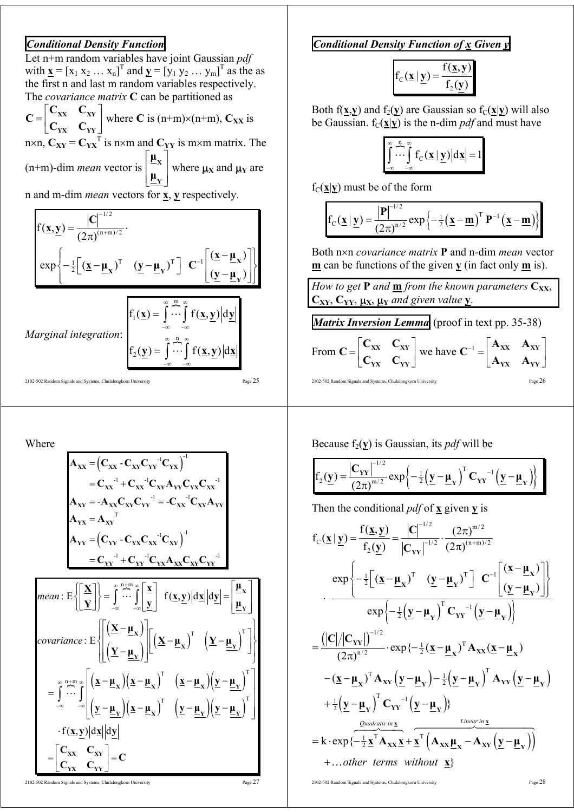## *Conditional Density Function*

Let n+m random variables have joint Gaussian *pdf* with  $\underline{\mathbf{x}} = [x_1 x_2 ... x_n]^T$  and  $\underline{\mathbf{y}} = [y_1 y_2 ... y_m]^T$  as the as the first n and last m random variables respectively. The *covariance matrix* **C** can be partitioned as

 $=\begin{bmatrix} C_{XX} & C_{XY} \ C_{YX} & C_{YY} \end{bmatrix}$ **YX YY**  $C_{xx}$  C **C**  $\begin{bmatrix} C_{XX} & C_{XY} \\ C_{YY} & C_{YY} \end{bmatrix}$  where **C** is (n+m)×(n+m),  $C_{XX}$  is n×n,  $C_{XY} = C_{YX}^T$  is n×m and  $C_{YY}$  is m×m matrix. The (n+m)-dim *mean* vector is  $\vert \mu_{\rm v} \vert$  $\vert$   $^{-1}$   $\vert$  $\lfloor \frac{\mu}{\pm \mathrm{Y}} \rfloor$ **X Y µ**  $\begin{bmatrix} -x \\ y \end{bmatrix}$  where  $\mu_X$  and  $\mu_Y$  are

n and m-dim *mean* vectors for **x**, **y** respectively.

$$
f(\underline{x}, \underline{y}) = \frac{|C|^{-1/2}}{(2\pi)^{(n+m)/2}}.
$$
  
\n
$$
\exp \left\{-\frac{1}{2} \Big[ (\underline{x} - \underline{\mu}_x)^T \quad (\underline{y} - \underline{\mu}_y)^T \Big] C^{-1} \Big[ \frac{(\underline{x} - \underline{\mu}_x)}{(\underline{y} - \underline{\mu}_y)} \Big] \right\}
$$
  
\n
$$
Marginal integration: \left\{ f_1(\underline{x}) = \int_{-\infty}^{\infty} \cdots \int_{-\infty}^{m} f(\underline{x}, \underline{y}) \Big| d\underline{y} \Big|
$$
  
\n
$$
f_2(\underline{y}) = \int_{-\infty}^{\infty} \cdots \int_{-\infty}^{n} f(\underline{x}, \underline{y}) \Big| d\underline{x} \Big|
$$
  
\n
$$
f_2(\underline{y}) = \int_{-\infty}^{\infty} \cdots \int_{-\infty}^{n} f(\underline{x}, \underline{y}) \Big| d\underline{x} \Big|
$$
  
\n
$$
F_{\text{age 25}}
$$

Where

$$
A_{xx} = (C_{xx} - C_{xy}C_{yy}^{-1}C_{yx})^{-1}
$$
\n
$$
= C_{xx}^{-1} + C_{xx}^{-1}C_{xy}A_{yy}C_{yx}C_{xx}^{-1}
$$
\n
$$
A_{xy} = -A_{xx}C_{xy}C_{xy}^{-1} = -C_{xx}^{-1}C_{xy}A_{yy}
$$
\n
$$
A_{yx} = (C_{yy} - C_{yx}C_{xx}^{-1}C_{xy})^{-1}
$$
\n
$$
= C_{yy}^{-1} + C_{yy}^{-1}C_{yx}A_{xx}C_{xy}C_{yy}^{-1}
$$
\n
$$
mean: E\left\{\left[\frac{x}{y}\right]\right\} = \int_{-\infty}^{\infty} \prod_{-\infty}^{\infty} \left[\frac{x}{y}\right] f(\underline{x}, \underline{y}) |d\underline{x}| |d\underline{y}| = \left[\frac{\mu}{\underline{\mu}_{y}}\right]
$$
\n
$$
covariance: E\left\{\left[\frac{x-\mu_{x}}{y}\right] \right] \left[\left(\underline{x}-\mu_{x}\right)^{T} \left(\underline{y}-\underline{\mu}_{y}\right)^{T}\right]\right\}
$$
\n
$$
= \int_{-\infty}^{\infty} \prod_{-\infty}^{\infty} \left[\frac{x-\mu_{x}}{y}\right] \left[\underline{x}-\mu_{x}\right)^{T} \left[\underline{y}-\underline{\mu}_{x}\right] \left[\underline{y}-\underline{\mu}_{y}\right)^{T}\right]
$$
\n
$$
\cdot f(\underline{x}, \underline{y}) |d\underline{x}| |d\underline{y}|
$$
\n
$$
= \left[C_{xx} C_{xy} C_{yy}\right] = C
$$

2102-502 Random Signals and Systems, Chulalongkorn University Page 27

*Conditional Density Function of x Given y*

$$
f_C(\underline{x} | \underline{y}) = \frac{f(\underline{x}, \underline{y})}{f_2(\underline{y})}
$$

Both f( $\mathbf{x}, \mathbf{y}$ ) and f<sub>2</sub>( $\mathbf{y}$ ) are Gaussian so f<sub>C</sub>( $\mathbf{x}|\mathbf{y}$ ) will also be Gaussian.  $f_C(\mathbf{x}|\mathbf{y})$  is the n-dim *pdf* and must have

$$
\int_{-\infty}^{\infty} \cdots \int_{-\infty}^{\infty} f_C(\underline{\mathbf{x}} \mid \underline{\mathbf{y}}) \Big| d\underline{\mathbf{x}} = 1
$$

 $f_C(\underline{x}|\underline{y})$  must be of the form

$$
f_C(\underline{\mathbf{x}} | \underline{\mathbf{y}}) = \frac{|\mathbf{P}|^{-1/2}}{(2\pi)^{n/2}} \exp \left\{-\frac{1}{2}(\underline{\mathbf{x}} - \underline{\mathbf{m}})^T \mathbf{P}^{-1}(\underline{\mathbf{x}} - \underline{\mathbf{m}})\right\}
$$

Both n×n *covariance matrix* **P** and n-dim *mean* vector **m** can be functions of the given **y** (in fact only **m** is).

*How to get* **P** *and*  $\underline{\mathbf{m}}$  *from the known parameters*  $\mathbf{C}_{\mathbf{XX}}$ *,*  $C_{XY}$ ,  $C_{YY}$ ,  $\underline{\mu}_{X}$ ,  $\underline{\mu}_{Y}$  *and given value*  $\underline{Y}$ .

*Matrix Inversion Lemma* (proof in text pp. 35-38)

$$
\text{From } \mathbf{C} = \begin{bmatrix} \mathbf{C}_{\mathbf{XX}} & \mathbf{C}_{\mathbf{XY}} \\ \mathbf{C}_{\mathbf{YX}} & \mathbf{C}_{\mathbf{YY}} \end{bmatrix} \text{ we have } \mathbf{C}^{-1} = \begin{bmatrix} \mathbf{A}_{\mathbf{XX}} & \mathbf{A}_{\mathbf{XY}} \\ \mathbf{A}_{\mathbf{YX}} & \mathbf{A}_{\mathbf{YY}} \end{bmatrix}
$$
  
\n<sub>2102-502 Random Signals and Systems, Chulalongkom University</sub>

Because  $f_2(y)$  is Gaussian, its *pdf* will be

$$
f_2(\underline{y}) = \frac{\left|C_{YY}\right|^{-1/2}}{(2\pi)^{m/2}} \exp\left\{-\frac{1}{2}\left(\underline{y} - \underline{\mu}_Y\right)^T C_{YY}^{-1}\left(\underline{y} - \underline{\mu}_Y\right)\right\}
$$

Then the conditional  $pdf$  of  $\bf{x}$  given  $\bf{y}$  is

$$
f_C(\underline{x} | \underline{y}) = \frac{f(\underline{x}, \underline{y})}{f_2(\underline{y})} = \frac{|C|^{-1/2}}{|C_{YY}|^{-1/2}} \cdot \frac{(2\pi)^{m/2}}{(2\pi)^{(n+m)/2}}
$$
  
\n
$$
\frac{\exp\left\{-\frac{1}{2}\Big[(\underline{x} - \underline{\mu}_X)^T \quad (\underline{y} - \underline{\mu}_Y)^T\Big] C^{-1}\Big[(\underline{x} - \underline{\mu}_Y)\Big]\right\}}{\exp\left\{-\frac{1}{2}\Big[(\underline{y} - \underline{\mu}_Y)^T C_{YY}^{-1}(\underline{y} - \underline{\mu}_Y)\Big]\right\}}
$$
  
\n
$$
= \frac{(|C|/|C_{YY}|)^{-1/2}}{(2\pi)^{n/2}} \cdot \exp\left\{-\frac{1}{2}(\underline{x} - \underline{\mu}_X)^T A_{XX}(\underline{x} - \underline{\mu}_X)\right\}
$$
  
\n
$$
-(\underline{x} - \underline{\mu}_X)^T A_{XX}(\underline{y} - \underline{\mu}_Y) - \frac{1}{2}(\underline{y} - \underline{\mu}_Y)^T A_{YY}(\underline{y} - \underline{\mu}_Y)
$$
  
\n
$$
+ \frac{1}{2}(\underline{y} - \underline{\mu}_Y)^T C_{YY}^{-1}(\underline{y} - \underline{\mu}_Y)
$$
  
\n
$$
= k \cdot \exp\left\{-\frac{1}{2} \underline{x}^T A_{XX} \underline{x} + \underline{x}^T (A_{XX} \underline{\mu}_X - A_{XY}(\underline{y} - \underline{\mu}_Y))\right\}
$$
  
\n
$$
+ ... \text{other terms without } \underline{x}
$$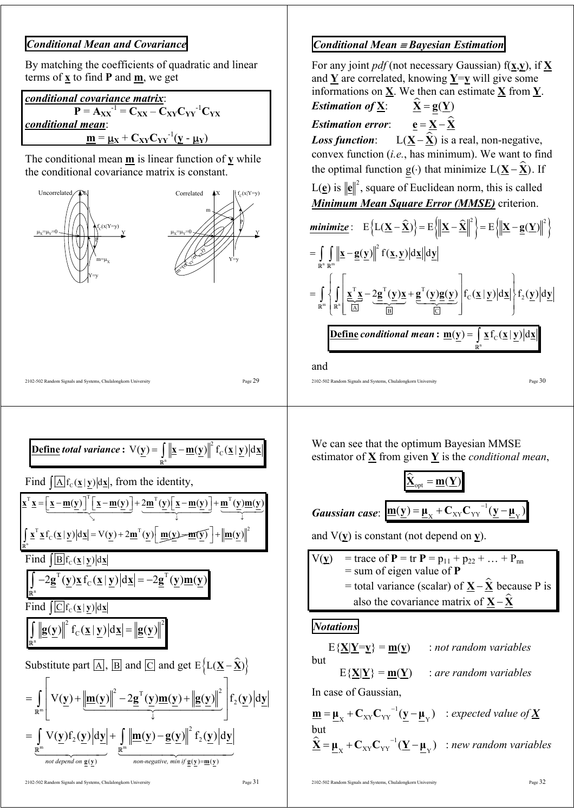## *Conditional Mean and Covariance*

By matching the coefficients of quadratic and linear terms of **x** to find **P** and **m**, we get

| conditional covariance matrix:                                                                                                                                                                               |  |
|--------------------------------------------------------------------------------------------------------------------------------------------------------------------------------------------------------------|--|
| $\mathbf{P} = \mathbf{A}_{\mathbf{X}\mathbf{X}}^{-1} = \mathbf{C}_{\mathbf{X}\mathbf{X}} - \mathbf{C}_{\mathbf{X}\mathbf{Y}} \mathbf{C}_{\mathbf{Y}\mathbf{Y}}^{-1} \mathbf{C}_{\mathbf{Y}\mathbf{X}}$       |  |
| conditional mean:                                                                                                                                                                                            |  |
| $\underline{\mathbf{m}} = \underline{\mathbf{\mu}}_{\mathbf{X}} + \mathbf{C}_{\mathbf{X}\mathbf{Y}} \mathbf{C}_{\mathbf{Y}\mathbf{Y}}^{-1} (\underline{\mathbf{y}} - \underline{\mathbf{\mu}}_{\mathbf{Y}})$ |  |

The conditional mean **m** is linear function of **y** while the conditional covariance matrix is constant.



#### n  $\underline{\textbf{Define}}$  total variance :  $\nabla(\underline{\mathbf{y}}) = \int \left\| \underline{\mathbf{x}} - \underline{\mathbf{m}}(\underline{\mathbf{y}}) \right\|^2 f_c(\underline{\mathbf{x}} \mid \underline{\mathbf{y}}) |\mathrm{d}\underline{\mathbf{x}}$ **R**

2102-502 Random Signals and Systems, Chulalongkorn University Page 29

Find  $\left[\overline{A}f_c(\underline{x}|y)|\mathrm{d}\underline{x}\right]$ , from the identity,  $\underline{\mathbf{x}}^{\mathrm{T}}\underline{\mathbf{x}} = \underline{\underline{\mathbf{x}} - \underline{\mathbf{m}}(\underline{\mathbf{y}})}^{\mathrm{T}}\underline{\underline{\mathbf{x}} - \underline{\mathbf{m}}(\underline{\mathbf{y}})} + \frac{2\underline{\mathbf{m}}^{\mathrm{T}}(\underline{\mathbf{y}})}{\underline{\underline{\mathbf{x}} - \underline{\mathbf{m}}(\underline{\mathbf{y}})}} + \underline{\underline{\mathbf{m}}^{\mathrm{T}}(\underline{\mathbf{y}})\underline{\mathbf{m}}(\underline{\mathbf{y}})}$ ↓ ↓  $\searrow$ 

n  $\int \underline{\mathbf{x}}^T \underline{\mathbf{x}} f_C(\underline{\mathbf{x}} | \underline{\mathbf{y}}) |\mathrm{d} \underline{\mathbf{x}}| = \mathbf{V}(\underline{\mathbf{y}}) + 2 \underline{\mathbf{m}}^T(\underline{\mathbf{y}}) \left[ \underline{\mathbf{m}}(\underline{\mathbf{y}}) - \underline{\mathbf{m}}(\underline{\mathbf{y}}) \right] + ||\underline{\mathbf{m}}(\underline{\mathbf{y}})||^2$ **R** Find  $[**B**$ f<sub>c</sub>( $\times$ |y)|dx|

$$
\int_{\mathbb{R}^n} -2\underline{\mathbf{g}}^{\mathrm{T}}(\underline{\mathbf{y}})\underline{\mathbf{x}}\,\mathbf{f}_C(\underline{\mathbf{x}}\,|\,\underline{\mathbf{y}})\big|d\underline{\mathbf{x}}\big| = -2\underline{\mathbf{g}}^{\mathrm{T}}(\underline{\mathbf{y}})\underline{\mathbf{m}}(\underline{\mathbf{y}})
$$

Find  $\left[ \overline{C} \right] f_c(\underline{x} | y) | d \underline{x}$ 

n

**R**

$$
\int_{\mathbb{R}^n} \left\| \underline{\mathbf{g}}(\underline{\mathbf{y}}) \right\|^2 f_c(\underline{\mathbf{x}} \mid \underline{\mathbf{y}}) \left| d\underline{\mathbf{x}} \right| = \left\| \underline{\mathbf{g}}(\underline{\mathbf{y}}) \right\|^2
$$

Substitute part 
$$
[\underline{A}]
$$
,  $[\underline{B}]$  and  $[\underline{C}]$  and get  $E \{L(\underline{X} - \hat{\underline{X}})\}$   
\n
$$
= \int_{\mathbb{R}^m} \left[ V(\underline{y}) + \left| \underline{m}(\underline{y}) \right|^2 - 2\underline{g}^T(\underline{y})\underline{m}(\underline{y}) + \left| \underline{g}(\underline{y}) \right|^2 \right] f_2(\underline{y}) d\underline{y}
$$
\n
$$
= \int_{\mathbb{R}^m} V(\underline{y}) f_2(\underline{y}) d\underline{y} + \int_{\mathbb{R}^m} \left| \underline{m}(\underline{y}) - \underline{g}(\underline{y}) \right|^2 f_2(\underline{y}) d\underline{y} \right|
$$
\n
$$
= \int_{\text{not depend on } g(y)} V(\underline{y}) f_2(\underline{y}) d\underline{y} + \int_{\text{non-negative, min if } g(y) = m(y)} \left| \frac{g(y)}{g(y)} \right|
$$

## *Conditional Mean* ≡ *Bayesian Estimation*

For any joint *pdf* (not necessary Gaussian) f(**x**,**y**), if **X** and  $Y$  are correlated, knowing  $Y=y$  will give some informations on **X**. We then can estimate **X** from **Y**.

**Estimation of** 
$$
\underline{\mathbf{X}}
$$
:  $\underline{\hat{\mathbf{X}}} = \underline{\mathbf{g}}(\underline{\mathbf{Y}})$ 

*Estimation error*:  $e = X - \hat{X}$ 

*Loss function*: L( $X - \hat{X}$ ) is a real, non-negative, convex function (*i.e.*, has minimum). We want to find the optimal function g( $\cdot$ ) that minimize L( $X - \hat{X}$ ). If

 $L(\underline{\mathbf{e}})$  is  $\|\underline{\mathbf{e}}\|^2$ , square of Euclidean norm, this is called *Minimum Mean Square Error (MMSE)* criterion.

$$
\underbrace{\text{minimize}}_{\mathbb{R}^n} : E\left\{L(\underline{\mathbf{X}} - \hat{\underline{\mathbf{X}}})\right\} = E\left\{\left\|\underline{\mathbf{X}} - \hat{\underline{\mathbf{X}}}\right\|^2\right\} = E\left\{\left\|\underline{\mathbf{X}} - \underline{\mathbf{g}}(\underline{\mathbf{Y}})\right\|^2\right\}
$$
\n
$$
= \iint_{\mathbb{R}^n} \left\|\underline{\mathbf{x}} - \underline{\mathbf{g}}(\underline{\mathbf{y}})\right\|^2 f(\underline{\mathbf{x}}, \underline{\mathbf{y}}) |d\underline{\mathbf{x}}| |d\underline{\mathbf{y}}|
$$
\n
$$
= \iint_{\mathbb{R}^n} \left\{\int_{\mathbb{R}^n} \left[\frac{\underline{\mathbf{x}}^T \underline{\mathbf{x}}}{\hat{\mathbf{A}}^T} - 2\underline{\mathbf{g}}^T(\underline{\mathbf{y}})\underline{\mathbf{x}} + \underline{\mathbf{g}}^T(\underline{\mathbf{y}})\underline{\mathbf{g}}(\underline{\mathbf{y}})\right] f_C(\underline{\mathbf{x}} \mid \underline{\mathbf{y}}) |d\underline{\mathbf{x}}|\right\} f_2(\underline{\mathbf{y}}) |d\underline{\mathbf{y}}|
$$
\n
$$
\underbrace{\text{Define conditional mean}: \underline{\mathbf{m}}(\underline{\mathbf{y}}) = \int_{\mathbb{R}^n} \underline{\mathbf{x}} f_C(\underline{\mathbf{x}} \mid \underline{\mathbf{y}}) |d\underline{\mathbf{x}}|}_{\mathbb{R}^n}
$$

and

2102-502 Random Signals and Systems, Chulalongkorn University Page  $30$ 

We can see that the optimum Bayesian MMSE estimator of **X** from given **Y** is the *conditional mean*,

$$
\underline{\hat{\mathbf{\underline{X}}}}_{opt} = \underline{\mathbf{m}}(\underline{\mathbf{Y}})
$$
  
Gaussian case: 
$$
\underline{\mathbf{m}}(\underline{\mathbf{y}}) = \underline{\mathbf{\mu}}_{X} + \mathbf{C}_{XY}\mathbf{C}_{YY}^{-1}(\underline{\mathbf{y}} - \underline{\mathbf{\mu}}_{Y})
$$

and V(**y**) is constant (not depend on **y**).

 $\overline{V(y)}$  = trace of **P** = tr **P** =  $p_{11} + p_{22} + ... + p_{nn}$  = sum of eigen value of **P**  $=$  total variance (scalar) of  $X - \hat{X}$  because P is also the covariance matrix of  $X - \hat{X}$ 

#### *Notations*

 $E{\{\underline{X}|\underline{Y}=\underline{y}\}} = m(\underline{y})$  : *not random variables* but  $E{X|Y} = m(Y)$  : *are random variables* In case of Gaussian,  $\underline{\mathbf{m}} = \underline{\mathbf{\mu}}_{\mathbf{x}} + \mathbf{C}_{\mathbf{XY}} \mathbf{C}_{\mathbf{YY}}^{-1} (\underline{\mathbf{y}} - \underline{\mathbf{\mu}}_{\mathbf{Y}})$  : expected value of  $\underline{\mathbf{X}}$ but  $\hat{\mathbf{\underline{X}}} = \mathbf{\underline{\mu}}_{\mathbf{X}} + \mathbf{C}_{\mathbf{XY}} \mathbf{C}_{\mathbf{YY}}^{-1} (\mathbf{\underline{Y}} - \mathbf{\underline{\mu}}_{\mathbf{Y}})$  : *new random variables*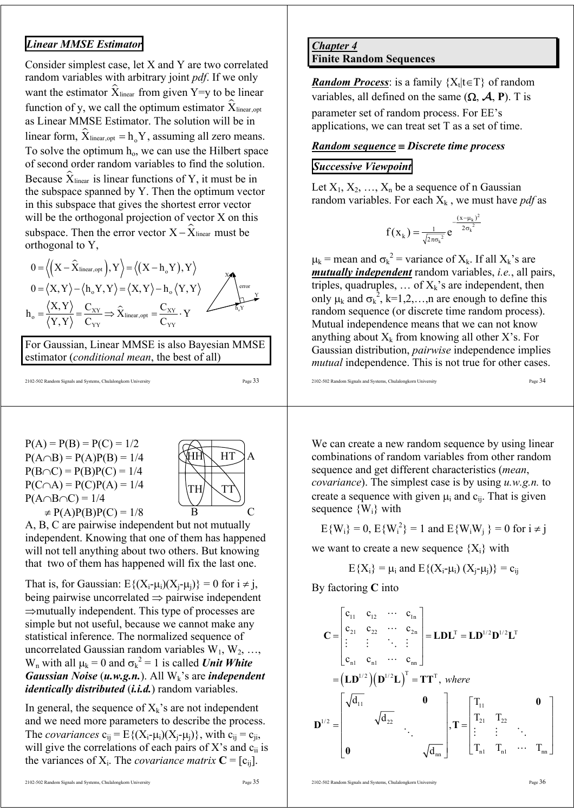## *Linear MMSE Estimator*

Consider simplest case, let X and Y are two correlated random variables with arbitrary joint *pdf*. If we only want the estimator  $\hat{X}_{\text{linear}}$  from given Y=y to be linear function of y, we call the optimum estimator  $\hat{\mathbf{X}}_{\text{linear,opt}}$ as Linear MMSE Estimator. The solution will be in linear form,  $\hat{X}_{\text{linear,opt}} = h_{\text{o}} Y$ , assuming all zero means. To solve the optimum  $h_0$ , we can use the Hilbert space of second order random variables to find the solution. Because  $\hat{X}_{\text{linear}}$  is linear functions of Y, it must be in the subspace spanned by Y. Then the optimum vector in this subspace that gives the shortest error vector will be the orthogonal projection of vector X on this subspace. Then the error vector  $X - \hat{X}$ <sub>linear</sub> must be orthogonal to Y,

$$
0 = \left\langle \left( X - \hat{X}_{\text{linear,opt}} \right), Y \right\rangle = \left\langle \left( X - h_o Y \right), Y \right\rangle
$$
  
\n
$$
0 = \left\langle X, Y \right\rangle - \left\langle h_o Y, Y \right\rangle = \left\langle X, Y \right\rangle - h_o \left\langle Y, Y \right\rangle
$$
  
\n
$$
h_o = \frac{\left\langle X, Y \right\rangle}{\left\langle Y, Y \right\rangle} = \frac{C_{XY}}{C_{YY}} \Rightarrow \hat{X}_{\text{linear,opt}} = \frac{C_{XY}}{C_{YY}} \cdot Y
$$

For Gaussian, Linear MMSE is also Bayesian MMSE estimator (*conditional mean*, the best of all)

2102-502 Random Signals and Systems, Chulalongkorn University Page 33

P(A) = P(B) = P(C) = 1/2 P(A∩B) = P(A)P(B) = 1/4 P(B∩C) = P(B)P(C) = 1/4 P(C∩A) = P(C)P(A) = 1/4 P(A∩B∩C) = 1/4 ≠ P(A)P(B)P(C) = 1/8



A, B, C are pairwise independent but not mutually independent. Knowing that one of them has happened will not tell anything about two others. But knowing that two of them has happened will fix the last one.

That is, for Gaussian:  $E\{(X_i - \mu_i)(X_i - \mu_i)\} = 0$  for  $i \neq j$ , being pairwise uncorrelated  $\Rightarrow$  pairwise independent ⇒mutually independent. This type of processes are simple but not useful, because we cannot make any statistical inference. The normalized sequence of uncorrelated Gaussian random variables  $W_1, W_2, \ldots$ ,  $W_n$  with all  $\mu_k = 0$  and  $\sigma_k^2 = 1$  is called *Unit White Gaussian Noise* (*u.w.g.n.*). All W<sub>k</sub>'s are *independent identically distributed* (*i.i.d.*) random variables.

In general, the sequence of  $X_k$ 's are not independent and we need more parameters to describe the process. The *covariances*  $c_{ii} = E\{(X_i - \mu_i)(X_i - \mu_i)\}\$ , with  $c_{ii} = c_{ii}$ , will give the correlations of each pairs of  $X$ 's and  $c_{ii}$  is the variances of  $X_i$ . The *covariance matrix*  $C = [c_{ii}]$ .

#### *Chapter 4* **Finite Random Sequences**

*Random Process*: is a family  ${X_t | t \in T}$  of random variables, all defined on the same  $(\Omega, \mathcal{A}, P)$ . T is

parameter set of random process. For EE's applications, we can treat set T as a set of time.

#### *Random sequence* ≡ *Discrete time process*

## *Successive Viewpoint*

Let  $X_1, X_2, ..., X_n$  be a sequence of n Gaussian random variables. For each  $X_k$ , we must have *pdf* as

$$
f(x_k) = \frac{1}{\sqrt{2\pi\sigma_k^2}} e^{-\frac{(x-\mu_k)^2}{2\sigma_k^2}}
$$

 $\mu_k$  = mean and  $\sigma_k^2$  = variance of  $X_k$ . If all  $X_k$ 's are *mutually independent* random variables, *i.e.*, all pairs, triples, quadruples, ... of  $X_k$ 's are independent, then only  $\mu_k$  and  $\sigma_k^2$ , k=1,2,...,n are enough to define this random sequence (or discrete time random process). Mutual independence means that we can not know anything about  $X_k$  from knowing all other X's. For Gaussian distribution, *pairwise* independence implies *mutual* independence. This is not true for other cases.

2102-502 Random Signals and Systems, Chulalongkorn University Page 34

We can create a new random sequence by using linear combinations of random variables from other random sequence and get different characteristics (*mean*, *covariance*). The simplest case is by using *u.w.g.n.* to create a sequence with given  $\mu_i$  and  $c_{ii}$ . That is given sequence  $\{W_i\}$  with

$$
E{W_i} = 0
$$
,  $E{W_i^2} = 1$  and  $E{W_iW_j} = 0$  for  $i \neq j$ 

we want to create a new sequence  ${X_i}$  with

$$
E\{X_i\} \equiv \mu_i \text{ and } E\{(X_i\text{-}\mu_i)\ (X_j\text{-}\mu_j)\} \equiv c_{ij}
$$

By factoring **C** into

$$
\mathbf{C} = \begin{bmatrix} c_{11} & c_{12} & \cdots & c_{1n} \\ c_{21} & c_{22} & \cdots & c_{2n} \\ \vdots & \vdots & \ddots & \vdots \\ c_{n1} & c_{n1} & \cdots & c_{nn} \end{bmatrix} = \mathbf{L} \mathbf{D} \mathbf{L}^{T} = \mathbf{L} \mathbf{D}^{1/2} \mathbf{D}^{1/2} \mathbf{L}^{T}
$$

$$
= (\mathbf{L} \mathbf{D}^{1/2})(\mathbf{D}^{1/2} \mathbf{L})^{T} = \mathbf{T} \mathbf{T}^{T}, \text{ where}
$$

$$
\mathbf{D}^{1/2} = \begin{bmatrix} \sqrt{d_{11}} & 0 & \\ & \sqrt{d_{22}} & \\ 0 & & \sqrt{d_{nn}} \end{bmatrix}, \mathbf{T} = \begin{bmatrix} T_{11} & 0 & \\ T_{21} & T_{22} & \\ \vdots & \vdots & \ddots & \\ T_{n1} & T_{n1} & \cdots & T_{nn} \end{bmatrix}
$$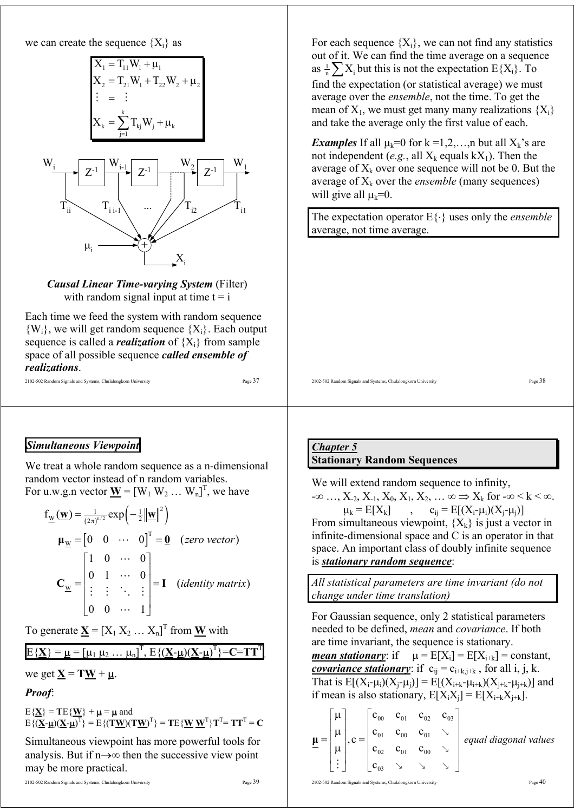we can create the sequence  ${X_i}$  as

$$
X_1 = T_{11}W_1 + \mu_1
$$
  
\n
$$
X_2 = T_{21}W_1 + T_{22}W_2 + \mu_2
$$
  
\n
$$
\vdots = \vdots
$$
  
\n
$$
X_k = \sum_{j=1}^k T_{kj}W_j + \mu_k
$$



*Causal Linear Time-varying System* (Filter) with random signal input at time  $t = i$ 

Each time we feed the system with random sequence  ${W_i}$ , we will get random sequence  ${X_i}$ . Each output sequence is called a *realization* of  ${X_i}$  from sample space of all possible sequence *called ensemble of realizations*.

```
2102-502 Random Signals and Systems, Chulalongkorn University Page 37
```
For each sequence  ${X_i}$ , we can not find any statistics out of it. We can find the time average on a sequence as  $\frac{1}{n} \sum X_i$  but this is not the expectation  $E\{X_i\}$ . To find the expectation (or statistical average) we must average over the *ensemble*, not the time. To get the mean of  $X_1$ , we must get many many realizations  $\{X_i\}$ and take the average only the first value of each.

*Examples* If all  $\mu_k=0$  for  $k=1,2,...,n$  but all  $X_k$ 's are not independent (*e.g.*, all  $X_k$  equals  $kX_1$ ). Then the average of  $X_k$  over one sequence will not be 0. But the average of  $X_k$  over the *ensemble* (many sequences) will give all  $\mu_k=0$ .

The expectation operator E{⋅} uses only the *ensemble* average, not time average.

2102-502 Random Signals and Systems, Chulalongkorn University Page 38

## *Simultaneous Viewpoint*

We treat a whole random sequence as a n-dimensional random vector instead of n random variables. For u.w.g.n vector  $\underline{\mathbf{W}} = [\mathbf{W}_1 \mathbf{W}_2 \dots \mathbf{W}_n]^T$ , we have

$$
f_{\underline{w}}(\underline{w}) = \frac{1}{(2\pi)^{n/2}} exp\left(-\frac{1}{2} ||\underline{w}||^2\right)
$$
  

$$
\mu_{\underline{w}} = \begin{bmatrix} 0 & 0 & \cdots & 0 \end{bmatrix}^T = \underline{0} \quad (zero vector)
$$
  

$$
C_{\underline{w}} = \begin{bmatrix} 1 & 0 & \cdots & 0 \\ 0 & 1 & \cdots & 0 \\ \vdots & \vdots & \ddots & \vdots \\ 0 & 0 & \cdots & 1 \end{bmatrix} = I \quad (identity matrix)
$$

To generate  $\underline{\mathbf{X}} = [X_1 \ X_2 \ ... \ X_n]^T$  from  $\underline{\mathbf{W}}$  with

 $E{\{\underline{\mathbf{X}}\}} = \underline{\mathbf{\mu}} = [\mu_1 \ \mu_2 \ \dots \ \mu_n]^T, E{\{\{\underline{\mathbf{X}}\cdot \underline{\mathbf{\mu}}\}(\underline{\mathbf{X}}\cdot \underline{\mathbf{\mu}})^T\}} = \mathbf{C} = \mathbf{T}\mathbf{T}^T$ ,

we get  $X = TW + \mu$ .

*Proof*:

 $E{\{\mathbf{X}\}} = T E{\{\mathbf{W}\}} + \mathbf{\mu} = \mathbf{\mu}$  and  $E\{(\mathbf{\underline{X}}\cdot\mathbf{\underline{\mu}})(\mathbf{\underline{X}}\cdot\mathbf{\underline{\mu}})^{\mathrm{T}}\} = E\{(\mathbf{T}\mathbf{\underline{W}})(\mathbf{T}\mathbf{\underline{W}})^{\mathrm{T}}\} = \mathbf{T}E\{\mathbf{\underline{W}}\mathbf{\underline{W}}^{\mathrm{T}}\}\mathbf{T}^{\mathrm{T}} = \mathbf{T}\mathbf{T}^{\mathrm{T}} = \mathbf{C}$ 

Simultaneous viewpoint has more powerful tools for analysis. But if n→∞ then the successive view point may be more practical.

#### *Chapter 5* **Stationary Random Sequences**

We will extend random sequence to infinity,  $-\infty$  …,  $X_{-2}$ ,  $X_{-1}$ ,  $X_0$ ,  $X_1$ ,  $X_2$ , …  $\infty \Rightarrow X_k$  for  $-\infty < k < \infty$ .  $\mu_k = E[X_k]$ ,  $c_{ij} = E[(X_i - \mu_i)(X_i - \mu_i)]$ From simultaneous viewpoint,  ${X_k}$  is just a vector in infinite-dimensional space and C is an operator in that space. An important class of doubly infinite sequence is *stationary random sequence*:

*All statistical parameters are time invariant (do not change under time translation)* 

For Gaussian sequence, only 2 statistical parameters needed to be defined, *mean* and *covariance*. If both are time invariant, the sequence is stationary.

*mean stationary*: if  $\mu = E[X_i] = E[X_{i+k}] = constant$ , *covariance stationary*: if  $c_{ij} = c_{i+k,j+k}$ , for all i, j, k. That is  $E[(X_i - \mu_i)(X_i - \mu_i)] = E[(X_{i+k} - \mu_{i+k})(X_{i+k} - \mu_{i+k})]$  and if mean is also stationary,  $E[X_iX_i] = E[X_{i+k}X_{i+k}]$ .

|  |                                   |                                                                                                                                          | $c_{00}$ $c_{01}$ $c_{02}$ $c_{03}$ |  |                       |
|--|-----------------------------------|------------------------------------------------------------------------------------------------------------------------------------------|-------------------------------------|--|-----------------------|
|  |                                   | $=$ $\begin{vmatrix} \mu \\ \mu \end{vmatrix}$ , $c = \begin{vmatrix} c_{01} & c_{00} & c_{01} \ c_{02} & c_{01} & c_{00} \end{vmatrix}$ |                                     |  | equal diagonal values |
|  |                                   |                                                                                                                                          |                                     |  |                       |
|  | $ \cdot $ $ c_{03}$ $\sim$ $\sim$ |                                                                                                                                          |                                     |  |                       |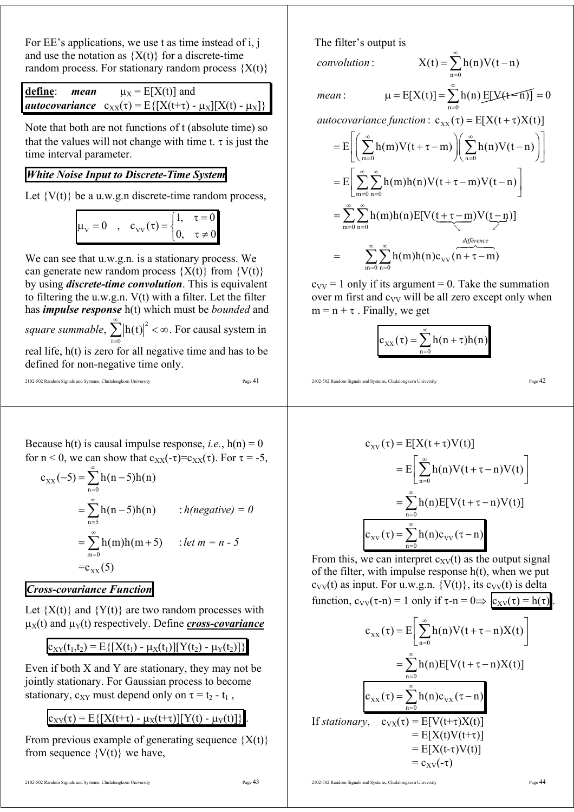For EE's applications, we use t as time instead of i, j and use the notation as  ${X(t)}$  for a discrete-time random process. For stationary random process  ${X(t)}$ 

define: *mean* 
$$
\mu_X = E[X(t)]
$$
 and  
*autocovariance*  $c_{XX}(\tau) = E\{[X(t+\tau) - \mu_X][X(t) - \mu_X]\}$ 

Note that both are not functions of t (absolute time) so that the values will not change with time t.  $\tau$  is just the time interval parameter.

### *White Noise Input to Discrete-Time System*

Let  $\{V(t)\}\$ be a u.w.g.n discrete-time random process,

$$
\mu_{\rm V} = 0 \quad , \quad c_{\rm VV}(\tau) = \begin{cases} 1, & \tau = 0 \\ 0, & \tau \neq 0 \end{cases}
$$

We can see that u.w.g.n. is a stationary process. We can generate new random process  ${X(t)}$  from  ${V(t)}$ by using *discrete-time convolution*. This is equivalent to filtering the u.w.g.n.  $V(t)$  with a filter. Let the filter has *impulse response* h(t) which must be *bounded* and

*square summable*,  $\sum_{n=1}^{\infty} |h(t)|^2 < \infty$ . For causal system in  $t = 0$ = real life, h(t) is zero for all negative time and has to be

defined for non-negative time only.

```
2102-502 Random Signals and Systems, Chulalongkorn University Page 41
```
Because  $h(t)$  is causal impulse response, *i.e.*,  $h(n) = 0$ for n < 0, we can show that  $c_{XX}(-\tau)=c_{XX}(\tau)$ . For  $\tau = -5$ ,

$$
c_{XX}(-5) = \sum_{n=0}^{\infty} h(n-5)h(n)
$$
  
=  $\sum_{n=5}^{\infty} h(n-5)h(n)$  : *h(negative)* = 0  
=  $\sum_{m=0}^{\infty} h(m)h(m+5)$  : *let m* = *n* - 5  
=  $c_{XX}(5)$ 

#### *Cross-covariance Function*

Let  ${X(t)}$  and  ${Y(t)}$  are two random processes with  $\mu_X(t)$  and  $\mu_Y(t)$  respectively. Define *cross-covariance* 

 $c_{XY}(t_1,t_2) = E\{[X(t_1) - \mu_X(t_1)][Y(t_2) - \mu_Y(t_2)]\}$ 

Even if both  $X$  and  $Y$  are stationary, they may not be jointly stationary. For Gaussian process to become stationary,  $c_{XY}$  must depend only on  $\tau = t_2 - t_1$ ,

 $c_{XY}(\tau) = E\{[X(t+\tau) - \mu_X(t+\tau)][Y(t) - \mu_Y(t)]\}$ 

From previous example of generating sequence  ${X(t)}$ from sequence  $\{V(t)\}\$  we have,

2102-502 Random Signals and Systems, Chulalongkorn University Page 44

The filter's output is

*convolution*

$$
X(t) = \sum_{n=0}^{\infty} h(n)V(t-n)
$$

*mean*

: 
$$
\mu = E[X(t)] = \sum_{n=0}^{\infty} h(n) E[Y(t=n)] = 0
$$

autocovariance function :  $c_{xx}(\tau) = E[X(t + \tau)X(t)]$ 

$$
=E\left[\left(\sum_{m=0}^{\infty}h(m)V(t+\tau-m)\right)\left(\sum_{n=0}^{\infty}h(n)V(t-n)\right)\right]
$$

$$
=E\left[\sum_{m=0}^{\infty}\sum_{n=0}^{\infty}h(m)h(n)V(t+\tau-m)V(t-n)\right]
$$

$$
=\sum_{m=0}^{\infty}\sum_{n=0}^{\infty}h(m)h(n)E[V(\underbrace{t+\tau-m}_{\text{inter}})V(\underbrace{t-n}_{\text{inter}})]
$$

$$
=\sum_{m=0}^{\infty}\sum_{n=0}^{\infty}h(m)h(n)c_{VV}(n+\tau-m)
$$

 $c_{VV}$  = 1 only if its argument = 0. Take the summation over m first and  $c_{VV}$  will be all zero except only when  $m = n + \tau$ . Finally, we get

$$
c_{XX}(\tau) = \sum_{n=0}^{\infty} h(n+\tau)h(n)
$$

2102-502 Random Signals and Systems, Chulalongkorn University Page 42

$$
c_{XV}(\tau) = E[X(t+\tau)V(t)]
$$
  
\n
$$
= E\left[\sum_{n=0}^{\infty} h(n)V(t+\tau-n)V(t)\right]
$$
  
\n
$$
= \sum_{n=0}^{\infty} h(n)E[V(t+\tau-n)V(t)]
$$
  
\n
$$
c_{XV}(\tau) = \sum_{n=0}^{\infty} h(n)c_{VV}(\tau-n)
$$

From this, we can interpret  $c_{XY}(t)$  as the output signal of the filter, with impulse response  $h(t)$ , when we put  $c_{VV}(t)$  as input. For u.w.g.n. {V(t)}, its  $c_{VV}(t)$  is delta function,  $c_{VV}(\tau-n) = 1$  only if  $\tau-n = 0 \implies c_{XV}(\tau) = h(\tau)$ .

$$
c_{XX}(\tau) = E\left[\sum_{n=0}^{\infty} h(n)V(t+\tau-n)X(t)\right]
$$
  
\n
$$
= \sum_{n=0}^{\infty} h(n)E[V(t+\tau-n)X(t)]
$$
  
\n
$$
c_{XX}(\tau) = \sum_{n=0}^{\infty} h(n)c_{XX}(\tau-n)
$$
  
\nIf stationary,  $c_{XX}(\tau) = E[V(t+\tau)X(t)]$   
\n
$$
= E[X(t)V(t+\tau)]
$$
  
\n
$$
= E[X(t-\tau)V(t)]
$$
  
\n
$$
= c_{XV}(\tau)
$$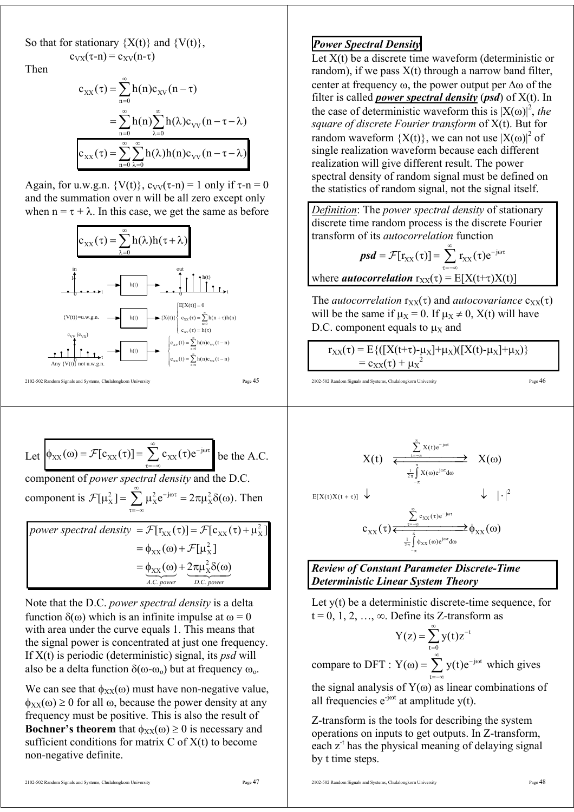So that for stationary  $\{X(t)\}\$  and  $\{V(t)\}\$ ,  $c_{VX}(\tau-n) = c_{XV}(n-\tau)$ 

Then

$$
c_{XX}(\tau) = \sum_{n=0}^{\infty} h(n)c_{XV}(n-\tau)
$$
  
= 
$$
\sum_{n=0}^{\infty} h(n) \sum_{\lambda=0}^{\infty} h(\lambda)c_{VV}(n-\tau-\lambda)
$$
  

$$
c_{XX}(\tau) = \sum_{n=0}^{\infty} \sum_{\lambda=0}^{\infty} h(\lambda)h(n)c_{VV}(n-\tau-\lambda)
$$

Again, for u.w.g.n.  $\{V(t)\}\,$ ,  $c_{VV}(\tau-n) = 1$  only if  $\tau-n = 0$ and the summation over n will be all zero except only when  $n = \tau + \lambda$ . In this case, we get the same as before



Let 
$$
\phi_{XX}(\omega) = \mathcal{F}[c_{XX}(\tau)] = \sum_{\tau=-\infty}^{\infty} c_{XX}(\tau) e^{-j\omega\tau}
$$
 be the A.C.

component of *power spectral density* and the D.C. component is  $\mathcal{F}[\mu_X^2] = \sum_{\alpha=1}^{\infty} \mu_X^2 e^{-j\omega\tau} = 2\pi \mu_X^2 \delta(\omega)$  $\mathcal{F}[\mu_X^2] = \sum_{\tau=-\infty} \mu_X^2 e^{-j\omega \tau} = 2\pi \mu_X^2 \delta(\omega)$ . Then

2 *power spectral density*  $= \mathcal{F}[r_{XX}(\tau)] = \mathcal{F}[c_{XX}(\tau) + \mu_X^2]$ 2  $= \phi_{XX}(\omega) + \mathcal{F}[\mu_X^2]$ 2  $\chi_X(\omega) + 2\pi\mu_X^2\delta(\omega)$ *A.C. power D.C. power*  $= \underbrace{\phi_{XX}(\omega)} + 2\pi \mu_X^2 \delta(\omega)$ 

Note that the D.C. *power spectral density* is a delta function δ(ω) which is an infinite impulse at  $ω = 0$ with area under the curve equals 1. This means that the signal power is concentrated at just one frequency. If X(t) is periodic (deterministic) signal, its *psd* will also be a delta function  $\delta(\omega-\omega_0)$  but at frequency  $\omega_0$ .

We can see that  $\phi_{XX}(\omega)$  must have non-negative value,  $\phi_{XX}(\omega) \ge 0$  for all  $\omega$ , because the power density at any frequency must be positive. This is also the result of **Bochner's theorem** that  $\phi_{XX}(\omega) \ge 0$  is necessary and sufficient conditions for matrix  $C$  of  $X(t)$  to become non-negative definite.

# *Power Spectral Density*

Let  $X(t)$  be a discrete time waveform (deterministic or random), if we pass  $X(t)$  through a narrow band filter, center at frequency  $\omega$ , the power output per  $\Delta\omega$  of the filter is called *power spectral density* (*psd*) of X(t). In the case of deterministic waveform this is  $|X(\omega)|^2$ , the *square of discrete Fourier transform* of X(t). But for random waveform  ${X(t)}$ , we can not use  ${X(\omega)}^2$  of single realization waveform because each different realization will give different result. The power spectral density of random signal must be defined on the statistics of random signal, not the signal itself.

*Definition*: The *power spectral density* of stationary discrete time random process is the discrete Fourier transform of its *autocorrelation* function

$$
\text{psd} = \mathcal{F}[r_{XX}(\tau)] = \sum_{\tau=-\infty}^{\infty} r_{XX}(\tau) e^{-j\omega \tau}
$$

where *autocorrelation*  $r_{XX}(\tau) = E[X(t+\tau)X(t)]$ 

The *autocorrelation*  $r_{XX}(\tau)$  and *autocovariance*  $c_{XX}(\tau)$ will be the same if  $\mu_X = 0$ . If  $\mu_X \neq 0$ ,  $X(t)$  will have D.C. component equals to  $\mu_X$  and

$$
r_{XX}(\tau) = E\{ ([X(t+\tau)-\mu_X]+\mu_X)([X(t)-\mu_X]+\mu_X) \}
$$
  
= c\_{XX}(\tau) + \mu\_X^2

2102-502 Random Signals and Systems, Chulalongkorn University Page 46

 $|\cdot|^2$ 

$$
X(t) \xrightarrow[\frac{1}{2\pi}\int\limits_{-\pi}^{\infty} X(t)e^{-j\omega t} d\omega]{X(\omega)}
$$

 $E[X(t)X(t + \tau)]$ ↓ ↓⋅

$$
c_{XX}(\tau)\frac{\sum\limits_{\tau=-\infty}^{\infty}c_{XX}(\tau)e^{-j\omega\tau}}{\frac{1}{2\pi}\int\limits_{-\pi}^{\pi}\varphi_{XX}(\omega)e^{j\omega\tau}d\omega}\varphi_{XX}(\omega)
$$

## *Review of Constant Parameter Discrete-Time Deterministic Linear System Theory*

Let y(t) be a deterministic discrete-time sequence, for  $t = 0, 1, 2, \ldots, \infty$ . Define its Z-transform as

t  $t = 0$  $Y(z) = \sum_{n=1}^{\infty} y(t)z^{-n}$  $=\sum_{t=0}$ compare to DFT :  $Y(\omega) = \sum y(t)e^{-j\omega t}$ t  $Y(\omega) = \sum_{n=1}^{\infty} y(t)e^{-j\omega}$  $\omega$ ) =  $\sum_{t=-\infty} y(t)e^{-j\omega t}$  which gives

the signal analysis of  $Y(\omega)$  as linear combinations of all frequencies  $e^{-j\omega t}$  at amplitude y(t).

Z-transform is the tools for describing the system operations on inputs to get outputs. In Z-transform, each  $z<sup>-t</sup>$  has the physical meaning of delaying signal by t time steps.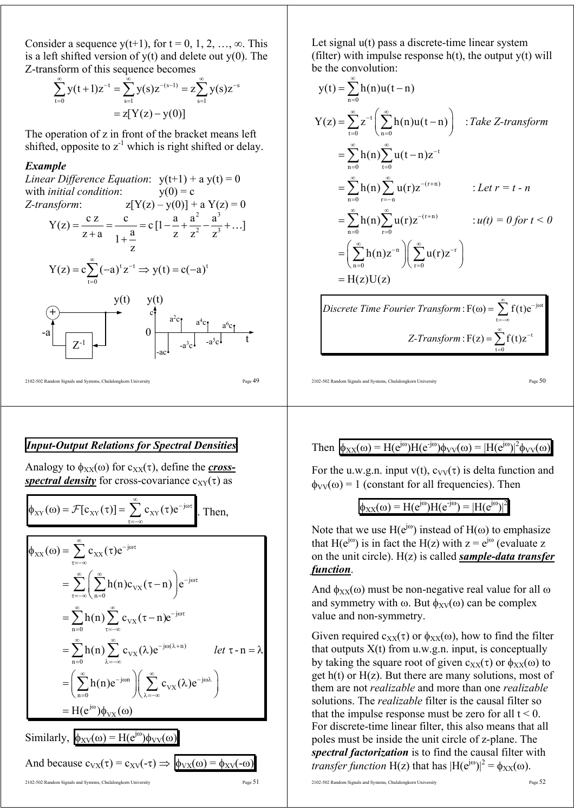Consider a sequence y(t+1), for  $t = 0, 1, 2, ..., \infty$ . This is a left shifted version of  $y(t)$  and delete out  $y(0)$ . The Z-transform of this sequence becomes

$$
\sum_{t=0}^{\infty} y(t+1)z^{-t} = \sum_{s=1}^{\infty} y(s)z^{-(s-1)} = z \sum_{s=1}^{\infty} y(s)z^{-s}
$$

$$
= z[Y(z) - y(0)]
$$

The operation of z in front of the bracket means left shifted, opposite to  $z<sup>-1</sup>$  which is right shifted or delay.

#### *Example*

Linear Difference Equation: 
$$
y(t+1) + a y(t) = 0
$$

\nwith initial condition:  $y(0) = c$ 

\nZ-transform:  $z[Y(z) - y(0)] + a Y(z) = 0$ 

\n $Y(z) = \frac{cz}{z+a} = \frac{c}{1+\frac{a}{z}} = c[1-\frac{a}{z} + \frac{a^2}{z^2} - \frac{a^3}{z^3} + \ldots]$ 

\n $Y(z) = c\sum_{t=0}^{\infty} (-a)^t z^{-t} \Rightarrow y(t) = c(-a)^t$ 

\n $y(t) = \frac{y(t)}{z^{-1}}$ 

\n $y(t) = \frac{a^2c_1}{a^2c_1^2 - a^3c_1}$ 

\n $Y(t) = \frac{a^2c_1}{a^2c_1^2 - a^5c_1}$ 

2102-502 Random Signals and Systems, Chulalongkorn University Page 49

# *Input-Output Relations for Spectral Densities*

Analogy to  $\phi_{XX}(\omega)$  for  $c_{XX}(\tau)$ , define the *crossspectral density* for cross-covariance  $c_{XY}(\tau)$  as

$$
\phi_{XY}(\omega) = \mathcal{F}[c_{XY}(\tau)] = \sum_{\tau = -\infty}^{\infty} c_{XY}(\tau) e^{-j\omega\tau}.
$$
 Then,

$$
\phi_{XX}(\omega) = \sum_{\tau=-\infty}^{\infty} c_{XX}(\tau) e^{-j\omega \tau}
$$
\n
$$
= \sum_{\tau=-\infty}^{\infty} \left( \sum_{n=0}^{\infty} h(n) c_{VX}(\tau - n) \right) e^{-j\omega \tau}
$$
\n
$$
= \sum_{n=0}^{\infty} h(n) \sum_{\tau=-\infty}^{\infty} c_{VX}(\tau - n) e^{-j\omega \tau}
$$
\n
$$
= \sum_{n=0}^{\infty} h(n) \sum_{\lambda=-\infty}^{\infty} c_{VX}(\lambda) e^{-j\omega(\lambda + n)} \qquad let \tau - n = \lambda
$$
\n
$$
= \left( \sum_{n=0}^{\infty} h(n) e^{-j\omega n} \right) \left( \sum_{\lambda=-\infty}^{\infty} c_{VX}(\lambda) e^{-j\omega \lambda} \right)
$$
\n
$$
= H(e^{j\omega}) \phi_{VX}(\omega)
$$

Similarly, 
$$
\phi_{\text{XV}}(\omega) = H(e^{j\omega})\phi_{\text{VV}}(\omega)
$$
  
And because  $c_{\text{VX}}(\tau) = c_{\text{XV}}(\tau) \Rightarrow \phi_{\text{VX}}(\omega) = \phi_{\text{XV}}(\tau)$ 

Let signal  $u(t)$  pass a discrete-time linear system (filter) with impulse response  $h(t)$ , the output  $y(t)$  will be the convolution:

$$
y(t) = \sum_{n=0}^{\infty} h(n)u(t-n)
$$
  
\n
$$
Y(z) = \sum_{t=0}^{\infty} z^{-t} \left( \sum_{n=0}^{\infty} h(n)u(t-n) \right) : Take \ Z-transform
$$
  
\n
$$
= \sum_{n=0}^{\infty} h(n) \sum_{t=0}^{\infty} u(t-n)z^{-t}
$$
  
\n
$$
= \sum_{n=0}^{\infty} h(n) \sum_{r=-n}^{\infty} u(r)z^{-(r+n)} : Let \ r = t - n
$$
  
\n
$$
= \sum_{n=0}^{\infty} h(n) \sum_{r=0}^{\infty} u(r)z^{-(r+n)} : u(t) = 0 \text{ for } t < 0
$$
  
\n
$$
= \left( \sum_{n=0}^{\infty} h(n)z^{-n} \right) \left( \sum_{r=0}^{\infty} u(r)z^{-r} \right)
$$
  
\n
$$
= H(z)U(z)
$$
  
\n
$$
Discrete Time Fourier Transform: F(\omega) = \sum_{r=0}^{\infty} f(t)e^{-j\omega t}
$$

t t  $t = 0$  $Z\text{-}Transform: F(z) = \sum_{n=0}^{\infty} f(t)z^{-n}$ =−∞ = = ∑ ∑

2102-502 Random Signals and Systems, Chulalongkorn University Page  $50$ 

## Then  $\phi_{XX}(\omega) = H(e^{j\omega})H(e^{-j\omega})\phi_{VV}(\omega) = |H(e^{j\omega})|^2\phi_{VV}(\omega)$

For the u.w.g.n. input  $v(t)$ ,  $c_{VV}(\tau)$  is delta function and  $\phi_{VV}(\omega) = 1$  (constant for all frequencies). Then

$$
\phi_{XX}(\omega) = H(e^{j\omega})H(e^{-j\omega}) = |H(e^{j\omega})|^2
$$

Note that we use  $H(e^{j\omega})$  instead of  $H(\omega)$  to emphasize that H( $e^{j\omega}$ ) is in fact the H(z) with  $z = e^{j\omega}$  (evaluate z on the unit circle). H(z) is called *sample-data transfer function*.

And  $\phi_{XX}(\omega)$  must be non-negative real value for all  $\omega$ and symmetry with  $\omega$ . But  $\phi_{\text{XV}}(\omega)$  can be complex value and non-symmetry.

Given required  $c_{XX}(\tau)$  or  $\phi_{XX}(\omega)$ , how to find the filter that outputs  $X(t)$  from u.w.g.n. input, is conceptually by taking the square root of given  $c_{xx}(\tau)$  or  $\phi_{xx}(\omega)$  to get  $h(t)$  or  $H(z)$ . But there are many solutions, most of them are not *realizable* and more than one *realizable* solutions. The *realizable* filter is the causal filter so that the impulse response must be zero for all  $t < 0$ . For discrete-time linear filter, this also means that all poles must be inside the unit circle of z-plane. The *spectral factorization* is to find the causal filter with *transfer function* H(z) that has  $|H(e^{j\omega})|^2 = \phi_{XX}(\omega)$ .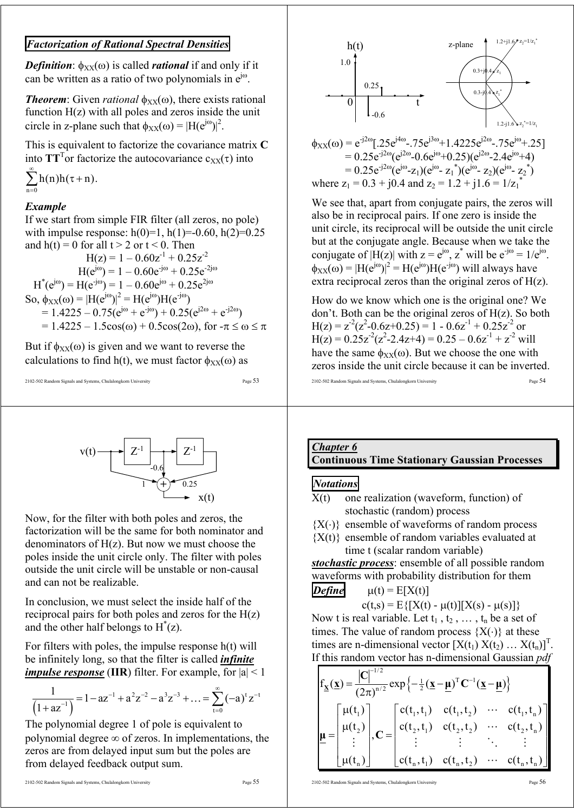## *Factorization of Rational Spectral Densities*

*Definition*:  $\phi_{XX}(\omega)$  is called *rational* if and only if it can be written as a ratio of two polynomials in  $e^{j\omega}$ .

*Theorem:* Given *rational*  $\phi_{XX}(\omega)$ , there exists rational function  $H(z)$  with all poles and zeros inside the unit circle in z-plane such that  $\phi_{XX}(\omega) = |H(e^{j\omega})|^2$ .

This is equivalent to factorize the covariance matrix **C** into  $TT<sup>T</sup>$  or factorize the autocovariance  $c_{XX}(\tau)$  into

$$
\sum_{n=0}^{\infty}h(n)h(\tau+n).
$$

#### *Example*

If we start from simple FIR filter (all zeros, no pole) with impulse response:  $h(0)=1$ ,  $h(1)=-0.60$ ,  $h(2)=0.25$ and  $h(t) = 0$  for all  $t > 2$  or  $t < 0$ . Then  $H(z) = 1 - 0.60z^{-1} + 0.25z^{-2}$  $H(e^{j\omega}) = 1 - 0.60e^{-j\omega} + 0.25e^{-2j\omega}$ 

 $H^*(e^{j\omega}) = H(e^{-j\omega}) = 1 - 0.60e^{j\omega} + 0.25e^{2j\omega}$ So,  $\phi_{XX}(\omega) = |H(e^{j\omega})|^2 = H(e^{j\omega})H(e^{-j\omega})$  $= 1.4225 - 0.75(e^{j\omega} + e^{-j\omega}) + 0.25(e^{j2\omega} + e^{-j2\omega})$  $= 1.4225 - 1.5cos(ω) + 0.5cos(2ω)$ , for  $-π ≤ ω ≤ π$ 

But if  $\phi_{XX}(\omega)$  is given and we want to reverse the calculations to find h(t), we must factor  $\phi_{XX}(\omega)$  as

```
2102-502 Random Signals and Systems, Chulalongkorn University Page 53
```




Now, for the filter with both poles and zeros, the factorization will be the same for both nominator and denominators of  $H(z)$ . But now we must choose the poles inside the unit circle only. The filter with poles outside the unit circle will be unstable or non-causal and can not be realizable.

In conclusion, we must select the inside half of the reciprocal pairs for both poles and zeros for the  $H(z)$ and the other half belongs to  $H^*(z)$ .

For filters with poles, the impulse response h(t) will be infinitely long, so that the filter is called *infinite impulse response* (IIR) filter. For example, for  $|a| < 1$ 

$$
\frac{1}{\left(1+az^{-1}\right)} = 1 - az^{-1} + a^2z^{-2} - a^3z^{-3} + \dots = \sum_{t=0}^{\infty} (-a)^t z^{-t}
$$

The polynomial degree 1 of pole is equivalent to polynomial degree  $\infty$  of zeros. In implementations, the zeros are from delayed input sum but the poles are from delayed feedback output sum.



$$
\phi_{XX}(\omega) = e^{-j2\omega} [.25e^{j4\omega}-.75e^{j3\omega}+1.4225e^{j2\omega}-.75e^{j\omega}+.25]
$$
  
= 0.25e^{-j2\omega} (e^{j2\omega} - 0.6e^{j\omega} + 0.25)(e^{j2\omega} - 2.4e^{j\omega} + 4)  
= 0.25e^{-j2\omega} (e^{j\omega} - z\_1)(e^{j\omega} - z\_1^\*)(e^{j\omega} - z\_2)(e^{j\omega} - z\_2^\*)  
where z<sub>1</sub> = 0.3 + j0.4 and z<sub>2</sub> = 1.2 + j1.6 = 1/z<sub>1</sub><sup>\*</sup>

We see that, apart from conjugate pairs, the zeros will also be in reciprocal pairs. If one zero is inside the unit circle, its reciprocal will be outside the unit circle but at the conjugate angle. Because when we take the conjugate of  $|H(z)|$  with  $z = e^{j\omega}$ ,  $z^*$  will be  $e^{-j\omega} = 1/e^{j\omega}$ .  $\phi_{XX}(\omega) = |H(e^{j\omega})|^2 = H(e^{j\omega})H(e^{-j\omega})$  will always have extra reciprocal zeros than the original zeros of H(z).

How do we know which one is the original one? We don't. Both can be the original zeros of H(z). So both  $H(z) = z^{2}(z^{2}-0.6z+0.25) = 1 - 0.6z^{1} + 0.25z^{2}$  or  $H(z) = 0.25z^{2}(z^{2}-2.4z+4) = 0.25 - 0.6z^{1} + z^{2}$  will have the same  $\phi_{XX}(\omega)$ . But we choose the one with zeros inside the unit circle because it can be inverted.

2102-502 Random Signals and Systems, Chulalongkorn University Page 54

#### *Chapter 6* **Continuous Time Stationary Gaussian Processes**

#### *Notations*

X(t) one realization (waveform, function) of stochastic (random) process

 ${X(\cdot)}$  ensemble of waveforms of random process

 ${X(t)}$  ensemble of random variables evaluated at time t (scalar random variable)

*stochastic process*: ensemble of all possible random waveforms with probability distribution for them *Define*  $\mu(t) = E[X(t)]$ 

$$
c(t,s) = E\{[X(t) - \mu(t)][X(s) - \mu(s)]\}
$$

Now t is real variable. Let  $t_1$ ,  $t_2$ , ...,  $t_n$  be a set of times. The value of random process  ${X(\cdot)}$  at these times are n-dimensional vector  $[X(t_1) X(t_2) ... X(t_n)]^T$ . If this random vector has n-dimensional Gaussian *pdf*

$$
f_{\underline{x}}(\underline{x}) = \frac{|C|^{-1/2}}{(2\pi)^{n/2}} exp\left\{-\frac{1}{2}(\underline{x} - \underline{\mu})^T C^{-1}(\underline{x} - \underline{\mu})\right\}
$$

$$
\underline{\mu} = \begin{bmatrix} \mu(t_1) \\ \mu(t_2) \\ \vdots \\ \mu(t_n) \end{bmatrix}, C = \begin{bmatrix} c(t_1, t_1) & c(t_1, t_2) & \cdots & c(t_1, t_n) \\ c(t_2, t_1) & c(t_2, t_2) & \cdots & c(t_2, t_n) \\ \vdots & \vdots & \ddots & \vdots \\ c(t_n, t_1) & c(t_n, t_2) & \cdots & c(t_n, t_n) \end{bmatrix}
$$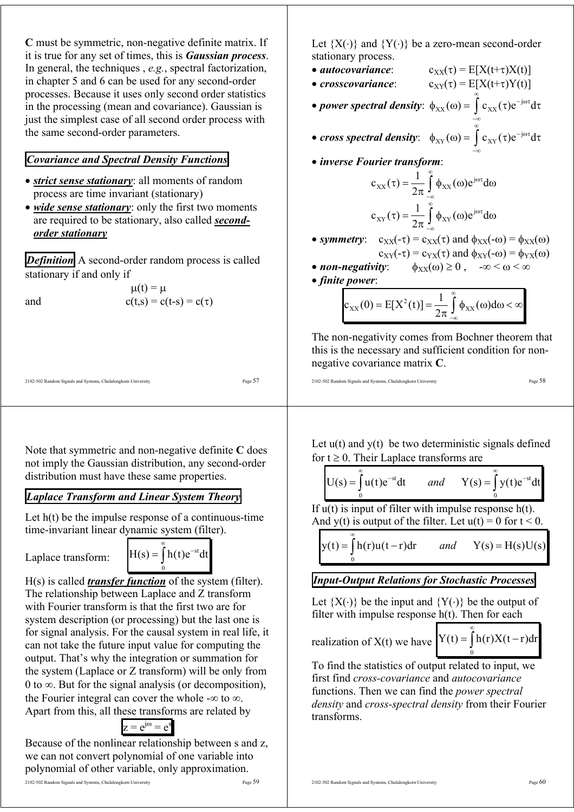**C** must be symmetric, non-negative definite matrix. If it is true for any set of times, this is *Gaussian process*. In general, the techniques , *e.g.*, spectral factorization, in chapter 5 and 6 can be used for any second-order processes. Because it uses only second order statistics in the processing (mean and covariance). Gaussian is just the simplest case of all second order process with the same second-order parameters.

## *Covariance and Spectral Density Functions*

- *strict sense stationary*: all moments of random process are time invariant (stationary)
- *wide sense stationary*: only the first two moments are required to be stationary, also called *secondorder stationary*

*Definition* A second-order random process is called stationary if and only if

and  $c(t,s)$ 

$$
\mu(t) = \mu
$$
  

$$
c(t,s) = c(t-s) = c(\tau)
$$

2102-502 Random Signals and Systems, Chulalongkorn University Page 57

Note that symmetric and non-negative definite **C** does not imply the Gaussian distribution, any second-order distribution must have these same properties.

# *Laplace Transform and Linear System Theory*

Let  $h(t)$  be the impulse response of a continuous-time time-invariant linear dynamic system (filter).

Laplace transform:

$$
H(s) = \int_{0}^{\infty} h(t)e^{-st}dt
$$

H(s) is called *transfer function* of the system (filter). The relationship between Laplace and Z transform with Fourier transform is that the first two are for system description (or processing) but the last one is for signal analysis. For the causal system in real life, it can not take the future input value for computing the output. That's why the integration or summation for the system (Laplace or Z transform) will be only from 0 to  $\infty$ . But for the signal analysis (or decomposition), the Fourier integral can cover the whole - $\infty$  to  $\infty$ . Apart from this, all these transforms are related by

 $z = e^{j\omega} = e^{s}$ 

Because of the nonlinear relationship between s and z, we can not convert polynomial of one variable into polynomial of other variable, only approximation.

Let  ${X(\cdot)}$  and  ${Y(\cdot)}$  be a zero-mean second-order stationary process.

- *autocovariance*:  $c_{XX}(\tau) = E[X(t+\tau)X(t)]$
- *crosscovariance*:  $c_{XY}(\tau) = E[X(t+\tau)Y(t)]$ ∞

• *power spectral density*:  $\phi_{XX}(\omega) = \int c_{XX}(\tau) e^{-j\omega\tau} d\tau$  $\phi_{XX}(\omega) = \int c_{XX}(\tau) e^{-j\omega\tau} d\tau$ −∞

- *cross spectral density*:  $\phi_{XY}(\omega) = \int c_{XY}(\tau) e^{-j\omega\tau} d\tau$ ∞ − jωτ  $\phi_{XY}(\omega) = \int_{-\infty}^{\infty} c_{XY}(\tau) e^{-j\omega \tau} d\tau$
- *inverse Fourier transform*:

$$
c_{XX}(\tau) = \frac{1}{2\pi} \int_{-\infty}^{\infty} \phi_{XX}(\omega) e^{j\omega \tau} d\omega
$$

$$
c_{XY}(\tau) = \frac{1}{2\pi} \int_{-\infty}^{\infty} \phi_{XY}(\omega) e^{j\omega \tau} d\omega
$$

- *symmetry*:  $c_{XX}(-\tau) = c_{XX}(\tau)$  and  $\phi_{XX}(-\omega) = \phi_{XX}(\omega)$  $c_{XY}(-\tau) = c_{YX}(\tau)$  and  $\phi_{XY}(-\omega) = \phi_{YX}(\omega)$
- *non-negativity*:  $\phi_{XX}(\omega) \ge 0$ ,  $-\infty < \omega < \infty$

• *finite power*:

$$
c_{XX}(0) = E[X^2(t)] = \frac{1}{2\pi} \int_{-\infty}^{\infty} \phi_{XX}(\omega) d\omega < \infty
$$

The non-negativity comes from Bochner theorem that this is the necessary and sufficient condition for nonnegative covariance matrix **C**.

$$
2102-502\;Random\; Signals\;and\;Systems,\;Chulalongkom\;University\;\\ \hspace*{2.2cm} Page\;58
$$

Let  $u(t)$  and  $y(t)$  be two deterministic signals defined for  $t \geq 0$ . Their Laplace transforms are

$$
U(s) = \int_{0}^{\infty} u(t)e^{-st}dt \quad \text{and} \quad Y(s) = \int_{0}^{\infty} y(t)e^{-st}dt
$$

If  $u(t)$  is input of filter with impulse response h(t). And y(t) is output of the filter. Let  $u(t) = 0$  for  $t < 0$ .

 $\boldsymbol{0}$  $y(t) = \int h(r)u(t - r)dr$  *and*  $Y(s) = H(s)U(s)$ ∞

## *Input-Output Relations for Stochastic Processes*

Let  ${X(\cdot)}$  be the input and  ${Y(\cdot)}$  be the output of filter with impulse response  $h(t)$ . Then for each

realization of X(t) we have

 $\boldsymbol{0}$  $Y(t) = \int h(r)X(t - r)dr$ ∞  $=\int h(r)X(t -$ 

To find the statistics of output related to input, we first find *cross-covariance* and *autocovariance* functions. Then we can find the *power spectral density* and *cross-spectral density* from their Fourier transforms.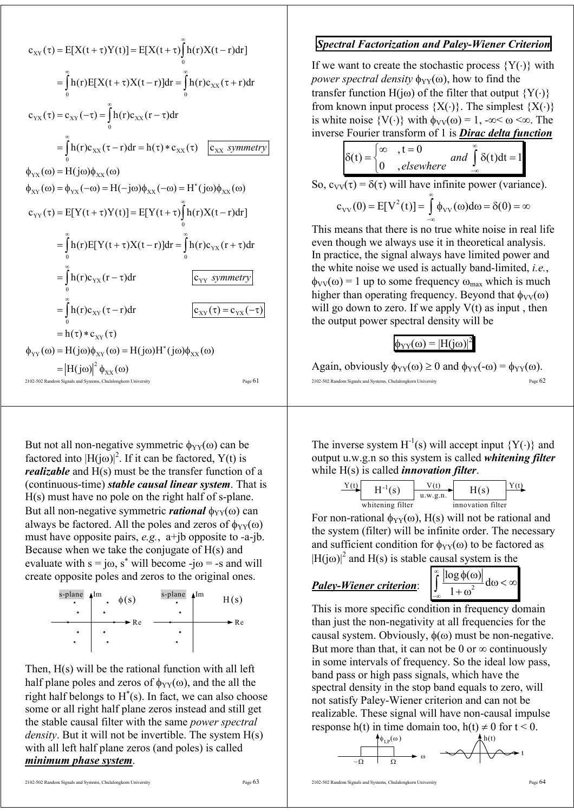$$
c_{XY}(\tau) = E[X(t+\tau)Y(t)] = E[X(t+\tau)\int_{0}^{\infty} h(\tau)X(t-\tau)d\tau]
$$
\n
$$
= \int_{0}^{\infty} h(\tau)E[X(t+\tau)X(t-\tau)]d\tau = \int_{0}^{\infty} h(\tau)c_{XX}(\tau+\tau)d\tau
$$
\n
$$
c_{YX}(\tau) = c_{XY}(-\tau) = \int_{0}^{\infty} h(\tau)c_{XX}(\tau-\tau)d\tau
$$
\n
$$
= \int_{0}^{\infty} h(\tau)c_{XX}(\tau-\tau)d\tau = h(\tau) * c_{XX}(\tau) \quad \boxed{c_{XX} \text{ symmetry}}
$$
\n
$$
\phi_{YX}(\omega) = H(j\omega)\phi_{XX}(\omega)
$$
\n
$$
c_{YY}(\tau) = E[Y(t+\tau)Y(t)] = E[Y(t+\tau)\int_{0}^{\infty} h(\tau)X(t-\tau)d\tau]
$$
\n
$$
= \int_{0}^{\infty} h(\tau)E[Y(t+\tau)X(t-\tau)]d\tau = \int_{0}^{\infty} h(\tau)c_{YX}(\tau+\tau)d\tau
$$
\n
$$
= \int_{0}^{\infty} h(\tau)c_{YX}(\tau-\tau)d\tau
$$
\n
$$
= \int_{0}^{\infty} h(\tau)c_{XY}(\tau-\tau)d\tau
$$
\n
$$
= \int_{0}^{\infty} h(\tau)c_{XY}(\tau-\tau)d\tau
$$
\n
$$
= h(\tau) * c_{XY}(\tau)
$$
\n
$$
\phi_{YY}(\omega) = H(j\omega)\phi_{XY}(\omega) = H(j\omega)H^{*}(j\omega)\phi_{XX}(\omega)
$$
\n
$$
= |H(j\omega)|^{2} \phi_{XX}(\omega)
$$
\n
$$
= \int_{\text{Page 61}}^{\infty} h(\tau)d\tau
$$

But not all non-negative symmetric  $\phi_{YY}(\omega)$  can be factored into  $[H(j\omega)]^2$ . If it can be factored, Y(t) is *realizable* and H(s) must be the transfer function of a (continuous-time) *stable causal linear system*. That is H(s) must have no pole on the right half of s-plane. But all non-negative symmetric *rational*  $φ_{YY}(ω)$  can always be factored. All the poles and zeros of  $\phi_{YY}(\omega)$ must have opposite pairs, *e.g.*, a+jb opposite to -a-jb. Because when we take the conjugate of H(s) and evaluate with  $s = j\omega$ ,  $s^*$  will become -j $\omega$  = -s and will create opposite poles and zeros to the original ones.



Then, H(s) will be the rational function with all left half plane poles and zeros of  $\phi_{YY}(\omega)$ , and the all the right half belongs to  $H^*(s)$ . In fact, we can also choose some or all right half plane zeros instead and still get the stable causal filter with the same *power spectral density*. But it will not be invertible. The system H(s) with all left half plane zeros (and poles) is called *minimum phase system*.

## *Spectral Factorization and Paley-Wiener Criterion*

If we want to create the stochastic process  ${Y(\cdot)}$  with *power spectral density*  $\phi_{YY}(\omega)$ , how to find the transfer function H(jω) of the filter that output  ${Y(\cdot)}$ from known input process  ${X(\cdot)}$ . The simplest  ${X(\cdot)}$ is white noise  $\{V(\cdot)\}\$  with  $\phi_{VV}(\omega) = 1$ , -∞<  $\omega \ll \omega$ . The inverse Fourier transform of 1 is *Dirac delta function*

$$
\delta(t) = \begin{cases}\n\infty, & t = 0 \\
0, & \text{elsewhere}\n\end{cases}
$$
\n
$$
\text{So, } c_{VV}(\tau) = \delta(\tau) \text{ will have infinite power (variance)}.
$$
\n
$$
c_{VV}(0) = E[V^{2}(t)] = \int_{-\infty}^{\infty} \phi_{VV}(\omega) d\omega = \delta(0) = \infty
$$

This means that there is no true white noise in real life even though we always use it in theoretical analysis. In practice, the signal always have limited power and the white noise we used is actually band-limited, *i.e.*,  $\phi_{VV}(\omega) = 1$  up to some frequency  $\omega_{max}$  which is much higher than operating frequency. Beyond that  $\phi_{VV}(\omega)$ will go down to zero. If we apply  $V(t)$  as input, then the output power spectral density will be

## $\phi_{YY}(\omega) = |H(j\omega)|^2$

2102-502 Random Signals and Systems, Chulalongkorn University Again, obviously  $\phi_{YY}(\omega) \ge 0$  and  $\phi_{YY}(-\omega) = \phi_{YY}(\omega)$ .

The inverse system  $H^{-1}(s)$  will accept input  ${Y(\cdot)}$  and output u.w.g.n so this system is called *whitening filter* while H(s) is called *innovation filter*.

$$
\frac{Y(t)}{V(t)}
$$

For non-rational  $\phi_{YY}(\omega)$ , H(s) will not be rational and the system (filter) will be infinite order. The necessary and sufficient condition for  $\phi_{YY}(\omega)$  to be factored as  $|H(j\omega)|^2$  and  $H(s)$  is stable causal system is the

## *Paley-Wiener criterion*: 2

$$
\int_{-\infty}^{\infty} \frac{\left|\log \phi(\omega)\right|}{1+\omega^2} d\omega < \infty
$$

This is more specific condition in frequency domain than just the non-negativity at all frequencies for the causal system. Obviously,  $\phi(\omega)$  must be non-negative. But more than that, it can not be 0 or  $\infty$  continuously in some intervals of frequency. So the ideal low pass, band pass or high pass signals, which have the spectral density in the stop band equals to zero, will not satisfy Paley-Wiener criterion and can not be realizable. These signal will have non-causal impulse response h(t) in time domain too, h(t)  $\neq$  0 for t < 0.

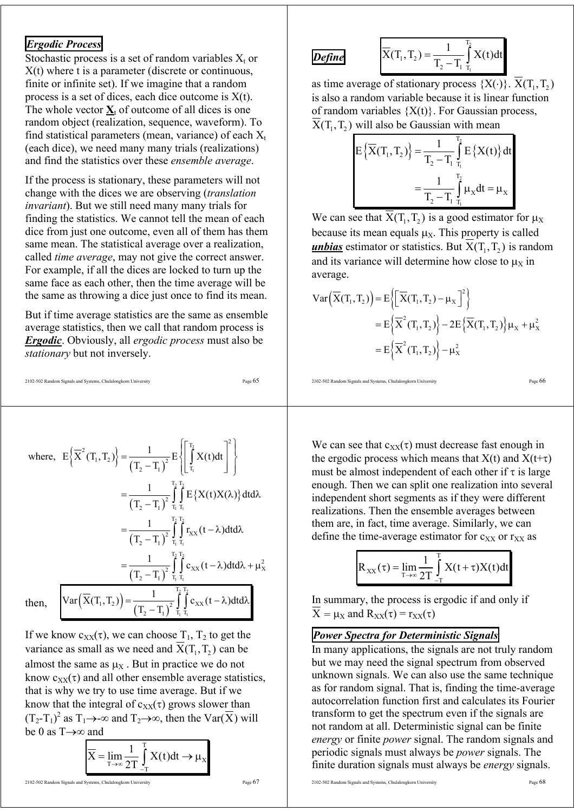## *Ergodic Process*

Stochastic process is a set of random variables  $X_t$  or X(t) where t is a parameter (discrete or continuous, finite or infinite set). If we imagine that a random process is a set of dices, each dice outcome is X(t). The whole vector  $\underline{\mathbf{X}}_t$  of outcome of all dices is one random object (realization, sequence, waveform). To find statistical parameters (mean, variance) of each  $X_t$ (each dice), we need many many trials (realizations) and find the statistics over these *ensemble average*.

If the process is stationary, these parameters will not change with the dices we are observing (*translation invariant*). But we still need many many trials for finding the statistics. We cannot tell the mean of each dice from just one outcome, even all of them has them same mean. The statistical average over a realization, called *time average*, may not give the correct answer. For example, if all the dices are locked to turn up the same face as each other, then the time average will be the same as throwing a dice just once to find its mean.

But if time average statistics are the same as ensemble average statistics, then we call that random process is *Ergodic*. Obviously, all *ergodic process* must also be *stationary* but not inversely.

2102-502 Random Signals and Systems, Chulalongkorn University Page 65

where, 
$$
E\left\{\overline{X}^2(T_1, T_2)\right\} = \frac{1}{(T_2 - T_1)^2} E\left\{\int_{T_1}^{T_2} X(t)dt\right\}^2\right\}
$$
  
\n
$$
= \frac{1}{(T_2 - T_1)^2} \int_{T_1}^{T_2} \int_{T_1}^{T_2} E\left\{X(t)X(\lambda)\right\} dt d\lambda
$$
\n
$$
= \frac{1}{(T_2 - T_1)^2} \int_{T_1}^{T_2} \int_{T_1}^{T_2} r_{XX}(t - \lambda) dt d\lambda
$$
\n
$$
= \frac{1}{(T_2 - T_1)^2} \int_{T_1}^{T_2} \int_{T_1}^{T_2} c_{XX}(t - \lambda) dt d\lambda + \mu_X^2
$$
\nthen,  $\int \text{Var}\left(\overline{X}(T_1, T_2)\right) = \frac{1}{(T_2 - T_1)^2} \int_{T_1}^{T_2} \int_{T_1}^{T_2} c_{XX}(t - \lambda) dt d\lambda$ 

If we know  $c_{XX}(\tau)$ , we can choose  $T_1$ ,  $T_2$  to get the variance as small as we need and  $\overline{X}(T_1, T_2)$  can be almost the same as  $\mu_X$ . But in practice we do not know  $c_{XX}(\tau)$  and all other ensemble average statistics, that is why we try to use time average. But if we know that the integral of  $c_{XX}(\tau)$  grows slower than  $(T_2-T_1)^2$  as  $T_1 \rightarrow \infty$  and  $T_2 \rightarrow \infty$ , then the Var( $\overline{X}$ ) will be 0 as T→∞ and

$$
\overline{X} = \lim_{T \to \infty} \frac{1}{2T} \int_{-T}^{T} X(t) dt \to \mu_X
$$

# *Define*

$$
\overline{X}(T_1, T_2) = \frac{1}{T_2 - T_1} \int_{T_1}^{T_2} X(t) dt
$$

as time average of stationary process  $\{X(\cdot)\}\$ .  $X(T_1, T_2)$ is also a random variable because it is linear function of random variables  ${X(t)}$ . For Gaussian process,  $\overline{X}(T_1, T_2)$  will also be Gaussian with mean

$$
E\left\{\overline{X}(T_1, T_2)\right\} = \frac{1}{T_2 - T_1} \int_{T_1}^{T_2} E\left\{X(t)\right\} dt
$$

$$
= \frac{1}{T_2 - T_1} \int_{T_1}^{T_2} \mu_x dt = \mu_x
$$

We can see that  $\overline{X}(T_1, T_2)$  is a good estimator for  $\mu_X$ because its mean equals  $\mu_X$ . This property is called *unbias* estimator or statistics. But  $X(T_1, T_2)$  is random and its variance will determine how close to  $\mu_X$  in average.

$$
\operatorname{Var}\left(\overline{X}(T_1, T_2)\right) = E\left\{ \left[\overline{X}(T_1, T_2) - \mu_X\right]^2 \right\}
$$
  
=  $E\left\{ \overline{X}^2(T_1, T_2) \right\} - 2E\left\{ \overline{X}(T_1, T_2) \right\} \mu_X + \mu_X^2$   
=  $E\left\{ \overline{X}^2(T_1, T_2) \right\} - \mu_X^2$ 

2102-502 Random Signals and Systems, Chulalongkorn University Page 66

We can see that  $c_{XX}(\tau)$  must decrease fast enough in the ergodic process which means that  $X(t)$  and  $X(t+\tau)$ must be almost independent of each other if  $\tau$  is large enough. Then we can split one realization into several independent short segments as if they were different realizations. Then the ensemble averages between them are, in fact, time average. Similarly, we can define the time-average estimator for  $c_{XX}$  or  $r_{XX}$  as

$$
R_{XX}(\tau) = \lim_{T \to \infty} \frac{1}{2T} \int_{-T}^{T} X(t + \tau) X(t) dt
$$

In summary, the process is ergodic if and only if  $\overline{X} = \mu_X$  and  $R_{XX}(\tau) = r_{XX}(\tau)$ 

## *Power Spectra for Deterministic Signals*

In many applications, the signals are not truly random but we may need the signal spectrum from observed unknown signals. We can also use the same technique as for random signal. That is, finding the time-average autocorrelation function first and calculates its Fourier transform to get the spectrum even if the signals are not random at all. Deterministic signal can be finite *energy* or finite *power* signal. The random signals and periodic signals must always be *power* signals. The finite duration signals must always be *energy* signals.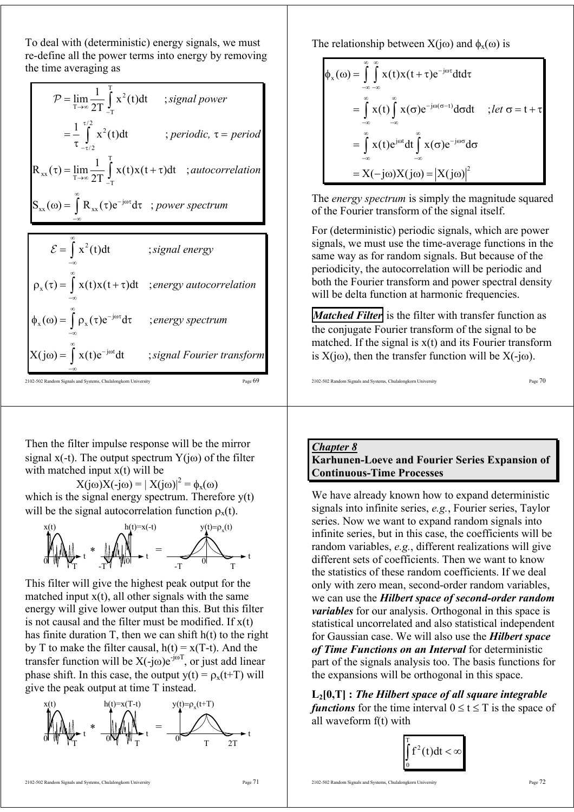To deal with (deterministic) energy signals, we must re-define all the power terms into energy by removing the time averaging as

| $\mathcal{P} = \lim_{T \to \infty} \frac{1}{2T} \int_{T}^{T} x^2(t) dt$ ; signal power |                                                                                                      |
|----------------------------------------------------------------------------------------|------------------------------------------------------------------------------------------------------|
| $=\frac{1}{\tau}\int_{-\tau/2}^{\tau/2} x^2(t)dt$                                      | ; periodic, $\tau = period$                                                                          |
|                                                                                        | $R_{xx}(\tau) = \lim_{T \to \infty} \frac{1}{2T} \int_{-\tau}^{1} x(t)x(t+\tau)dt$ ; autocorrelation |
| $S_{xx}(\omega) = \int R_{xx}(\tau) e^{-j\omega\tau} d\tau$ ; power spectrum           |                                                                                                      |
|                                                                                        |                                                                                                      |
| $\mathcal{E} = \int x^2(t) dt$                                                         | ; signal energy                                                                                      |
| $\rho_x(\tau) = \int x(t)x(t+\tau)dt$ ; energy autocorrelation                         |                                                                                                      |
| $\phi_x(\omega) = \int \rho_x(\tau) e^{-j\omega \tau} d\tau$                           | ; energy spectrum                                                                                    |

2102-502 Random Signals and Systems, Chulalongkorn University Page 69 −∞

 $X(j\omega) = \int x(t)e^{-j\omega t} dt$  ;

−∞ ∞

Then the filter impulse response will be the mirror signal x(-t). The output spectrum  $Y(i\omega)$  of the filter with matched input  $x(t)$  will be

*signal Fourier transform*

 $X(j\omega)X(-j\omega) = |X(j\omega)|^2 = \phi_x(\omega)$ which is the signal energy spectrum. Therefore  $y(t)$ will be the signal autocorrelation function  $\rho_x(t)$ .



This filter will give the highest peak output for the matched input  $x(t)$ , all other signals with the same energy will give lower output than this. But this filter is not causal and the filter must be modified. If  $x(t)$ has finite duration  $T$ , then we can shift  $h(t)$  to the right by T to make the filter causal,  $h(t) = x(T-t)$ . And the transfer function will be  $X(-j\omega)e^{-j\omega T}$ , or just add linear phase shift. In this case, the output  $y(t) = \rho_x(t+T)$  will give the peak output at time T instead.



The relationship between  $X(i\omega)$  and  $\phi_x(\omega)$  is

$$
\phi_x(\omega) = \int_{-\infty}^{\infty} \int_{-\infty}^{\infty} x(t)x(t+\tau)e^{-j\omega\tau}dtd\tau
$$
  
\n
$$
= \int_{-\infty}^{\infty} x(t)\int_{-\infty}^{\infty} x(\sigma)e^{-j\omega(\sigma-t)}d\sigma dt \quad ; let \sigma = t+\tau
$$
  
\n
$$
= \int_{-\infty}^{\infty} x(t)e^{j\omega t}dt \int_{-\infty}^{\infty} x(\sigma)e^{-j\omega\sigma}d\sigma
$$
  
\n
$$
= X(-j\omega)X(j\omega) = |X(j\omega)|^2
$$

The *energy spectrum* is simply the magnitude squared of the Fourier transform of the signal itself.

For (deterministic) periodic signals, which are power signals, we must use the time-average functions in the same way as for random signals. But because of the periodicity, the autocorrelation will be periodic and both the Fourier transform and power spectral density will be delta function at harmonic frequencies.

*Matched Filter* is the filter with transfer function as the conjugate Fourier transform of the signal to be matched. If the signal is  $x(t)$  and its Fourier transform is  $X(i\omega)$ , then the transfer function will be  $X(-i\omega)$ .

2102-502 Random Signals and Systems, Chulalongkorn University Page  $70$ 

*Chapter 8* **Karhunen-Loeve and Fourier Series Expansion of Continuous-Time Processes** 

We have already known how to expand deterministic signals into infinite series, *e.g.*, Fourier series, Taylor series. Now we want to expand random signals into infinite series, but in this case, the coefficients will be random variables, *e.g.*, different realizations will give different sets of coefficients. Then we want to know the statistics of these random coefficients. If we deal only with zero mean, second-order random variables, we can use the *Hilbert space of second-order random variables* for our analysis. Orthogonal in this space is statistical uncorrelated and also statistical independent for Gaussian case. We will also use the *Hilbert space of Time Functions on an Interval* for deterministic part of the signals analysis too. The basis functions for the expansions will be orthogonal in this space.

**L2[0,T] :** *The Hilbert space of all square integrable functions* for the time interval  $0 \le t \le T$  is the space of all waveform f(t) with

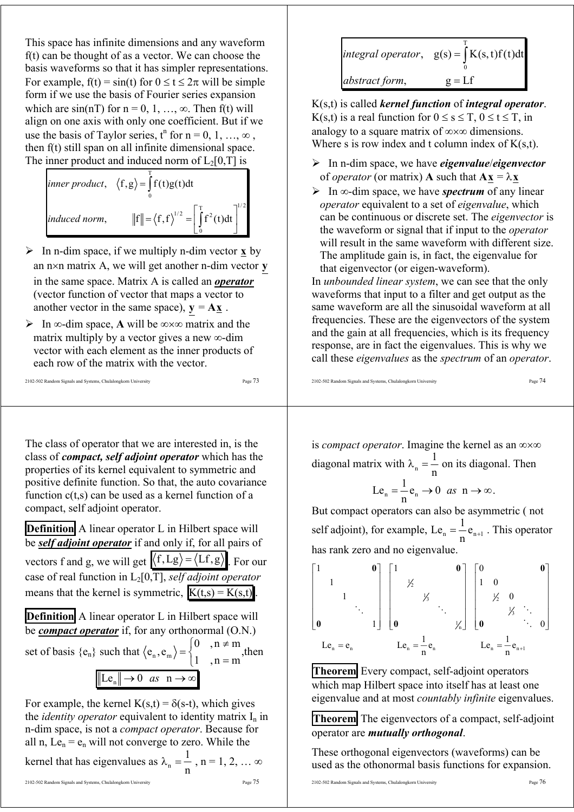This space has infinite dimensions and any waveform f(t) can be thought of as a vector. We can choose the basis waveforms so that it has simpler representations. For example,  $f(t) = \sin(t)$  for  $0 \le t \le 2\pi$  will be simple form if we use the basis of Fourier series expansion which are  $sin(nT)$  for  $n = 0, 1, ..., \infty$ . Then f(t) will align on one axis with only one coefficient. But if we use the basis of Taylor series,  $t^n$  for  $n = 0, 1, ..., \infty$ , then f(t) still span on all infinite dimensional space. The inner product and induced norm of  $L_2[0,T]$  is

inner product, 
$$
\langle f, g \rangle = \int_{0}^{T} f(t)g(t)dt
$$
  
induced norm,  $||f|| = \langle f, f \rangle^{1/2} = \left[ \int_{0}^{T} f^{2}(t)dt \right]^{1/2}$ 

- $\triangleright$  In n-dim space, if we multiply n-dim vector **x** by an n×n matrix A, we will get another n-dim vector **y** in the same space. Matrix A is called an *operator* (vector function of vector that maps a vector to another vector in the same space),  $y = A \underline{x}$ .
- ¾ In ∞-dim space, **A** will be ∞×∞ matrix and the matrix multiply by a vector gives a new ∞-dim vector with each element as the inner products of each row of the matrix with the vector.

$$
2102-502\,Random\,Signals\,and\,Systems, Chulalongkorn\,University\n\qquad 102-502\,Random\,Signals\,and\,Systems, Chulalongkorn\,University\n\qquad 102-502\,Random\,Signals\,and\,Systems, Chulalongkorn\,University\n\qquad 102-502\,Random\,Signals\,and\,Systems, Chulalongkorn\,University\n\qquad 102-502\,Standard\,Gagnants, 102-502\,Standard\,Gagnants, 102-502\,Standard\,Gagnants, 102-502\,Standard\,Gagnants, 102-502\,Standard\,Gagnants, 102-502\,Standard\,Gagnants, 102-502\,Standard\,Gagnants, 102-502\,Standard\,Gagnants, 102-502\,Standard\,Gagnants, 102-502\,Standard\,Gagnants, 102-502\,Standard\,Gagnants, 102-502\,Standard\,Gagnants, 102-502\,Standard\,Gagnants, 102-502\,Standard\,Gagnants, 102-502\,Standard\,Gagnants, 102-502\,Standard\,Gagnants, 102-502\,Standard\,Gagnants, 102-502\,Standard\,Gagnants, 102-502\,Standard\,Gagnants, 102-502\,Standard\,Gagnants, 102-502\,Standard\,Gagnants, 102-502\,Standard\,Gagnants, 102-502\,Standard\,Gagnants, 102-502\,Standard\,Gagnants, 102-502\,Standard\,Gagnants, 102-502\,Standard\,Gagnants, 102-502\,Standard\,Gagnants, 102-502\,Standard\,Gagnants, 102-502\,Standard\,Gagnants, 102-502\,Standard\,Gagnants, 102-502\,Standard\,Gagnants, 102-502\,Standard\,Gagnants, 102-502\,Standard\,Gagnants, 102-502\,Standard\,Gagnants, 102-502\,Standard\,Gagnants, 102-502\,Standard\,Gagnants,
$$

The class of operator that we are interested in, is the class of *compact, self adjoint operator* which has the properties of its kernel equivalent to symmetric and positive definite function. So that, the auto covariance function c(t,s) can be used as a kernel function of a compact, self adjoint operator.

**Definition** A linear operator L in Hilbert space will be *self adjoint operator* if and only if, for all pairs of vectors f and g, we will get  $\langle f, Lg \rangle = \langle Lf, g \rangle$ . For our case of real function in L2[0,T], *self adjoint operator* means that the kernel is symmetric,  $K(t,s) = K(s,t)$ .

**Definition** A linear operator L in Hilbert space will be *compact operator* if, for any orthonormal (O.N.)

set of basis  ${e_n}$  such that  ${e_n, e_m}$ 0,  $n \neq m$  $\langle e_n, e_m \rangle = \begin{cases} 0, & n \neq m \\ 1, & n = m \end{cases}$  $\begin{cases} 0, & n \neq m \\ 1, & n = m \end{cases}$ , then  $\text{Le}_{n} \big\| \rightarrow 0 \text{ as } n \rightarrow \infty$ 

For example, the kernel  $K(s,t) = \delta(s-t)$ , which gives the *identity operator* equivalent to identity matrix  $I_n$  in n-dim space, is not a *compact operator*. Because for all n,  $Le_n = e_n$  will not converge to zero. While the

kernel that has eigenvalues as 
$$
λ_n = \frac{1}{n}
$$
, n = 1, 2, ... ∞

|                | integral operator, $g(s) = \int K(s,t)f(t)dt$ |
|----------------|-----------------------------------------------|
| abstract form, | $g = Lf$                                      |

K(s,t) is called *kernel function* of *integral operator*. K(s,t) is a real function for  $0 \le s \le T$ ,  $0 \le t \le T$ , in analogy to a square matrix of ∞×∞ dimensions. Where s is row index and t column index of  $K(s,t)$ .

- ¾ In n-dim space, we have *eigenvalue*/*eigenvector* of *operator* (or matrix) **A** such that  $\mathbf{A}\mathbf{x} = \lambda \mathbf{x}$
- ¾ In ∞-dim space, we have *spectrum* of any linear *operator* equivalent to a set of *eigenvalue*, which can be continuous or discrete set. The *eigenvector* is the waveform or signal that if input to the *operator* will result in the same waveform with different size. The amplitude gain is, in fact, the eigenvalue for that eigenvector (or eigen-waveform).

In *unbounded linear system*, we can see that the only waveforms that input to a filter and get output as the same waveform are all the sinusoidal waveform at all frequencies. These are the eigenvectors of the system and the gain at all frequencies, which is its frequency response, are in fact the eigenvalues. This is why we call these *eigenvalues* as the *spectrum* of an *operator*.

2102-502 Random Signals and Systems, Chulalongkorn University Page 74

is *compact operator*. Imagine the kernel as an ∞×∞ diagonal matrix with  $\lambda_n = \frac{1}{n}$ n  $\lambda_n = \frac{1}{n}$  on its diagonal. Then

$$
Le_n = \frac{1}{n} e_n \to 0 \text{ as } n \to \infty.
$$

But compact operators can also be asymmetric ( not self adjoint), for example,  $Le_n = \frac{1}{n} e_{n+1}$ . This operator has rank zero and no eigenvalue.

$$
\begin{bmatrix} 1 & & & & \mathbf{0} \\ & 1 & & & & \\ & & 1 & & \\ & & & \ddots & \\ \mathbf{0} & & & 1 \end{bmatrix} \begin{bmatrix} 1 & & & & \mathbf{0} \\ & \frac{1}{2} & & & \\ & & \frac{1}{2} & & \\ & & & \ddots & \\ \mathbf{0} & & & & \frac{1}{2} \end{bmatrix} \begin{bmatrix} 0 & & & & \mathbf{0} \\ 1 & 0 & & & \\ & \frac{1}{2} & 0 & & \\ & & \frac{1}{2} & 0 & \\ & & & \ddots & 0 \end{bmatrix}
$$
  
Le<sub>n</sub> = e<sub>n</sub> 
$$
Le_n = \frac{1}{n}e_n
$$
 
$$
Le_n = \frac{1}{n}e_{n+1}
$$

**Theorem** Every compact, self-adjoint operators which map Hilbert space into itself has at least one eigenvalue and at most *countably infinite* eigenvalues.

**Theorem** The eigenvectors of a compact, self-adjoint operator are *mutually orthogonal*.

These orthogonal eigenvectors (waveforms) can be used as the othonormal basis functions for expansion.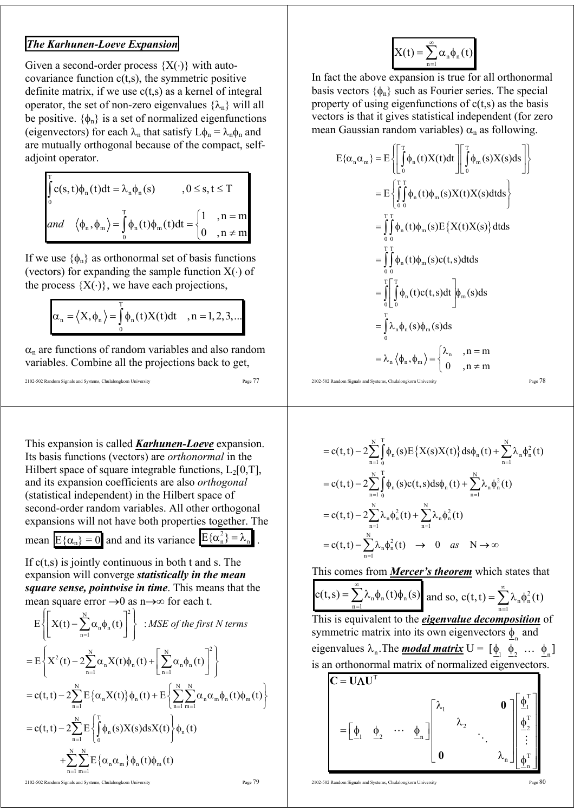## *The Karhunen-Loeve Expansion*

Given a second-order process  $\{X(\cdot)\}\$  with autocovariance function  $c(t,s)$ , the symmetric positive definite matrix, if we use  $c(t,s)$  as a kernel of integral operator, the set of non-zero eigenvalues  $\{\lambda_n\}$  will all be positive.  $\{\phi_n\}$  is a set of normalized eigenfunctions (eigenvectors) for each  $\lambda_n$  that satisfy  $L\phi_n = \lambda_n \phi_n$  and are mutually orthogonal because of the compact, selfadjoint operator.

$$
\int_{0}^{T} c(s, t)\phi_{n}(t)dt = \lambda_{n}\phi_{n}(s) \qquad , 0 \le s, t \le T
$$
  
and  $\langle \phi_{n}, \phi_{m} \rangle = \int_{0}^{T} \phi_{n}(t)\phi_{m}(t)dt = \begin{cases} 1 & , n = m \\ 0 & , n \ne m \end{cases}$ 

If we use  $\{\phi_n\}$  as orthonormal set of basis functions (vectors) for expanding the sample function  $X(\cdot)$  of the process  $\{X(\cdot)\}\)$ , we have each projections,

$$
\alpha_n = \langle X, \phi_n \rangle = \int_0^T \phi_n(t) X(t) dt \quad , n = 1, 2, 3, \dots
$$

 $\alpha_n$  are functions of random variables and also random variables. Combine all the projections back to get,

```
2102-502 Random Signals and Systems, Chulalongkorn University Page 77
```
This expansion is called *Karhunen-Loeve* expansion. Its basis functions (vectors) are *orthonormal* in the Hilbert space of square integrable functions,  $L_2[0,T]$ , and its expansion coefficients are also *orthogonal* (statistical independent) in the Hilbert space of second-order random variables. All other orthogonal expansions will not have both properties together. The mean  $E{\alpha_n} = 0$  and and its variance  $E{\alpha_n^2} = \lambda_n$ .

If  $c(t,s)$  is jointly continuous in both t and s. The expansion will converge *statistically in the mean* 

*square sense, pointwise in time*. This means that the mean square error  $\rightarrow$ 0 as n $\rightarrow \infty$  for each t.

$$
E\left\{\left[X(t) - \sum_{n=1}^{N} \alpha_n \phi_n(t)\right]^2\right\} : MSE \ of \ the \ first \ N \ terms
$$
  
\n
$$
= E\left\{X^2(t) - 2\sum_{n=1}^{N} \alpha_n X(t)\phi_n(t) + \left[\sum_{n=1}^{N} \alpha_n \phi_n(t)\right]^2\right\}
$$
  
\n
$$
= c(t, t) - 2\sum_{n=1}^{N} E\left\{\alpha_n X(t)\right\} \phi_n(t) + E\left\{\sum_{n=1}^{N} \sum_{m=1}^{N} \alpha_n \alpha_m \phi_n(t) \phi_m(t)\right\}
$$
  
\n
$$
= c(t, t) - 2\sum_{n=1}^{N} E\left\{\int_0^T \phi_n(s) X(s) ds X(t)\right\} \phi_n(t)
$$
  
\n
$$
+ \sum_{n=1}^{N} \sum_{m=1}^{N} E\left\{\alpha_n \alpha_m\right\} \phi_n(t) \phi_m(t)
$$

2102-502 Random Signals and Systems, Chulalongkorn University

$$
_{\rm Page}\,79
$$

$$
X(t) = \sum_{n=1}^{\infty} \alpha_n \phi_n(t)
$$

In fact the above expansion is true for all orthonormal basis vectors  $\{\phi_n\}$  such as Fourier series. The special property of using eigenfunctions of  $c(t,s)$  as the basis vectors is that it gives statistical independent (for zero mean Gaussian random variables)  $\alpha_n$  as following.

$$
E\{\alpha_n \alpha_m\} = E\left\{\left[\int_0^T \phi_n(t)X(t)dt\right] \left[\int_0^T \phi_m(s)X(s)ds\right]\right\}
$$
  
\n
$$
= E\left\{\int_0^T \int_0^T \phi_n(t)\phi_m(s)X(t)X(s)dt ds\right\}
$$
  
\n
$$
= \int_0^T \int_0^T \phi_n(t)\phi_m(s)E\left\{X(t)X(s)\right\}dt ds
$$
  
\n
$$
= \int_0^T \int_0^T \phi_n(t)\phi_m(s)c(t,s)dt ds
$$
  
\n
$$
= \int_0^T \int_0^T \phi_n(t)c(t,s)dt \Bigg] \phi_m(s)ds
$$
  
\n
$$
= \int_0^T \lambda_n \phi_n(s)\phi_m(s)ds
$$
  
\n
$$
= \lambda_n \langle \phi_n, \phi_m \rangle = \begin{cases} \lambda_n, & n = m \\ 0, & n \neq m \end{cases}
$$

$$
2102-502\text{ Random Signals and Systems, Chulalongkom University}\hspace{2cm}\text{Page 78}\\
$$

$$
= c(t,t) - 2\sum_{n=1}^{N} \int_{0}^{T} \phi_n(s) E\left\{X(s)X(t)\right\} ds \phi_n(t) + \sum_{n=1}^{N} \lambda_n \phi_n^2(t)
$$
  
\n
$$
= c(t,t) - 2\sum_{n=1}^{N} \int_{0}^{T} \phi_n(s) c(t,s) ds \phi_n(t) + \sum_{n=1}^{N} \lambda_n \phi_n^2(t)
$$
  
\n
$$
= c(t,t) - 2\sum_{n=1}^{N} \lambda_n \phi_n^2(t) + \sum_{n=1}^{N} \lambda_n \phi_n^2(t)
$$
  
\n
$$
= c(t,t) - \sum_{n=1}^{N} \lambda_n \phi_n^2(t) \rightarrow 0 \text{ as } N \rightarrow \infty
$$

This comes from *Mercer's theorem* which states that

$$
c(t,s) = \sum_{n=1}^{\infty} \lambda_n \phi_n(t) \phi_n(s)
$$
 and so,  $c(t,t) = \sum_{n=1}^{\infty} \lambda_n \phi_n^2(t)$ 

This is equivalent to the *eigenvalue decomposition* of symmetric matrix into its own eigenvectors  $\phi_n$  and eigenvalues  $\lambda_n$ . The **modal matrix**  $U = [\phi_1 \ \overline{\phi_2} \ \dots \ \phi_n]$ is an orthonormal matrix of normalized eigenvectors.

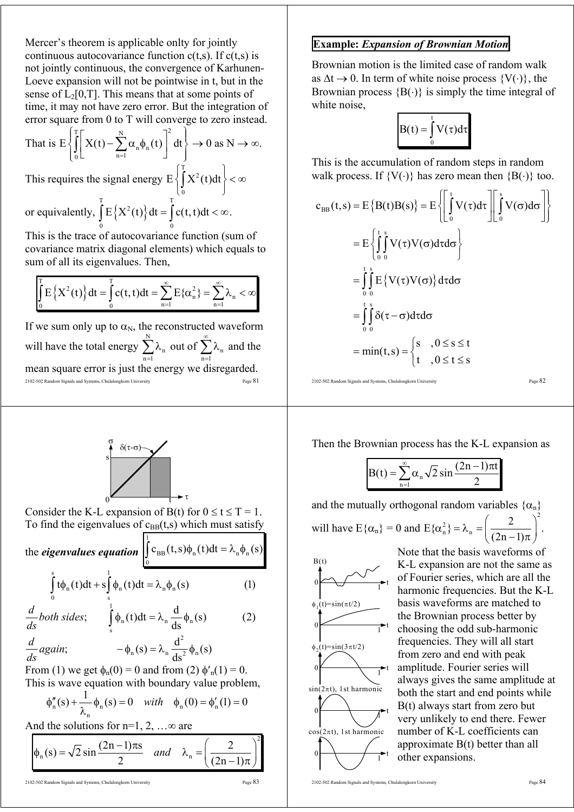Mercer's theorem is applicable onlty for jointly continuous autocovariance function  $c(t,s)$ . If  $c(t,s)$  is not jointly continuous, the convergence of Karhunen-Loeve expansion will not be pointwise in t, but in the sense of  $L_2[0,T]$ . This means that at some points of time, it may not have zero error. But the integration of error square from 0 to T will converge to zero instead.

That is 
$$
E\left\{\int_0^T \left[ X(t) - \sum_{n=1}^N \alpha_n \phi_n(t) \right]^2 dt \right\} \to 0 \text{ as } N \to \infty.
$$
  
This requires the signal energy  $E\left\{\int_0^T X^2(t) dt \right\} < \infty$   
or equivalently,  $\int_0^T E\left\{X^2(t)\right\} dt = \int_0^T c(t, t) dt < \infty.$ 

0 0 This is the trace of autocovariance function (sum of covariance matrix diagonal elements) which equals to sum of all its eigenvalues. Then,

$$
\int_{0}^{T} E\left\{X^{2}(t)\right\} dt = \int_{0}^{T} c(t, t) dt = \sum_{n=1}^{\infty} E\{\alpha_{n}^{2}\} = \sum_{n=1}^{\infty} \lambda_{n} < \infty
$$

2102-502 Random Signals and Systems, Chulalongkorn University Page 81 If we sum only up to  $\alpha_N$ , the reconstructed waveform will have the total energy  $\sum_{n=1}^{\infty}$ n  $\sum_{n=1}^{\infty} \lambda_n$  out of  $\sum_{n=1}^{\infty} \lambda_n$ ∞  $\sum_{n=1}^{\infty} \lambda_n$  and the mean square error is just the energy we disregarded.



Consider the K-L expansion of B(t) for  $0 \le t \le T = 1$ . To find the eigenvalues of  $c_{BB}(t,s)$  which must satisfy

the *eigenvalues equation* 1  $_{BB}(t, s)\psi_n(t)$ u $t - \kappa_n \psi_n$  $\int_0^{\infty} c_{BB}(t,s) \phi_n(t) dt = \lambda_n \phi_n(s)$ 

$$
\int_{0}^{s} t \phi_{n}(t) dt + s \int_{s}^{1} \phi_{n}(t) dt = \lambda_{n} \phi_{n}(s)
$$
 (1)

$$
\frac{d}{ds} both \ sides; \qquad \int_{s}^{1} \phi_n(t) dt = \lambda_n \frac{d}{ds} \phi_n(s) \tag{2}
$$
\n
$$
\frac{d}{ds} again; \qquad -\phi_n(s) = \lambda_n \frac{d^2}{ds^2} \phi_n(s)
$$

From (1) we get  $\phi_n(0) = 0$  and from (2)  $\phi'_n(1) = 0$ . This is wave equation with boundary value problem,

$$
\phi''_n(s) + \frac{1}{\lambda_n} \phi_n(s) = 0 \quad with \quad \phi_n(0) = \phi'_n(1) = 0
$$

And the solutions for  $n=1, 2, ... \infty$  are

$$
\phi_n(s) = \sqrt{2} \sin \frac{(2n-1)\pi s}{2} \quad and \quad \lambda_n = \left(\frac{2}{(2n-1)\pi}\right)^2
$$

**Example:** *Expansion of Brownian Motion*

Brownian motion is the limited case of random walk as  $\Delta t \rightarrow 0$ . In term of white noise process  $\{V(\cdot)\}\)$ , the Brownian process  ${B(\cdot)}$  is simply the time integral of white noise,

$$
B(t) = \int_{0}^{t} V(\tau) d\tau
$$

This is the accumulation of random steps in random walk process. If  ${V(\cdot)}$  has zero mean then  ${B(\cdot)}$  too.

$$
c_{BB}(t,s) = E\{B(t)B(s)\} = E\left\{\int_{0}^{t} V(\tau)d\tau\right\} \left[\int_{0}^{s} V(\sigma)d\sigma\right]
$$

$$
= E\left\{\int_{0}^{t} \int_{0}^{s} V(\tau)V(\sigma)d\tau d\sigma\right\}
$$

$$
= \int_{0}^{t} E\{V(\tau)V(\sigma)\}d\tau d\sigma
$$

$$
= \int_{0}^{t} \int_{0}^{s} \delta(\tau-\sigma)d\tau d\sigma
$$

$$
= \min(t,s) = \begin{cases} s, & 0 \le s \le t \\ t, & 0 \le t \le s \end{cases}
$$

2102-502 Random Signals and Systems, Chulalongkorn University Page 82

Then the Brownian process has the K-L expansion as

$$
B(t) = \sum_{n=1}^{\infty} \alpha_n \sqrt{2} \sin \frac{(2n-1)\pi t}{2}
$$

and the mutually orthogonal random variables  $\{\alpha_n\}$ will have  $E{\alpha_n} = 0$  and 2 2  $E\{\alpha_n^2\} = \lambda_n = \left(\frac{2}{(2n-1)\pi}\right)^2.$ 

 $0 \longrightarrow t$  $\begin{array}{c} 0 \end{array}$  1  $\phi_1(t)=\sin(\pi t/2)$ t  $0 \rightarrow 1$  $B(t)$ t  $\phi_2(t)=\sin(3\pi t/2)$  $0 \longrightarrow 1$  $\begin{array}{c} \n\circ \uparrow \qquad \qquad \uparrow \qquad \qquad \uparrow \qquad \qquad \downarrow \qquad \qquad \downarrow \qquad \qquad \downarrow \qquad \qquad \downarrow \qquad \qquad \downarrow \qquad \qquad \downarrow \qquad \qquad \downarrow \qquad \qquad \downarrow \qquad \qquad \downarrow \qquad \qquad \downarrow \qquad \qquad \downarrow \qquad \qquad \downarrow \qquad \qquad \downarrow \qquad \qquad \downarrow \qquad \qquad \downarrow \qquad \qquad \downarrow \qquad \qquad \downarrow \qquad \qquad \downarrow \qquad \qquad \downarrow \qquad \qquad \downarrow \qquad \qquad \down$  $sin(2\pi t)$ , 1st harmonic t  $cos(2\pi t)$ , 1st harmonic

Note that the basis waveforms of K-L expansion are not the same as of Fourier series, which are all the harmonic frequencies. But the K-L basis waveforms are matched to the Brownian process better by choosing the odd sub-harmonic frequencies. They will all start from zero and end with peak amplitude. Fourier series will always gives the same amplitude at both the start and end points while B(t) always start from zero but very unlikely to end there. Fewer number of K-L coefficients can approximate B(t) better than all other expansions.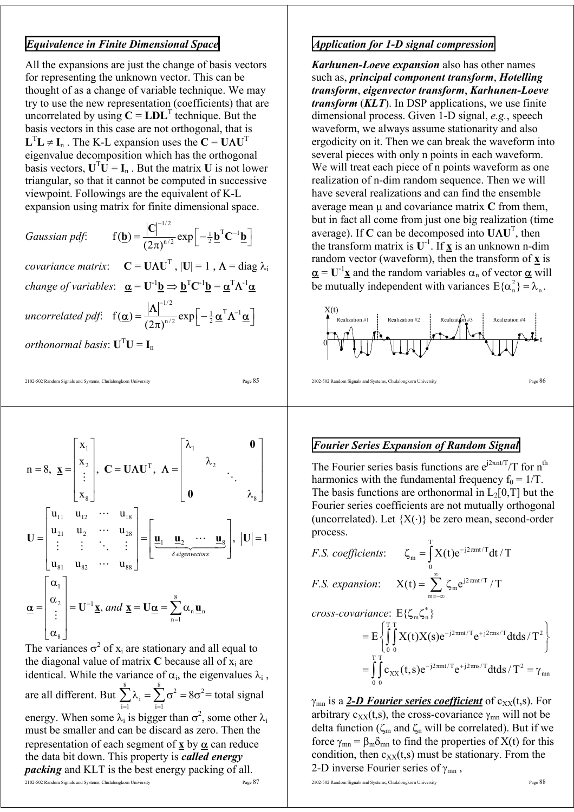## *Equivalence in Finite Dimensional Space*

All the expansions are just the change of basis vectors for representing the unknown vector. This can be thought of as a change of variable technique. We may try to use the new representation (coefficients) that are uncorrelated by using  $C = LDL^T$  technique. But the basis vectors in this case are not orthogonal, that is  $\mathbf{L}^{\mathrm{T}}\mathbf{L} \neq \mathbf{I}_{\mathrm{n}}$ . The K-L expansion uses the  $\mathbf{C} = \mathbf{U}\mathbf{\Lambda}\mathbf{U}^{\mathrm{T}}$ eigenvalue decomposition which has the orthogonal basis vectors,  $\mathbf{U}^T \mathbf{U} = \mathbf{I}_n$ . But the matrix **U** is not lower triangular, so that it cannot be computed in successive viewpoint. Followings are the equivalent of K-L expansion using matrix for finite dimensional space.

*Gaussian pdf*: 1/2  $f(\underline{\mathbf{b}}) = \frac{|\mathbf{C}|}{(2\pi)^{n/2}} \exp \left[-\frac{1}{2}\underline{\mathbf{b}}^{\mathrm{T}}\mathbf{C}^{-1}\right]$ −  $=\frac{|\mathbf{C}|^{-1/2}}{(2\pi)^{n/2}}\exp[-\frac{1}{2}\underline{\mathbf{b}}^{\mathrm{T}}\mathbf{C}^{-1}\underline{\mathbf{b}}]$ **b**) =  $\frac{|C|}{(2 \times 3)^{1/2}}$  exp $\left| -\frac{1}{2} \mathbf{b}^{T} \mathbf{C}^{-1} \mathbf{b} \right|$  $covariance$  matrix:  $C = U \Lambda U^{T}$ ,  $|U| = 1$ ,  $\Lambda = \text{diag } \lambda_i$ *change of variables*:  $\underline{\alpha} = U^{-1} \underline{b} \Rightarrow \underline{b}^{T} C^{-1} \underline{b} = \underline{\alpha}^{T} \Lambda^{-1} \underline{\alpha}$ 1/2 −  $=\frac{|\mathbf{\Lambda}|^{-1/2}}{\left(2\pi\right)^{n/2}}\exp\left[-\frac{1}{2}\underline{\boldsymbol{\alpha}}^{\text{T}}\mathbf{\Lambda}^{-1}\underline{\boldsymbol{\alpha}}\right]$ 

 $\alpha$ ) =  $\frac{|A|}{\sqrt{2\pi}} \exp \left(-\frac{1}{2} \alpha^{\mathrm{T}} \Lambda^{-1} \alpha\right)$ 

 $f(\underline{\alpha}) = \frac{|\mathbf{\Lambda}|}{(2\pi)^{n/2}} \exp \left[-\frac{1}{2}\underline{\alpha}^T \mathbf{\Lambda}^{-1}\right]$ *orthonormal basis*:  $\mathbf{U}^{\mathrm{T}}\mathbf{U} = \mathbf{I}_{n}$ 

*uncorrelated pdf*:

2102-502 Random Signals and Systems, Chulalongkorn University Page 85

$$
n = 8, \ \underline{x} = \begin{bmatrix} x_1 \\ x_2 \\ \vdots \\ x_8 \end{bmatrix}, \ C = \mathbf{U} \mathbf{\Lambda} \mathbf{U}^T, \ \mathbf{\Lambda} = \begin{bmatrix} \lambda_1 & \mathbf{0} \\ \lambda_2 & \ddots \\ \mathbf{0} & \lambda_8 \end{bmatrix}
$$
\n
$$
\mathbf{U} = \begin{bmatrix} u_{11} & u_{12} & \cdots & u_{18} \\ u_{21} & u_{2} & \cdots & u_{28} \\ \vdots & \vdots & \ddots & \vdots \\ u_{81} & u_{82} & \cdots & u_{88} \end{bmatrix} = \begin{bmatrix} \underline{u}_1 & \underline{u}_2 & \cdots & \underline{u}_8 \\ \underline{u}_2 & \underline{u}_2 & \cdots & \underline{u}_8 \\ \hline \frac{\partial}{\partial \theta} \end{bmatrix}, \ | \mathbf{U} | = 1
$$
\n
$$
\underline{\alpha} = \begin{bmatrix} \alpha_1 \\ \alpha_2 \\ \vdots \\ \alpha_8 \end{bmatrix} = \mathbf{U}^{-1} \underline{x}, \ and \ \underline{x} = \mathbf{U} \underline{\alpha} = \sum_{n=1}^8 \alpha_n \underline{u}_n
$$

2102-502 Random Signals and Systems, Chulalongkorn University Page 87 The variances  $\sigma^2$  of  $x_i$  are stationary and all equal to the diagonal value of matrix  $C$  because all of  $x_i$  are identical. While the variance of  $\alpha_i$ , the eigenvalues  $\lambda_i$ , are all different. But  $\sum_{i=1}^{8} \lambda_i = \sum_{i=1}^{8} \sigma^2 = 8\sigma^2$ i  $i=1$   $i=1$ 8  $\sum_{i=1}^{\infty} \lambda_i = \sum_{i=1}^{\infty} \sigma^2 = 8\sigma^2 =$  total signal energy. When some  $\lambda_i$  is bigger than  $\sigma^2$ , some other  $\lambda_i$ must be smaller and can be discard as zero. Then the representation of each segment of  $x$  by  $\alpha$  can reduce the data bit down. This property is *called energy packing* and KLT is the best energy packing of all. <sup>2102-502</sup> Random Signals and Systems, Chulalongkorn University Page 88<br><sup>Page 87</sup>

# *Application for 1-D signal compression*

*Karhunen-Loeve expansion* also has other names such as, *principal component transform*, *Hotelling transform*, *eigenvector transform*, *Karhunen-Loeve transform* (*KLT*). In DSP applications, we use finite dimensional process. Given 1-D signal, *e.g.*, speech waveform, we always assume stationarity and also ergodicity on it. Then we can break the waveform into several pieces with only n points in each waveform. We will treat each piece of n points waveform as one realization of n-dim random sequence. Then we will have several realizations and can find the ensemble average mean  $\mu$  and covariance matrix  $\mathbf C$  from them, but in fact all come from just one big realization (time average). If **C** can be decomposed into **U**Λ**U**<sup>T</sup> , then the transform matrix is  $U^{-1}$ . If  $\underline{x}$  is an unknown n-dim random vector (waveform), then the transform of  $\mathbf{x}$  is  $\alpha = U^{-1}x$  and the random variables  $\alpha_n$  of vector  $\alpha$  will be mutually independent with variances  $E\{\alpha_n^2\} = \lambda_n$ .



# *Fourier Series Expansion of Random Signal*

The Fourier series basis functions are  $e^{j2\pi nt/T}/T$  for  $n^{th}$ harmonics with the fundamental frequency  $f_0 = 1/T$ . The basis functions are orthonormal in  $L_2[0,T]$  but the Fourier series coefficients are not mutually orthogonal (uncorrelated). Let  ${X(\cdot)}$  be zero mean, second-order process.

*F.S. coefficients*: T  $j2 \pi m t/T$  $\zeta_{\rm m} = \int X(t) e^{-j2\pi m t/T} dt / T$ 0 *F.S. expansion*:  $X(t) = \sum \zeta_m e^{j2\pi mt/T}$ m  $X(t) = \sum_{m=0}^{\infty} \zeta_m e^{j2\pi mt/T} /T$  $=\sum\limits_{\rm m=-\infty}\zeta$ *cross-covariance*:  $E\{\zeta_m \zeta_n^*\}$ T T j2 mt / T j2 ns / T 2  $= E\left\{\int_{0}^{T}\int_{0}^{T} X(t)X(s)e^{-j2\pi mt/T}e^{+j2\pi ns/T}dtds/T^{2}\right\}$  $j2\pi mt/T_{\alpha}+j2\pi ns/T_{\alpha+1}$  $\chi$  $\chi$  (*i*,  $\delta$ ) $\sim$   $\chi$  (*i*  $\chi$ )  $\chi$  (*i*  $\chi$ )  $\chi$  (*i*  $\chi$ )  $\chi$  (*i*  $\chi$ )  $\chi$ )  $\chi$  $=\iint_{0}^{a} c_{XX}(t,s)e^{-j2\pi mt/T}e^{+j2\pi ns/T}dtds/T^{2}=\gamma$ 

 $\gamma_{mn}$  is a 2-*D Fourier series coefficient* of  $c_{XX}(t,s)$ . For arbitrary  $c_{XX}(t,s)$ , the cross-covariance  $\gamma_{mn}$  will not be delta function ( $\zeta_m$  and  $\zeta_n$  will be correlated). But if we force  $\gamma_{mn} = \beta_m \delta_{mn}$  to find the properties of  $X(t)$  for this condition, then  $c_{XX}(t,s)$  must be stationary. From the 2-D inverse Fourier series of  $\gamma_{mn}$ ,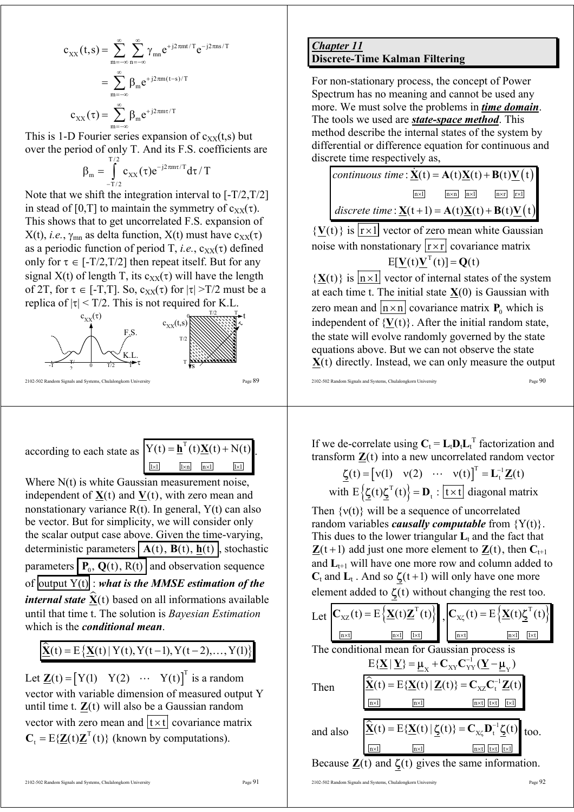$$
\begin{aligned} c_{xx}(t,s) & = \sum_{m=-\infty}^{\infty} \sum_{n=-\infty}^{\infty} \gamma_{mn} e^{+j2\pi mt/T} e^{-j2\pi ns/T} \\ & = \sum_{m=-\infty}^{\infty} \beta_m e^{+j2\pi m (t-s)/T} \\ c_{xx}(\tau) & = \sum_{m=-\infty}^{\infty} \beta_m e^{+j2\pi m \tau/T} \end{aligned}
$$

This is 1-D Fourier series expansion of  $c_{XX}(t,s)$  but over the period of only T. And its F.S. coefficients are

$$
\beta_{\rm m} = \int_{-T/2}^{T/2} c_{\rm XX}(\tau) e^{-j2\pi m\tau/T} d\tau / T
$$

Note that we shift the integration interval to [-T/2,T/2] in stead of [0,T] to maintain the symmetry of  $c_{xx}(\tau)$ . This shows that to get uncorrelated F.S. expansion of  $X(t)$ , *i.e.*,  $\gamma_{mn}$  as delta function,  $X(t)$  must have  $c_{XX}(\tau)$ as a periodic function of period T, *i.e.*,  $c_{XX}(\tau)$  defined only for  $\tau \in [-T/2, T/2]$  then repeat itself. But for any signal  $X(t)$  of length T, its  $c_{XX}(\tau)$  will have the length of 2T, for  $\tau \in [-T, T]$ . So,  $c_{XX}(\tau)$  for  $|\tau| > T/2$  must be a replica of  $|\tau|$  < T/2. This is not required for K.L.



according to each state as

$$
Y(t) = \underline{\mathbf{h}}^1(t) \underline{\mathbf{X}}(t) + N(t)
$$
  
\n
$$
\underline{\overline{\mathbf{h}}}
$$

Where N(t) is white Gaussian measurement noise, independent of  $\underline{\mathbf{X}}(t)$  and  $\underline{\mathbf{V}}(t)$ , with zero mean and nonstationary variance  $R(t)$ . In general,  $Y(t)$  can also be vector. But for simplicity, we will consider only the scalar output case above. Given the time-varying, deterministic parameters  $\mathbf{A}(t)$ ,  $\mathbf{B}(t)$ ,  $\mathbf{h}(t)$ , stochastic parameters  $\overline{P_0, Q(t), R(t)}$  and observation sequence of output Y(t) : *what is the MMSE estimation of the internal state*  $\hat{\mathbf{X}}(t)$  based on all informations available until that time t. The solution is *Bayesian Estimation* which is the *conditional mean*.

 $\hat{\mathbf{X}}(t) = E\{\mathbf{X}(t) | Y(t), Y(t-1), Y(t-2), \dots, Y(1)\}\$ 

Let  $\underline{\mathbf{Z}}(t) = \begin{bmatrix} Y(1) & Y(2) & \cdots & Y(t) \end{bmatrix}^T$  is a random vector with variable dimension of measured output Y until time t. **Z**(t) will also be a Gaussian random vector with zero mean and  $\overline{t \times t}$  covariance matrix  $C_t = E{\{\underline{Z}(t)\underline{Z}^T(t)\}}$  (known by computations).

## *Chapter 11* **Discrete-Time Kalman Filtering**

For non-stationary process, the concept of Power Spectrum has no meaning and cannot be used any more. We must solve the problems in *time domain*. The tools we used are *state-space method*. This method describe the internal states of the system by differential or difference equation for continuous and discrete time respectively as,

 $continuous \ time : \underline{\mathbf{\dot{X}}}(\mathbf{t}) = \mathbf{A}(\mathbf{t})\underline{\mathbf{X}}(\mathbf{t}) + \mathbf{B}(\mathbf{t})\underline{\mathbf{V}}(\mathbf{t})$  $discrete time: \underline{\mathbf{X}}(t+1) = \mathbf{A}(t)\underline{\mathbf{X}}(t) + \mathbf{B}(t)\underline{\mathbf{V}}(t)$  $n \times 1$  |  $n \times n$ |  $n \times 1$  |  $n \times r$ |  $r \times 1$ 

 ${\bf V}(t)$  is  $\overline{r \times 1}$  vector of zero mean white Gaussian noise with nonstationary  $\boxed{r \times r}$  covariance matrix  $E[\mathbf{V}(t)\mathbf{V}^T(t)] = \mathbf{Q}(t)$ 

 ${X(t)}$  is  $\overline{n \times 1}$  vector of internal states of the system at each time t. The initial state  $X(0)$  is Gaussian with zero mean and  $\boxed{n \times n}$  covariance matrix  $P_0$  which is independent of  ${V(t)}$ . After the initial random state, the state will evolve randomly governed by the state equations above. But we can not observe the state **X**(t) directly. Instead, we can only measure the output

2102-502 Random Signals and Systems, Chulalongkorn University Page 90

If we de-correlate using  $C_t = L_t D_t L_t^T$  factorization and transform **Z**(t) into a new uncorrelated random vector

$$
\underline{\zeta}(t) = [v(1) \quad v(2) \quad \cdots \quad v(t)]^{T} = L_{t}^{-1} \underline{\mathbf{Z}}(t)
$$
  
with  $E\{\underline{\zeta}(t)\underline{\zeta}^{T}(t)\} = \mathbf{D}_{t} : [\underline{t \times t}]$  diagonal matrix

Then  $\{v(t)\}\$  will be a sequence of uncorrelated random variables *causally computable* from {Y(t)}. This dues to the lower triangular  $L_t$  and the fact that  $\mathbf{Z}(t+1)$  add just one more element to  $\mathbf{Z}(t)$ , then  $\mathbf{C}_{t+1}$ and  $L_{t+1}$  will have one more row and column added to  $C_t$  and  $L_t$ . And so  $\zeta(t+1)$  will only have one more element added to  $\zeta(t)$  without changing the rest too.

|          | Let $C_{\text{XZ}}(t) = E\left\{\underline{\mathbf{X}}(t)\underline{\mathbf{Z}}^{\text{T}}(t)\right\}, \quad C_{\text{XZ}}(t) = E\left\{\underline{\mathbf{X}}(t)\underline{\mathbf{Y}}^{\text{T}}(t)\right\}$ |               |     |
|----------|----------------------------------------------------------------------------------------------------------------------------------------------------------------------------------------------------------------|---------------|-----|
|          | The conditional mean for Gaussian process is                                                                                                                                                                   |               |     |
|          | $E{\{\underline{\mathbf{X}} \mid \underline{\mathbf{Y}}\} = \underline{\mu}_{x} + C_{XY}C_{YY}^{-1}(\underline{\mathbf{Y}} - \mu_{y})}$                                                                        |               |     |
| Then     | $\hat{\mathbf{\underline{X}}}(t) = E\{\underline{\mathbf{X}}(t)   \underline{\mathbf{Z}}(t)\} = \mathbf{C}_{xz}\mathbf{C}_{t}^{-1}\underline{\mathbf{Z}}(t)$                                                   |               |     |
|          | $n \times l$<br>$n \times 1$                                                                                                                                                                                   | nxt<br>$tx$ t | tx1 |
|          |                                                                                                                                                                                                                |               |     |
| and also | $\hat{\mathbf{\underline{X}}}(t) = E\{\underline{\mathbf{X}}(t)   \underline{\boldsymbol{\zeta}}(t)\} = \mathbf{C}_{\chi\zeta} \mathbf{D}_{t}^{-1} \underline{\boldsymbol{\zeta}}(t)$ too.                     |               |     |
|          | $n \times 1$<br>$n \times l$                                                                                                                                                                                   | $n\times t$   | t×l |
|          | Because $\mathbf{Z}(t)$ and $\mathbf{Z}(t)$ gives the same information                                                                                                                                         |               |     |

Because **Z**(t) and ζ(t) gives the same information.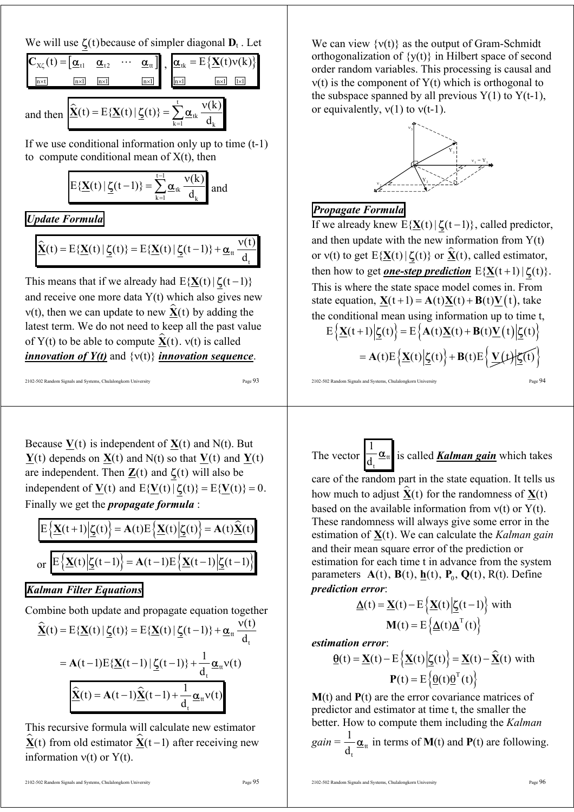We will use  $\zeta(t)$  because of simpler diagonal  $D_t$ . Let

|             |                           |  | $\mathbf{C}_{\mathbf{x}\zeta}(t) = [\mathbf{\underline{\alpha}}_{t1} \quad \mathbf{\underline{\alpha}}_{t2} \quad \cdots \quad \mathbf{\underline{\alpha}}_{tt}]$ , $[\mathbf{\underline{\alpha}}_{tk} = E\{\mathbf{\underline{X}}(t)v(k)\}]$ |  |  |                           |  |
|-------------|---------------------------|--|-----------------------------------------------------------------------------------------------------------------------------------------------------------------------------------------------------------------------------------------------|--|--|---------------------------|--|
|             |                           |  |                                                                                                                                                                                                                                               |  |  |                           |  |
| $n\times t$ | $n \times 1$ $n \times 1$ |  | $\boxed{n \times 1}$ $\boxed{n \times 1}$                                                                                                                                                                                                     |  |  | $n \times 1$ $1 \times 1$ |  |
|             |                           |  |                                                                                                                                                                                                                                               |  |  |                           |  |

and then  $\hat{\mathbf{\underline{X}}}(t) = E\{\mathbf{\underline{X}}(t) | \mathbf{\underline{K}}(t)\} = \sum_{k=1}^{t} \mathbf{\underline{\underline{\alpha}}}_{tk}$ 

 $k=1$   $\mathbf{u}_k$  $(t) = E\{X(t) | \zeta(t)\} = \sum_{k=1}^{t} \alpha_{ik} \frac{v(k)}{k!}$  $\hat{\mathbf{\underline{X}}}(t) = E\{\mathbf{\underline{X}}(t) | \mathbf{\underline{\underline{C}}}(t)\} = \sum_{k=1}^{t} \mathbf{\underline{\underline{\alpha}}}_{tk} \frac{\mathbf{v}(t)}{dt}$ 

If we use conditional information only up to time (t-1) to compute conditional mean of  $X(t)$ , then

$$
E\{\underline{\mathbf{X}}(t)\,|\,\underline{\boldsymbol{\zeta}}(t\!-\!1)\} = \sum_{k=1}^{t-1}\underline{\boldsymbol{\alpha}}_{tk}\,\frac{\boldsymbol{\nu}(k)}{d_k}\text{ and }
$$

# *Update Formula*

$$
\underline{\widehat{\mathbf{X}}}(t) = E\{\underline{\mathbf{X}}(t) | \underline{\boldsymbol{\zeta}}(t)\} = E\{\underline{\mathbf{X}}(t) | \underline{\boldsymbol{\zeta}}(t-1)\} + \underline{\boldsymbol{\alpha}}_{tt} \frac{v(t)}{d_t}
$$

This means that if we already had  $E{\{\bf X}(t) | \boldsymbol{\zeta}(t-1)\}$ and receive one more data  $Y(t)$  which also gives new  $v(t)$ , then we can update to new  $\hat{\mathbf{X}}(t)$  by adding the latest term. We do not need to keep all the past value of Y(t) to be able to compute  $\hat{\mathbf{x}}(t)$ .  $v(t)$  is called *innovation of Y(t)* and {ν(t)} *innovation sequence*.

2102-502 Random Signals and Systems, Chulalongkorn University Page 93

Because  $V(t)$  is independent of  $X(t)$  and  $N(t)$ . But **Y**(t) depends on **X**(t) and N(t) so that **V**(t) and **Y**(t) are independent. Then  $Z(t)$  and  $\zeta(t)$  will also be independent of **V**(t) and  $E{V(t) | \zeta(t)} = E{V(t)} = 0$ . Finally we get the *propagate formula* :

$$
E\left\{\underline{\mathbf{X}}(t+1)\middle|\underline{\boldsymbol{\zeta}}(t)\right\} = \mathbf{A}(t)E\left\{\underline{\mathbf{X}}(t)\middle|\underline{\boldsymbol{\zeta}}(t)\right\} = \mathbf{A}(t)\underline{\widehat{\mathbf{X}}}(t)
$$
  
or 
$$
E\left\{\underline{\mathbf{X}}(t)\middle|\underline{\boldsymbol{\zeta}}(t-1)\right\} = \mathbf{A}(t-1)E\left\{\underline{\mathbf{X}}(t-1)\middle|\underline{\boldsymbol{\zeta}}(t-1)\right\}
$$

# *Kalman Filter Equations*

Combine both update and propagate equation together

$$
\hat{\mathbf{\underline{X}}}(t) = E\{\underline{\mathbf{X}}(t) | \underline{\zeta}(t)\} = E\{\underline{\mathbf{X}}(t) | \underline{\zeta}(t-1)\} + \underline{\alpha}_{tt} \frac{v(t)}{d_t}
$$
\n
$$
= A(t-1)E\{\underline{\mathbf{X}}(t-1) | \underline{\zeta}(t-1)\} + \frac{1}{d_t} \underline{\alpha}_{tt} v(t)
$$
\n
$$
\hat{\mathbf{\underline{X}}}(t) = A(t-1)\hat{\mathbf{\underline{X}}}(t-1) + \frac{1}{d_t} \underline{\alpha}_{tt} v(t)
$$

This recursive formula will calculate new estimator  $\hat{\mathbf{X}}(t)$  from old estimator  $\hat{\mathbf{X}}(t-1)$  after receiving new information  $v(t)$  or  $Y(t)$ .

2102-502 Random Signals and Systems, Chulalongkorn University Page 95

2102-502 Random Signals and Systems, Chulalongkorn University Page 96

We can view  $\{v(t)\}\$ as the output of Gram-Schmidt orthogonalization of  $\{y(t)\}\$ in Hilbert space of second order random variables. This processing is causal and  $v(t)$  is the component of  $Y(t)$  which is orthogonal to the subspace spanned by all previous  $Y(1)$  to  $Y(t-1)$ , or equivalently,  $v(1)$  to  $v(t-1)$ .



# *Propagate Formula*

If we already knew  $E{\{\underline{\mathbf{X}}(t) | \boldsymbol{\zeta}(t-1)\}}$ , called predictor, and then update with the new information from  $Y(t)$ or v(t) to get  $E{\{\bf X}(t) | \boldsymbol{\zeta}(t)\}$  or  $\hat{\bf X}(t)$ , called estimator, then how to get *one-step prediction*  $E{X(t+1)|\zeta(t)}$ . This is where the state space model comes in. From state equation,  $X(t+1) = A(t)X(t) + B(t)V(t)$ , take the conditional mean using information up to time t,

$$
E\left\{\underline{\mathbf{X}}(t+1)\Big|\underline{\boldsymbol{\zeta}}(t)\right\} = E\left\{\mathbf{A}(t)\underline{\mathbf{X}}(t) + \mathbf{B}(t)\underline{\mathbf{V}}(t)\Big|\underline{\boldsymbol{\zeta}}(t)\right\}
$$

$$
= \mathbf{A}(t)E\left\{\underline{\mathbf{X}}(t)\Big|\underline{\boldsymbol{\zeta}}(t)\right\} + \mathbf{B}(t)E\left\{\underline{\mathbf{V}}(t)\Big|\underline{\boldsymbol{\zeta}}(t)\right\}
$$

2102-502 Random Signals and Systems, Chulalongkorn University Page 94

The vector  $\frac{\mathbf{a}}{\mathbf{d}_t}$ t  $\frac{1}{4} \underline{\alpha}_{tt}$  is called *Kalman gain* which takes

care of the random part in the state equation. It tells us how much to adjust  $\hat{\mathbf{X}}(t)$  for the randomness of  $\mathbf{X}(t)$ based on the available information from  $v(t)$  or  $Y(t)$ . These randomness will always give some error in the estimation of **X**(t). We can calculate the *Kalman gain* and their mean square error of the prediction or estimation for each time t in advance from the system parameters  $A(t)$ ,  $B(t)$ ,  $h(t)$ ,  $P_0$ ,  $Q(t)$ ,  $R(t)$ . Define *prediction error*:

$$
\underline{\Delta}(t) = \underline{\mathbf{X}}(t) - E\left\{\underline{\mathbf{X}}(t)\middle|\underline{\mathbf{C}}(t-1)\right\} \text{ with}
$$

$$
\mathbf{M}(t) = E\left\{\underline{\Delta}(t)\underline{\Delta}^{T}(t)\right\}
$$

*estimation error*:

$$
\underline{\theta}(t) = \underline{\mathbf{X}}(t) - E\left\{\underline{\mathbf{X}}(t) \middle| \underline{\boldsymbol{\zeta}}(t)\right\} = \underline{\mathbf{X}}(t) - \underline{\widehat{\mathbf{X}}}(t) \text{ with}
$$

$$
\mathbf{P}(t) = E\left\{\underline{\theta}(t)\underline{\theta}^{T}(t)\right\}
$$

**M**(t) and **P**(t) are the error covariance matrices of predictor and estimator at time t, the smaller the better. How to compute them including the *Kalman* 

 $gain = \frac{1}{4} \underline{\alpha}_{tt}$ t 1 d  $\underline{\alpha}_{\text{H}}$  in terms of **M**(t) and **P**(t) are following.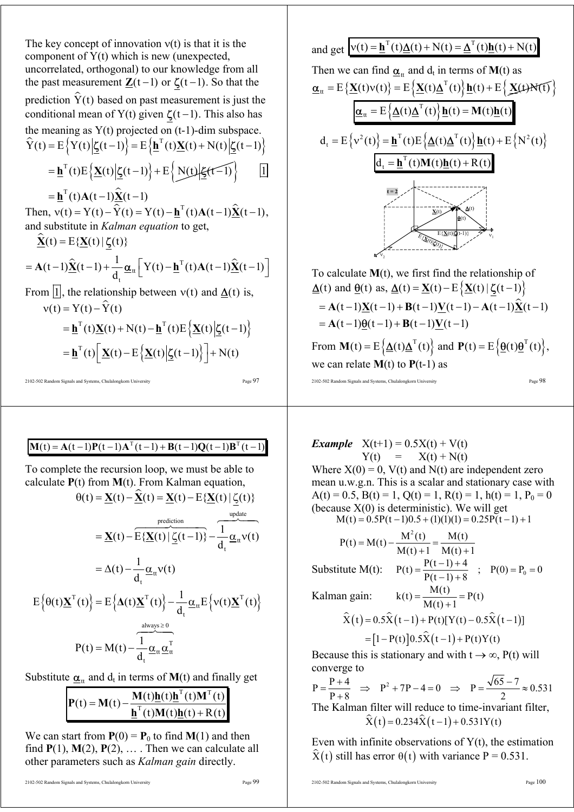The key concept of innovation v(t) is that it is the  
component of Y(t) which is new (unexpected,  
uncorrelated, orthogonal) to our knowledge from all  
the past measurement 
$$
\underline{Z}(t-1)
$$
 or  $\underline{\zeta}(t-1)$ . So that the  
prediction  $\hat{Y}(t)$  based on past measurement is just the  
conditional mean of Y(t) given  $\underline{\zeta}(t-1)$ . This also has  
the meaning as Y(t) projected on (t-1)-dim subspace.  
 $\hat{Y}(t) = E\{Y(t) | \underline{\zeta}(t-1)\} = E\{\underline{\mathbf{h}}^T(t)\underline{X}(t) + N(t) | \underline{\zeta}(t-1)\}$   

$$
= \underline{\mathbf{h}}^T(t)E\{\underline{X}(t) | \underline{\zeta}(t-1)\} + E\{\underline{N}(t) | \underline{\zeta}(t-1)\}
$$

2102-502 Random Signals and Systems, Chulalongkorn University Page 97

# $\mathbf{M}(t) = \mathbf{A}(t-1)\mathbf{P}(t-1)\mathbf{A}^{T}(t-1) + \mathbf{B}(t-1)\mathbf{Q}(t-1)\mathbf{B}^{T}(t-1)$

To complete the recursion loop, we must be able to calculate **P**(t) from **M**(t). From Kalman equation,

$$
\theta(t) = \underline{\mathbf{X}}(t) - \underline{\hat{\mathbf{X}}}(t) = \underline{\mathbf{X}}(t) - E\{\underline{\mathbf{X}}(t) | \underline{\zeta}(t)\}
$$
\n
$$
= \underline{\mathbf{X}}(t) - \overbrace{E\{\underline{\mathbf{X}}(t) | \underline{\zeta}(t-1)\}}^{\text{prediction}} - \frac{1}{d_t} \underline{\alpha}_{tt} v(t)
$$
\n
$$
= \Delta(t) - \frac{1}{d_t} \underline{\alpha}_{tt} v(t)
$$
\n
$$
E\{\theta(t)\underline{\mathbf{X}}^{\text{T}}(t)\} = E\{\Delta(t)\underline{\mathbf{X}}^{\text{T}}(t)\} - \frac{1}{d_t} \underline{\alpha}_{tt} E\{v(t)\underline{\mathbf{X}}^{\text{T}}(t)\}
$$
\n
$$
P(t) = M(t) - \frac{1}{d_t} \underline{\alpha}_{tt} \underline{\alpha}_{tt}^{\text{T}}
$$

Substitute  $\underline{\alpha}_{tt}$  and  $d_t$  in terms of **M**(t) and finally get

$$
\mathbf{P}(t) = \mathbf{M}(t) - \frac{\mathbf{M}(t)\mathbf{h}(t)\mathbf{h}^{T}(t)\mathbf{M}^{T}(t)}{\mathbf{h}^{T}(t)\mathbf{M}(t)\mathbf{h}(t) + \mathbf{R}(t)}
$$

We can start from  $P(0) = P_0$  to find **M**(1) and then find  $P(1)$ ,  $M(2)$ ,  $P(2)$ , ... . Then we can calculate all other parameters such as *Kalman gain* directly.

and get  $v(t) = \mathbf{h}^{T}(t)\Delta(t) + N(t) = \Delta^{T}(t)\mathbf{h}(t) + N(t)$ Then we can find  $\alpha_{tt}$  and  $d_t$  in terms of **M**(t) as  ${\bf \underline{\alpha}}_{tt} = {\rm E} \left\{ {\bf \underline{X}}(t) v(t) \right\} = {\rm E} \left\{ {\bf \underline{X}}(t) {\bf \underline{\Delta}}^{T}(t) \right\} {\bf \underline{h}}(t) + {\rm E} \left\{ {\bf \underline{X}}(t) N(t) \right\}$  ${\bf \underline{\alpha}}_{tt} = {\bf E}\left\{ {\bf \underline{\Delta}}(t){\bf \underline{\Delta}}^{T}(t) \right\} {\bf \underline{h}}(t) = {\bf M}(t){\bf \underline{h}}(t)$  ${\bf d}_{\rm t} = {\bf E} \left\{ {\bf v}^2(t) \right\} = {\bf \underline{h}}^{\rm T} (t) {\bf E} \left\{ {\bf \underline{\Delta}}(t) {\bf \underline{\Delta}}^{\rm T} (t) \right\} {\bf \underline{h}}(t) + {\bf E} \left\{ {\bf N}^2(t) \right\}$  $d_t = \underline{\mathbf{h}}^T(t) \mathbf{M}(t) \underline{\mathbf{h}}(t) + \mathbf{R}(t)$  $\dot{v_1}$  $\mathbf{v}_2$ E{**X**(t)|ζ(t)} **X**(t)  $\mathbf{\underline{\theta}}(t)$ ∆(t)  $E{\{\underline{\mathbf{X}}(t)|\underline{\mathbf{C}}(t-1)\}}$ **t = 2**

To calculate **M**(t), we first find the relationship of  $\Delta(t)$  and  $\theta(t)$  as,  $\Delta(t) = \mathbf{X}(t) - \mathbf{E} \{ \mathbf{X}(t) | \zeta(t-1) \}$  $= A(t-1)X(t-1) + B(t-1)V(t-1) - A(t-1)\hat{X}(t-1)$  $= A(t-1)\theta(t-1) + B(t-1)\mathbf{V}(t-1)$ From  ${\bf M}(t) = E\left\{\underline{\Delta}(t)\underline{\Delta}^{T}(t)\right\}$  and  ${\bf P}(t) = E\left\{\underline{\theta}(t)\underline{\theta}^{T}(t)\right\}$ , we can relate  $M(t)$  to  $P(t-1)$  as

2102-502 Random Signals and Systems, Chulalongkorn University Page 98

*Example*  $X(t+1) = 0.5X(t) + V(t)$  $Y(t) = X(t) + N(t)$ Where  $X(0) = 0$ ,  $V(t)$  and  $N(t)$  are independent zero mean u.w.g.n. This is a scalar and stationary case with  $A(t) = 0.5$ ,  $B(t) = 1$ ,  $Q(t) = 1$ ,  $R(t) = 1$ ,  $h(t) = 1$ ,  $P_0 = 0$ (because  $X(0)$  is deterministic). We will get  $M(t) = 0.5P(t-1)0.5 + (1)(1)(1) = 0.25P(t-1) + 1$ 

$$
P(t) = M(t) - \frac{M^{2}(t)}{M(t) + 1} = \frac{M(t)}{M(t) + 1}
$$
  
Substitute M(t): 
$$
P(t) = \frac{P(t-1) + 4}{P(t-1) + 8} \; ; \; P(0) = P_0 = 0
$$
  
Kalman gain: 
$$
k(t) = \frac{M(t)}{M(t) + 1} = P(t)
$$

$$
\hat{X}(t) = 0.5\hat{X}(t-1) + P(t)[Y(t) - 0.5\hat{X}(t-1)]
$$

$$
= [1 - P(t)]0.5\hat{X}(t-1) + P(t)Y(t)
$$

Because this is stationary and with  $t \rightarrow \infty$ , P(t) will converge to

 $P = \frac{P+4}{P-2} \Rightarrow P^2 + 7P - 4 = 0 \Rightarrow P = \frac{\sqrt{65-7}}{P} \approx 0.531$  $P+8$  2  $=\frac{P+4}{P-2}$   $\Rightarrow$   $P^2 + 7P - 4 = 0$   $\Rightarrow$   $P = \frac{\sqrt{65-7}}{P} \approx$ + The Kalman filter will reduce to time-invariant filter,  $\hat{X}(t) = 0.234\hat{X}(t - 1) + 0.531Y(t)$ 

Even with infinite observations of  $Y(t)$ , the estimation  $\hat{X}(t)$  still has error  $\theta(t)$  with variance P = 0.531.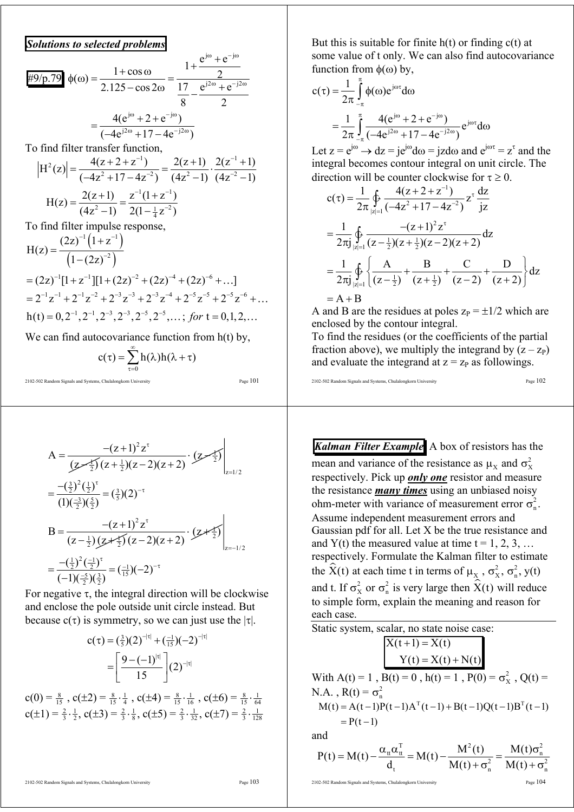*Solutions to selected problems* 

$$
\frac{\text{#9/p.79}}{\text{#9/p.79}}\phi(\omega) = \frac{1+\cos\omega}{2.125-\cos 2\omega} = \frac{1+\frac{e^{j\omega}+e^{-j\omega}}{2}}{\frac{17}{8}-\frac{e^{j2\omega}+e^{-j2\omega}}{2}}
$$

$$
= \frac{4(e^{j\omega}+2+e^{-j\omega})}{(-4e^{j2\omega}+17-4e^{-j2\omega})}
$$

To find filter transfer function,

$$
|H^{2}(z)| = \frac{4(z + 2 + z^{-1})}{(-4z^{2} + 17 - 4z^{-2})} = \frac{2(z + 1)}{(4z^{2} - 1)} \cdot \frac{2(z^{-1} + 1)}{(4z^{-2} - 1)}
$$

$$
H(z) = \frac{2(z + 1)}{(4z^{2} - 1)} = \frac{z^{-1}(1 + z^{-1})}{2(1 - \frac{1}{4}z^{-2})}
$$

To find filter impulse response,

$$
H(z) = \frac{(2z)^{-1} (1 + z^{-1})}{(1 - (2z)^{-2})}
$$
  
=  $(2z)^{-1}[1 + z^{-1}][1 + (2z)^{-2} + (2z)^{-4} + (2z)^{-6} + ...]$   
=  $2^{-1}z^{-1} + 2^{-1}z^{-2} + 2^{-3}z^{-3} + 2^{-3}z^{-4} + 2^{-5}z^{-5} + 2^{-5}z^{-6} + ...$   
 $h(t) = 0, 2^{-1}, 2^{-1}, 2^{-3}, 2^{-3}, 2^{-5}, 2^{-5}, ...; \text{ for } t = 0, 1, 2, ...$ 

We can find autocovariance function from  $h(t)$  by,

$$
c(\tau) = \sum_{\tau=0}^{\infty} h(\lambda)h(\lambda + \tau)
$$

2102-502 Random Signals and Systems, Chulalongkorn University Page 101

$$
A = \frac{-(z+1)^2 z^{\tau}}{(z-1)(z+1)(z-2)(z+2)} \cdot (z-1) \left| z = \frac{-(\frac{3}{2})^2 (\frac{1}{2})^{\tau}}{(1)(\frac{-3}{2}) (\frac{5}{2})} = (\frac{3}{5})(2)^{-\tau}
$$
  
\n
$$
B = \frac{-(z+1)^2 z^{\tau}}{(z-\frac{1}{2}) (z+\frac{1}{2}) (z-2)(z+2)} \cdot (z+\frac{1}{2}) \left| z = -\frac{1}{2} (\frac{1}{2})^2 (\frac{-1}{2})^{\tau} \right|_{z=-1/2}
$$
  
\n
$$
= \frac{-(\frac{1}{2})^2 (\frac{-1}{2})^{\tau}}{(-1)(\frac{-5}{2}) (\frac{3}{2})} = (\frac{-1}{15})(-2)^{-\tau}
$$

For negative  $\tau$ , the integral direction will be clockwise and enclose the pole outside unit circle instead. But because  $c(\tau)$  is symmetry, so we can just use the  $|\tau|$ .

$$
c(\tau) = \left(\frac{3}{5}\right)(2)^{-|\tau|} + \left(\frac{-1}{15}\right)(-2)^{-|\tau|}
$$

$$
= \left[\frac{9 - (-1)^{|\tau|}}{15}\right](2)^{-|\tau|}
$$

 $c(0) = \frac{8}{15}$ ,  $c(\pm 2) = \frac{8}{15} \cdot \frac{1}{4}$ ,  $c(\pm 4) = \frac{8}{15} \cdot \frac{1}{16}$ ,  $c(\pm 6) = \frac{8}{15} \cdot \frac{1}{64}$  $c(\pm 1) = \frac{2}{3} \cdot \frac{1}{2}, c(\pm 3) = \frac{2}{3} \cdot \frac{1}{8}, c(\pm 5) = \frac{2}{3} \cdot \frac{1}{32}, c(\pm 7) = \frac{2}{3} \cdot \frac{1}{128}$  But this is suitable for finite  $h(t)$  or finding  $c(t)$  at some value of t only. We can also find autocovariance function from  $φ(ω)$  by,

$$
c(\tau) = \frac{1}{2\pi} \int_{-\pi}^{\pi} \phi(\omega) e^{j\omega \tau} d\omega
$$
  
= 
$$
\frac{1}{2\pi} \int_{-\pi}^{\pi} \frac{4(e^{j\omega} + 2 + e^{-j\omega})}{(-4e^{j2\omega} + 17 - 4e^{-j2\omega})} e^{j\omega \tau} d\omega
$$

Let  $z = e^{j\omega} \rightarrow dz = je^{j\omega} d\omega = jz d\omega$  and  $e^{j\omega \tau} = z^{\tau}$  and the integral becomes contour integral on unit circle. The direction will be counter clockwise for  $\tau \geq 0$ .

$$
c(\tau) = \frac{1}{2\pi} \oint_{|z|=1} \frac{4(z+2+z^{-1})}{(-4z^2+17-4z^{-2})} z^{\tau} \frac{dz}{jz}
$$
  
\n
$$
= \frac{1}{2\pi j} \oint_{|z|=1} \frac{-(z+1)^2 z^{\tau}}{(z-\frac{1}{2})(z+\frac{1}{2})(z-2)(z+2)} dz
$$
  
\n
$$
= \frac{1}{2\pi j} \oint_{|z|=1} \left\{ \frac{A}{(z-\frac{1}{2})} + \frac{B}{(z+\frac{1}{2})} + \frac{C}{(z-2)} + \frac{D}{(z+2)} \right\} dz
$$
  
\n= A + B

A and B are the residues at poles  $z_P = \pm 1/2$  which are enclosed by the contour integral.

To find the residues (or the coefficients of the partial fraction above), we multiply the integrand by  $(z - z<sub>P</sub>)$ and evaluate the integrand at  $z = z_p$  as followings.

2102-502 Random Signals and Systems, Chulalongkorn University Page 102

*Kalman Filter Example* A box of resistors has the mean and variance of the resistance as  $\mu_x$  and  $\sigma_y^2$ respectively. Pick up *only one* resistor and measure the resistance *many times* using an unbiased noisy ohm-meter with variance of measurement error  $\sigma_n^2$ . Assume independent measurement errors and Gaussian pdf for all. Let X be the true resistance and and Y(t) the measured value at time  $t = 1, 2, 3, ...$ respectively. Formulate the Kalman filter to estimate the  $\hat{X}(t)$  at each time t in terms of  $\mu_X$ ,  $\sigma_X^2$ ,  $\sigma_n^2$ ,  $y(t)$ and t. If  $\sigma_x^2$  or  $\sigma_n^2$  is very large then  $\hat{X}(t)$  will reduce to simple form, explain the meaning and reason for each case.

Static system, scalar, no state noise case:

\n
$$
\begin{aligned}\nX(t+1) &= X(t) \\
Y(t) &= X(t) + N(t)\n\end{aligned}
$$
\nWith A(t) = 1, B(t) = 0, h(t) = 1, P(0) =  $\sigma_x^2$ , Q(t) = N.A., R(t) =  $\sigma_n^2$ 

\n
$$
M(t) = A(t-1)P(t-1)A^{T}(t-1) + B(t-1)Q(t-1)B^{T}(t-1) = P(t-1)
$$
\nand

and  
\n
$$
P(t) = M(t) - \frac{\alpha_{tt} \alpha_{tt}^T}{d_t} = M(t) - \frac{M^2(t)}{M(t) + \sigma_n^2} = \frac{M(t)\sigma_n^2}{M(t) + \sigma_n^2}
$$